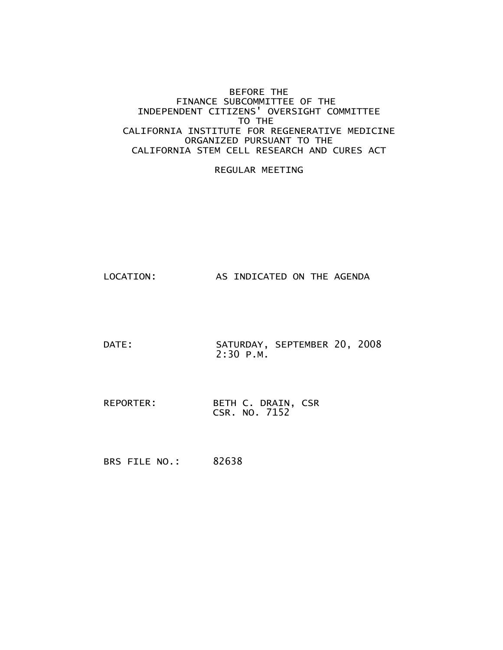#### BEFORE THE FINANCE SUBCOMMITTEE OF THE INDEPENDENT CITIZENS' OVERSIGHT COMMITTEE TO THE CALIFORNIA INSTITUTE FOR REGENERATIVE MEDICINE ORGANIZED PURSUANT TO THE CALIFORNIA STEM CELL RESEARCH AND CURES ACT

#### REGULAR MEETING

LOCATION: AS INDICATED ON THE AGENDA

- DATE: SATURDAY, SEPTEMBER 20, 2008 2:30 P.M.
- REPORTER: BETH C. DRAIN, CSR CSR. NO. 7152

BRS FILE NO.: 82638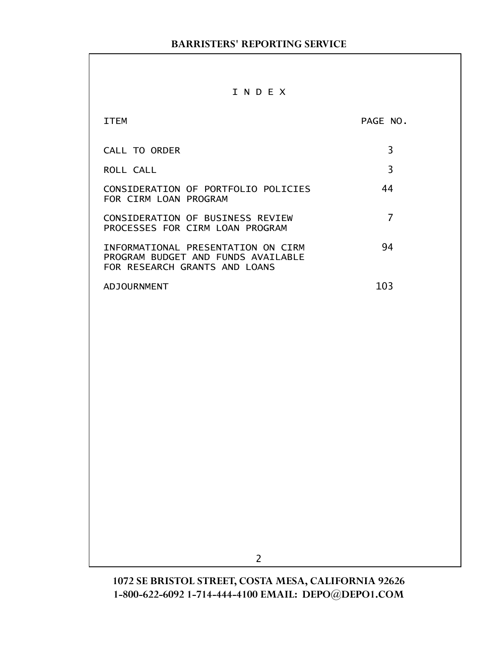# I N D E X

| TTFM                                                                                                      | PAGE NO. |
|-----------------------------------------------------------------------------------------------------------|----------|
| <b>CALL TO ORDER</b>                                                                                      | 3        |
| ROLL CALL                                                                                                 | 3        |
| CONSIDERATION OF PORTFOLIO POLICIES<br>FOR CIRM LOAN PROGRAM                                              | 44       |
| CONSIDERATION OF BUSINESS REVIEW<br>PROCESSES FOR CIRM LOAN PROGRAM                                       |          |
| INFORMATIONAL PRESENTATION ON CIRM<br>PROGRAM BUDGET AND FUNDS AVAILABLE<br>FOR RESEARCH GRANTS AND LOANS | 94       |
| ADJOURNMENT                                                                                               | 103      |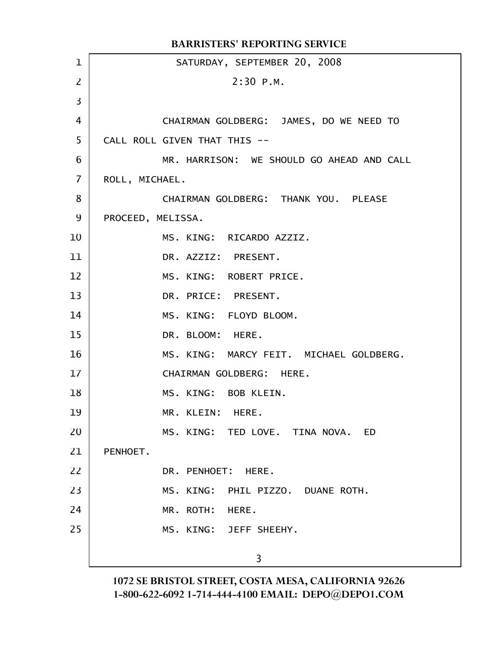|                | <b>BARRISTERS' REPORTING SERVICE</b>      |
|----------------|-------------------------------------------|
| $\mathbf 1$    | SATURDAY, SEPTEMBER 20, 2008              |
| $\overline{2}$ | $2:30$ P.M.                               |
| $\overline{3}$ |                                           |
| 4              | CHAIRMAN GOLDBERG: JAMES, DO WE NEED TO   |
| 5              | CALL ROLL GIVEN THAT THIS --              |
| 6              | MR. HARRISON: WE SHOULD GO AHEAD AND CALL |
| 7              | ROLL, MICHAEL.                            |
| 8              | CHAIRMAN GOLDBERG: THANK YOU. PLEASE      |
| 9              | PROCEED, MELISSA.                         |
| 10             | MS. KING: RICARDO AZZIZ.                  |
| 11             | DR. AZZIZ: PRESENT.                       |
| 12             | MS. KING: ROBERT PRICE.                   |
| 13             | DR. PRICE: PRESENT.                       |
| 14             | MS. KING: FLOYD BLOOM.                    |
| 15             | DR. BLOOM: HERE.                          |
| 16             | MS. KING: MARCY FEIT. MICHAEL GOLDBERG.   |
| 17             | CHAIRMAN GOLDBERG: HERE.                  |
| 18             | MS. KING: BOB KLEIN.                      |
| 19             | MR. KLEIN: HERE.                          |
| 20             | MS. KING: TED LOVE. TINA NOVA. ED         |
| 21             | PENHOET.                                  |
| 22             | DR. PENHOET: HERE.                        |
| 23             | MS. KING:<br>PHIL PIZZO. DUANE ROTH.      |
| 24             | MR. ROTH:<br>HERE.                        |
| 25             | MS. KING: JEFF SHEEHY.                    |
|                | 3                                         |
|                |                                           |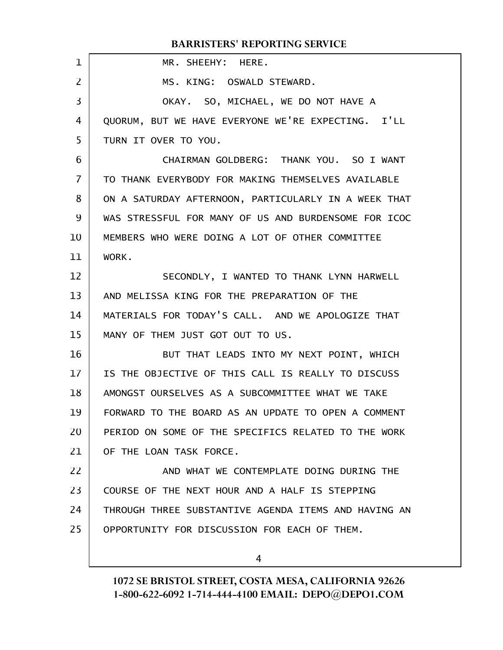| $\mathbf 1$       | MR. SHEEHY: HERE.                                    |
|-------------------|------------------------------------------------------|
| $\overline{2}$    | MS. KING: OSWALD STEWARD.                            |
| 3                 | OKAY. SO, MICHAEL, WE DO NOT HAVE A                  |
| 4                 | QUORUM, BUT WE HAVE EVERYONE WE'RE EXPECTING. I'LL   |
| 5                 | TURN IT OVER TO YOU.                                 |
| 6                 | CHAIRMAN GOLDBERG: THANK YOU. SO I WANT              |
| $\overline{7}$    | TO THANK EVERYBODY FOR MAKING THEMSELVES AVAILABLE   |
| 8                 | ON A SATURDAY AFTERNOON, PARTICULARLY IN A WEEK THAT |
| 9                 | WAS STRESSFUL FOR MANY OF US AND BURDENSOME FOR ICOC |
| 10                | MEMBERS WHO WERE DOING A LOT OF OTHER COMMITTEE      |
| 11                | WORK.                                                |
| $12 \overline{ }$ | SECONDLY, I WANTED TO THANK LYNN HARWELL             |
| 13                | AND MELISSA KING FOR THE PREPARATION OF THE          |
| 14                | MATERIALS FOR TODAY'S CALL. AND WE APOLOGIZE THAT    |
| 15                | MANY OF THEM JUST GOT OUT TO US.                     |
| 16                | BUT THAT LEADS INTO MY NEXT POINT, WHICH             |
| 17                | IS THE OBJECTIVE OF THIS CALL IS REALLY TO DISCUSS   |
| 18                | AMONGST OURSELVES AS A SUBCOMMITTEE WHAT WE TAKE     |
| 19                | FORWARD TO THE BOARD AS AN UPDATE TO OPEN A COMMENT  |
| 20                | PERIOD ON SOME OF THE SPECIFICS RELATED TO THE WORK  |
| 21                | OF THE LOAN TASK FORCE.                              |
| 22                | AND WHAT WE CONTEMPLATE DOING DURING THE             |
| 23                | COURSE OF THE NEXT HOUR AND A HALF IS STEPPING       |
| 24                | THROUGH THREE SUBSTANTIVE AGENDA ITEMS AND HAVING AN |
| 25                | OPPORTUNITY FOR DISCUSSION FOR EACH OF THEM.         |
|                   |                                                      |

4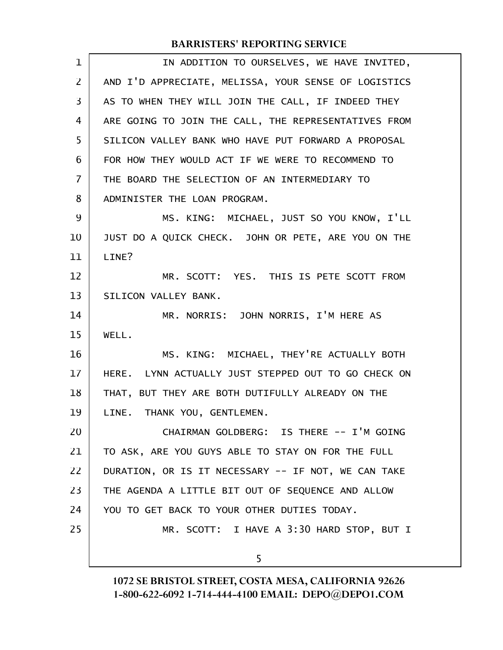| 1              | IN ADDITION TO OURSELVES, WE HAVE INVITED,           |
|----------------|------------------------------------------------------|
| 2              | AND I'D APPRECIATE, MELISSA, YOUR SENSE OF LOGISTICS |
| 3              | AS TO WHEN THEY WILL JOIN THE CALL, IF INDEED THEY   |
| 4              | ARE GOING TO JOIN THE CALL, THE REPRESENTATIVES FROM |
| 5              | SILICON VALLEY BANK WHO HAVE PUT FORWARD A PROPOSAL  |
| 6              | FOR HOW THEY WOULD ACT IF WE WERE TO RECOMMEND TO    |
| $\overline{7}$ | THE BOARD THE SELECTION OF AN INTERMEDIARY TO        |
| 8              | ADMINISTER THE LOAN PROGRAM.                         |
| 9              | MS. KING: MICHAEL, JUST SO YOU KNOW, I'LL            |
| 10             | JUST DO A QUICK CHECK. JOHN OR PETE, ARE YOU ON THE  |
| 11             | LINE?                                                |
| 12             | MR. SCOTT: YES. THIS IS PETE SCOTT FROM              |
| 13             | SILICON VALLEY BANK.                                 |
| 14             | MR. NORRIS: JOHN NORRIS, I'M HERE AS                 |
| 15             | WELL.                                                |
| 16             | MS. KING: MICHAEL, THEY'RE ACTUALLY BOTH             |
| 17             | HERE. LYNN ACTUALLY JUST STEPPED OUT TO GO CHECK ON  |
| 18             | THAT, BUT THEY ARE BOTH DUTIFULLY ALREADY ON THE     |
| 19             | LINE. THANK YOU, GENTLEMEN.                          |
| 20             | CHAIRMAN GOLDBERG: IS THERE -- I'M GOING             |
| 21             | TO ASK, ARE YOU GUYS ABLE TO STAY ON FOR THE FULL    |
| 22             | DURATION, OR IS IT NECESSARY -- IF NOT, WE CAN TAKE  |
| 23             | THE AGENDA A LITTLE BIT OUT OF SEQUENCE AND ALLOW    |
| 24             | YOU TO GET BACK TO YOUR OTHER DUTIES TODAY.          |
| 25             | MR. SCOTT: I HAVE A 3:30 HARD STOP, BUT I            |
|                | 5                                                    |
|                |                                                      |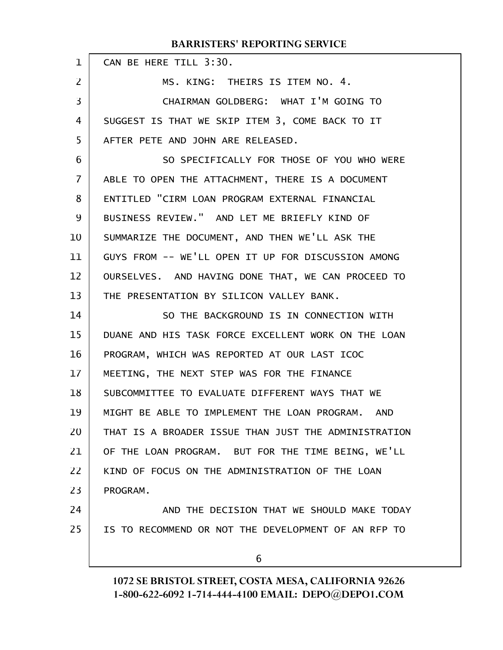| $\mathbf{1}$ | CAN BE HERE TILL 3:30.                               |
|--------------|------------------------------------------------------|
| 2            | MS. KING: THEIRS IS ITEM NO. 4.                      |
| 3            | CHAIRMAN GOLDBERG: WHAT I'M GOING TO                 |
| 4            | SUGGEST IS THAT WE SKIP ITEM 3, COME BACK TO IT      |
| 5            | AFTER PETE AND JOHN ARE RELEASED.                    |
| 6            | SO SPECIFICALLY FOR THOSE OF YOU WHO WERE            |
| 7            | ABLE TO OPEN THE ATTACHMENT, THERE IS A DOCUMENT     |
| 8            | ENTITLED "CIRM LOAN PROGRAM EXTERNAL FINANCIAL       |
| 9            | BUSINESS REVIEW." AND LET ME BRIEFLY KIND OF         |
| 10           | SUMMARIZE THE DOCUMENT, AND THEN WE'LL ASK THE       |
| 11           | GUYS FROM -- WE'LL OPEN IT UP FOR DISCUSSION AMONG   |
| 12           | OURSELVES. AND HAVING DONE THAT, WE CAN PROCEED TO   |
| 13           | THE PRESENTATION BY SILICON VALLEY BANK.             |
| 14           | SO THE BACKGROUND IS IN CONNECTION WITH              |
| 15           | DUANE AND HIS TASK FORCE EXCELLENT WORK ON THE LOAN  |
| 16           | PROGRAM, WHICH WAS REPORTED AT OUR LAST ICOC         |
| 17           | MEETING, THE NEXT STEP WAS FOR THE FINANCE           |
| 18           | SUBCOMMITTEE TO EVALUATE DIFFERENT WAYS THAT WE      |
| 19           | MIGHT BE ABLE TO IMPLEMENT THE LOAN PROGRAM. AND     |
| 20           | THAT IS A BROADER ISSUE THAN JUST THE ADMINISTRATION |
| 21           | OF THE LOAN PROGRAM. BUT FOR THE TIME BEING, WE'LL   |
| 22           | KIND OF FOCUS ON THE ADMINISTRATION OF THE LOAN      |
| 23           | PROGRAM.                                             |
| 24           | AND THE DECISION THAT WE SHOULD MAKE TODAY           |
| 25           | IS TO RECOMMEND OR NOT THE DEVELOPMENT OF AN RFP TO  |
|              | 6                                                    |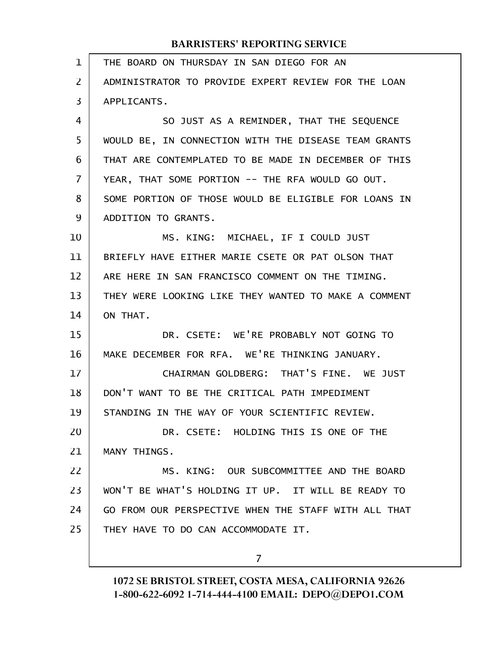| $\mathbf{1}$ | THE BOARD ON THURSDAY IN SAN DIEGO FOR AN            |
|--------------|------------------------------------------------------|
| 2            | ADMINISTRATOR TO PROVIDE EXPERT REVIEW FOR THE LOAN  |
| 3            | APPLICANTS.                                          |
| 4            | SO JUST AS A REMINDER, THAT THE SEQUENCE             |
| 5            | WOULD BE, IN CONNECTION WITH THE DISEASE TEAM GRANTS |
| 6            | THAT ARE CONTEMPLATED TO BE MADE IN DECEMBER OF THIS |
| 7            | YEAR, THAT SOME PORTION -- THE RFA WOULD GO OUT.     |
| 8            | SOME PORTION OF THOSE WOULD BE ELIGIBLE FOR LOANS IN |
| 9            | ADDITION TO GRANTS.                                  |
| 10           | MS. KING: MICHAEL, IF I COULD JUST                   |
| 11           | BRIEFLY HAVE EITHER MARIE CSETE OR PAT OLSON THAT    |
| 12           | ARE HERE IN SAN FRANCISCO COMMENT ON THE TIMING.     |
| 13           | THEY WERE LOOKING LIKE THEY WANTED TO MAKE A COMMENT |
| 14           | ON THAT.                                             |
| 15           | DR. CSETE: WE'RE PROBABLY NOT GOING TO               |
| 16           | MAKE DECEMBER FOR RFA. WE'RE THINKING JANUARY.       |
| 17           | CHAIRMAN GOLDBERG: THAT'S FINE. WE JUST              |
| 18           | DON'T WANT TO BE THE CRITICAL PATH IMPEDIMENT        |
| 19           | STANDING IN THE WAY OF YOUR SCIENTIFIC REVIEW.       |
| 20           | DR. CSETE: HOLDING THIS IS ONE OF THE                |
| 21           | MANY THINGS.                                         |
| 22           | MS. KING: OUR SUBCOMMITTEE AND THE BOARD             |
| 23           | WON'T BE WHAT'S HOLDING IT UP. IT WILL BE READY TO   |
| 24           | GO FROM OUR PERSPECTIVE WHEN THE STAFF WITH ALL THAT |
| 25           | THEY HAVE TO DO CAN ACCOMMODATE IT.                  |
|              |                                                      |

7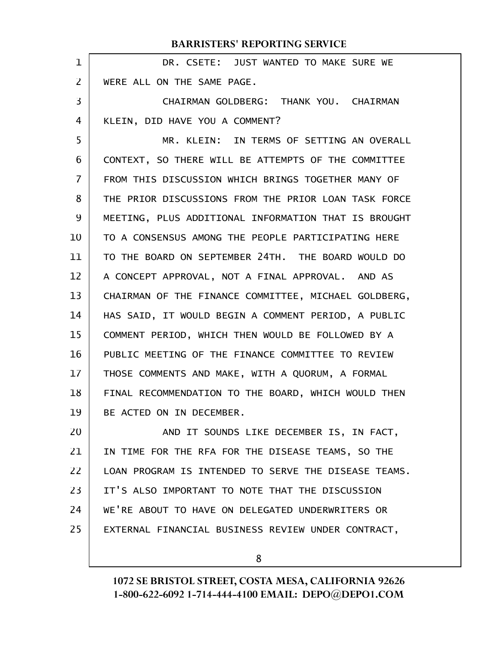|                | <b>BARRISTERS' REPORTING SERVICE</b>                 |
|----------------|------------------------------------------------------|
| $\mathbf 1$    | DR. CSETE: JUST WANTED TO MAKE SURE WE               |
| 2              | WERE ALL ON THE SAME PAGE.                           |
| 3              | CHAIRMAN GOLDBERG: THANK YOU. CHAIRMAN               |
| $\overline{4}$ | KLEIN, DID HAVE YOU A COMMENT?                       |
| 5              | MR. KLEIN: IN TERMS OF SETTING AN OVERALL            |
| 6              | CONTEXT, SO THERE WILL BE ATTEMPTS OF THE COMMITTEE  |
| 7              | FROM THIS DISCUSSION WHICH BRINGS TOGETHER MANY OF   |
| 8              | THE PRIOR DISCUSSIONS FROM THE PRIOR LOAN TASK FORCE |
| 9              | MEETING, PLUS ADDITIONAL INFORMATION THAT IS BROUGHT |
| 10             | TO A CONSENSUS AMONG THE PEOPLE PARTICIPATING HERE   |
| 11             | TO THE BOARD ON SEPTEMBER 24TH. THE BOARD WOULD DO   |
| 12             | A CONCEPT APPROVAL, NOT A FINAL APPROVAL. AND AS     |
| 13             | CHAIRMAN OF THE FINANCE COMMITTEE, MICHAEL GOLDBERG, |
| 14             | HAS SAID, IT WOULD BEGIN A COMMENT PERIOD, A PUBLIC  |
| 15             | COMMENT PERIOD, WHICH THEN WOULD BE FOLLOWED BY A    |
| 16             | PUBLIC MEETING OF THE FINANCE COMMITTEE TO REVIEW    |
| 17             | THOSE COMMENTS AND MAKE, WITH A QUORUM, A FORMAL     |
| 18             | FINAL RECOMMENDATION TO THE BOARD, WHICH WOULD THEN  |
| 19             | BE ACTED ON IN DECEMBER.                             |
| 20             | AND IT SOUNDS LIKE DECEMBER IS, IN FACT,             |
| 21             | IN TIME FOR THE RFA FOR THE DISEASE TEAMS, SO THE    |
| 22             | LOAN PROGRAM IS INTENDED TO SERVE THE DISEASE TEAMS. |
| 23             | IT'S ALSO IMPORTANT TO NOTE THAT THE DISCUSSION      |
| 24             | WE'RE ABOUT TO HAVE ON DELEGATED UNDERWRITERS OR     |
| 25             | EXTERNAL FINANCIAL BUSINESS REVIEW UNDER CONTRACT,   |
|                |                                                      |

1072 SE BRISTOL STREET, COSTA MESA, CALIFORNIA 92626 1-800-622-6092 1-714-444-4100 EMAIL: DEPO@DEPO1.COM

8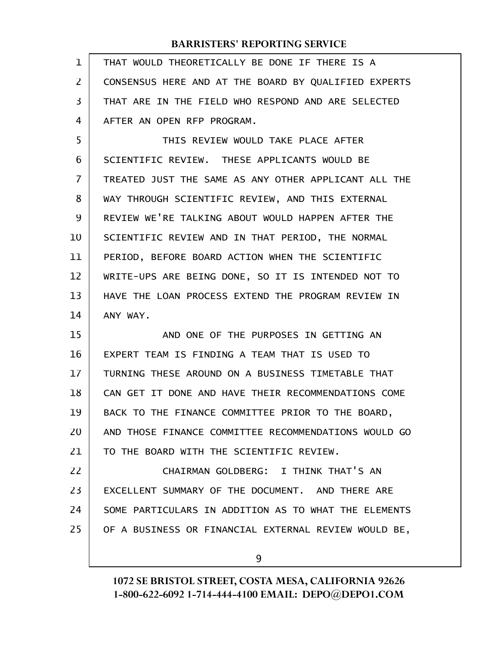| $\mathbf 1$ | THAT WOULD THEORETICALLY BE DONE IF THERE IS A       |
|-------------|------------------------------------------------------|
| 2           | CONSENSUS HERE AND AT THE BOARD BY QUALIFIED EXPERTS |
| 3           | THAT ARE IN THE FIELD WHO RESPOND AND ARE SELECTED   |
| 4           | AFTER AN OPEN RFP PROGRAM.                           |
| 5           | THIS REVIEW WOULD TAKE PLACE AFTER                   |
| 6           | SCIENTIFIC REVIEW. THESE APPLICANTS WOULD BE         |
| 7           | TREATED JUST THE SAME AS ANY OTHER APPLICANT ALL THE |
| 8           | WAY THROUGH SCIENTIFIC REVIEW, AND THIS EXTERNAL     |
| 9           | REVIEW WE'RE TALKING ABOUT WOULD HAPPEN AFTER THE    |
| 10          | SCIENTIFIC REVIEW AND IN THAT PERIOD, THE NORMAL     |
| 11          | PERIOD, BEFORE BOARD ACTION WHEN THE SCIENTIFIC      |
| 12          | WRITE-UPS ARE BEING DONE, SO IT IS INTENDED NOT TO   |
| 13          | HAVE THE LOAN PROCESS EXTEND THE PROGRAM REVIEW IN   |
|             |                                                      |
| 14          | ANY WAY.                                             |
| 15          | AND ONE OF THE PURPOSES IN GETTING AN                |
| 16          | EXPERT TEAM IS FINDING A TEAM THAT IS USED TO        |
| 17          | TURNING THESE AROUND ON A BUSINESS TIMETABLE THAT    |
| 18          | CAN GET IT DONE AND HAVE THEIR RECOMMENDATIONS COME  |
| 19          | BACK TO THE FINANCE COMMITTEE PRIOR TO THE BOARD,    |
| 20          | AND THOSE FINANCE COMMITTEE RECOMMENDATIONS WOULD GO |
| 21          | TO THE BOARD WITH THE SCIENTIFIC REVIEW.             |
| 22          | CHAIRMAN GOLDBERG: I THINK THAT'S AN                 |
| 23          | EXCELLENT SUMMARY OF THE DOCUMENT. AND THERE ARE     |
| 24          | SOME PARTICULARS IN ADDITION AS TO WHAT THE ELEMENTS |
| 25          | OF A BUSINESS OR FINANCIAL EXTERNAL REVIEW WOULD BE, |

9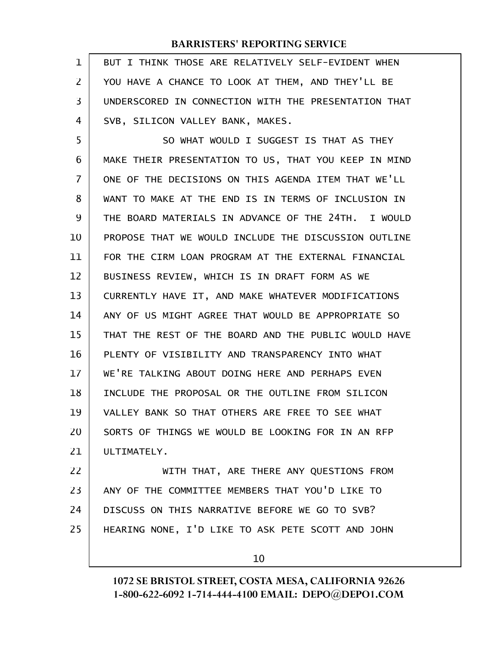| 1              | BUT I THINK THOSE ARE RELATIVELY SELF-EVIDENT WHEN   |
|----------------|------------------------------------------------------|
| 2              | YOU HAVE A CHANCE TO LOOK AT THEM, AND THEY'LL BE    |
| 3              | UNDERSCORED IN CONNECTION WITH THE PRESENTATION THAT |
| 4              | SVB, SILICON VALLEY BANK, MAKES.                     |
| 5              | SO WHAT WOULD I SUGGEST IS THAT AS THEY              |
| 6              | MAKE THEIR PRESENTATION TO US, THAT YOU KEEP IN MIND |
| $\overline{7}$ | ONE OF THE DECISIONS ON THIS AGENDA ITEM THAT WE'LL  |
| 8              | WANT TO MAKE AT THE END IS IN TERMS OF INCLUSION IN  |
| 9              | THE BOARD MATERIALS IN ADVANCE OF THE 24TH. I WOULD  |
| 10             | PROPOSE THAT WE WOULD INCLUDE THE DISCUSSION OUTLINE |
| 11             | FOR THE CIRM LOAN PROGRAM AT THE EXTERNAL FINANCIAL  |
| 12             | BUSINESS REVIEW, WHICH IS IN DRAFT FORM AS WE        |
| 13             | CURRENTLY HAVE IT, AND MAKE WHATEVER MODIFICATIONS   |
| 14             | ANY OF US MIGHT AGREE THAT WOULD BE APPROPRIATE SO   |
| 15             | THAT THE REST OF THE BOARD AND THE PUBLIC WOULD HAVE |
| 16             | PLENTY OF VISIBILITY AND TRANSPARENCY INTO WHAT      |
| 17             | WE'RE TALKING ABOUT DOING HERE AND PERHAPS EVEN      |
| 18             | INCLUDE THE PROPOSAL OR THE OUTLINE FROM SILICON     |
| 19             | VALLEY BANK SO THAT OTHERS ARE FREE TO SEE WHAT      |
| 20             | SORTS OF THINGS WE WOULD BE LOOKING FOR IN AN RFP    |
| 21             | ULTIMATELY.                                          |
| 22             | WITH THAT, ARE THERE ANY QUESTIONS FROM              |
| 23             | ANY OF THE COMMITTEE MEMBERS THAT YOU'D LIKE TO      |
| 24             | DISCUSS ON THIS NARRATIVE BEFORE WE GO TO SVB?       |
| 25             | HEARING NONE, I'D LIKE TO ASK PETE SCOTT AND JOHN    |
|                |                                                      |

10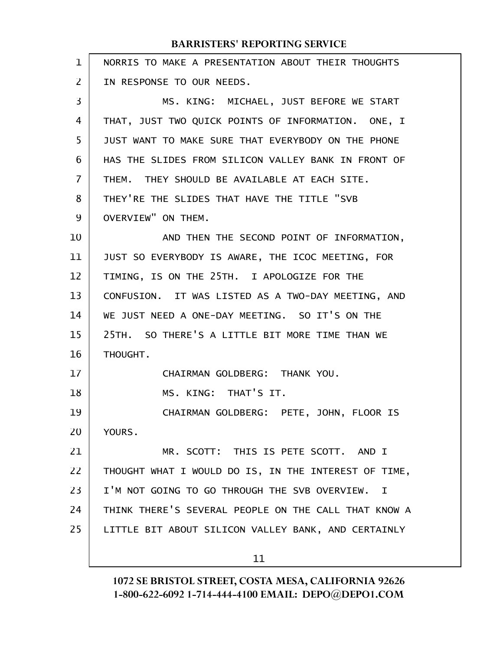| $\mathbf{1}$ | NORRIS TO MAKE A PRESENTATION ABOUT THEIR THOUGHTS              |
|--------------|-----------------------------------------------------------------|
| 2            | IN RESPONSE TO OUR NEEDS.                                       |
| 3            | MS. KING: MICHAEL, JUST BEFORE WE START                         |
| 4            | THAT, JUST TWO QUICK POINTS OF INFORMATION. ONE, I              |
| 5            | JUST WANT TO MAKE SURE THAT EVERYBODY ON THE PHONE              |
| 6            | HAS THE SLIDES FROM SILICON VALLEY BANK IN FRONT OF             |
| 7            | THEM. THEY SHOULD BE AVAILABLE AT EACH SITE.                    |
| 8            | THEY'RE THE SLIDES THAT HAVE THE TITLE "SVB                     |
| 9            | OVERVIEW" ON THEM.                                              |
| 10           | AND THEN THE SECOND POINT OF INFORMATION,                       |
| 11           | JUST SO EVERYBODY IS AWARE, THE ICOC MEETING, FOR               |
| 12           | TIMING, IS ON THE 25TH. I APOLOGIZE FOR THE                     |
| 13           | CONFUSION. IT WAS LISTED AS A TWO-DAY MEETING, AND              |
| 14           | WE JUST NEED A ONE-DAY MEETING. SO IT'S ON THE                  |
| 15           | 25TH. SO THERE'S A LITTLE BIT MORE TIME THAN WE                 |
| 16           | THOUGHT.                                                        |
| 17           | CHAIRMAN GOLDBERG: THANK YOU.                                   |
| 18           | MS. KING: THAT'S IT.                                            |
| 19           | CHAIRMAN GOLDBERG: PETE, JOHN, FLOOR IS                         |
| 20           | YOURS.                                                          |
| 21           | MR. SCOTT: THIS IS PETE SCOTT. AND I                            |
| 22           | THOUGHT WHAT I WOULD DO IS, IN THE INTEREST OF TIME,            |
| 23           | I'M NOT GOING TO GO THROUGH THE SVB OVERVIEW.<br>$\blacksquare$ |
| 24           | THINK THERE'S SEVERAL PEOPLE ON THE CALL THAT KNOW A            |
| 25           | LITTLE BIT ABOUT SILICON VALLEY BANK, AND CERTAINLY             |
|              | 11                                                              |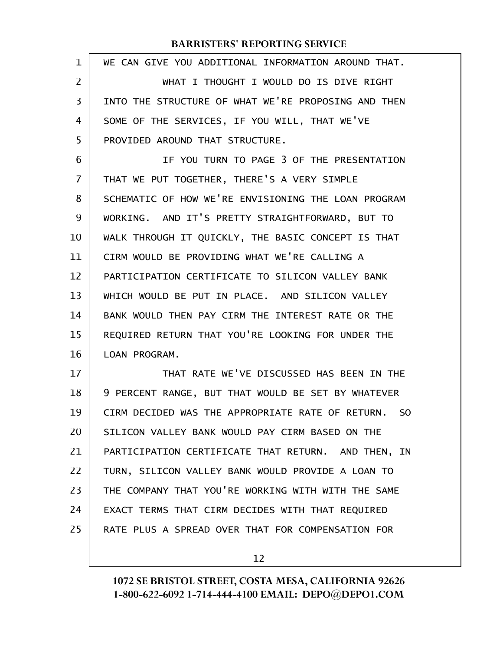| $\mathbf 1$    | WE CAN GIVE YOU ADDITIONAL INFORMATION AROUND THAT.      |
|----------------|----------------------------------------------------------|
| $\overline{2}$ | WHAT I THOUGHT I WOULD DO IS DIVE RIGHT                  |
| $\overline{3}$ | INTO THE STRUCTURE OF WHAT WE'RE PROPOSING AND THEN      |
| 4              | SOME OF THE SERVICES, IF YOU WILL, THAT WE'VE            |
| 5              | PROVIDED AROUND THAT STRUCTURE.                          |
| 6              | IF YOU TURN TO PAGE 3 OF THE PRESENTATION                |
| 7              | THAT WE PUT TOGETHER, THERE'S A VERY SIMPLE              |
| 8              | SCHEMATIC OF HOW WE'RE ENVISIONING THE LOAN PROGRAM      |
| 9              | WORKING. AND IT'S PRETTY STRAIGHTFORWARD, BUT TO         |
| 10             | WALK THROUGH IT QUICKLY, THE BASIC CONCEPT IS THAT       |
| 11             | CIRM WOULD BE PROVIDING WHAT WE'RE CALLING A             |
| 12             | PARTICIPATION CERTIFICATE TO SILICON VALLEY BANK         |
| 13             | WHICH WOULD BE PUT IN PLACE. AND SILICON VALLEY          |
| 14             | BANK WOULD THEN PAY CIRM THE INTEREST RATE OR THE        |
| 15             | REQUIRED RETURN THAT YOU'RE LOOKING FOR UNDER THE        |
| 16             | LOAN PROGRAM.                                            |
| 17             | THAT RATE WE'VE DISCUSSED HAS BEEN IN THE                |
| 18             | 9 PERCENT RANGE, BUT THAT WOULD BE SET BY WHATEVER       |
| 19             | CIRM DECIDED WAS THE APPROPRIATE RATE OF RETURN.<br>- SO |
| 20             | SILICON VALLEY BANK WOULD PAY CIRM BASED ON THE          |
| 21             | PARTICIPATION CERTIFICATE THAT RETURN. AND THEN, IN      |
| 22             | TURN, SILICON VALLEY BANK WOULD PROVIDE A LOAN TO        |
| 23             | THE COMPANY THAT YOU'RE WORKING WITH WITH THE SAME       |
| 24             | EXACT TERMS THAT CIRM DECIDES WITH THAT REQUIRED         |
| 25             | RATE PLUS A SPREAD OVER THAT FOR COMPENSATION FOR        |
|                |                                                          |

12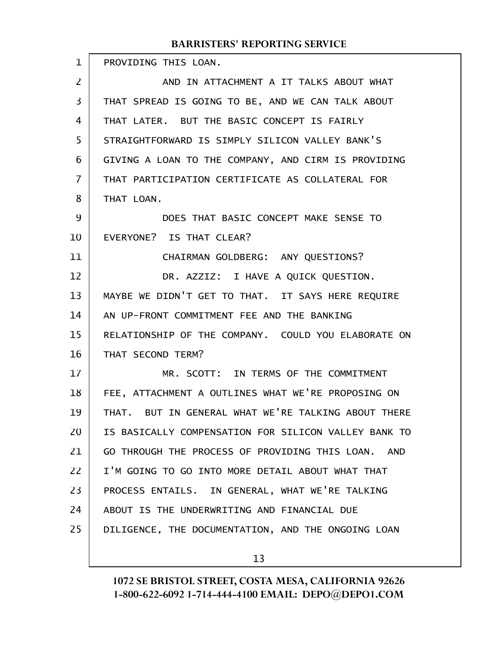| $\mathbf 1$ | PROVIDING THIS LOAN.                                 |
|-------------|------------------------------------------------------|
| 2           | AND IN ATTACHMENT A IT TALKS ABOUT WHAT              |
| 3           | THAT SPREAD IS GOING TO BE, AND WE CAN TALK ABOUT    |
| 4           | THAT LATER. BUT THE BASIC CONCEPT IS FAIRLY          |
| 5           | STRAIGHTFORWARD IS SIMPLY SILICON VALLEY BANK'S      |
| 6           | GIVING A LOAN TO THE COMPANY, AND CIRM IS PROVIDING  |
| 7           | THAT PARTICIPATION CERTIFICATE AS COLLATERAL FOR     |
| 8           | THAT LOAN.                                           |
| 9           | DOES THAT BASIC CONCEPT MAKE SENSE TO                |
| 10          | EVERYONE? IS THAT CLEAR?                             |
| 11          | CHAIRMAN GOLDBERG: ANY QUESTIONS?                    |
| 12          | DR. AZZIZ: I HAVE A QUICK QUESTION.                  |
| 13          | MAYBE WE DIDN'T GET TO THAT. IT SAYS HERE REQUIRE    |
| 14          | AN UP-FRONT COMMITMENT FEE AND THE BANKING           |
| 15          | RELATIONSHIP OF THE COMPANY. COULD YOU ELABORATE ON  |
| 16          | THAT SECOND TERM?                                    |
| 17          | MR. SCOTT: IN TERMS OF THE COMMITMENT                |
| 18          | FEE, ATTACHMENT A OUTLINES WHAT WE'RE PROPOSING ON   |
| 19          | THAT. BUT IN GENERAL WHAT WE'RE TALKING ABOUT THERE  |
| 20          | IS BASICALLY COMPENSATION FOR SILICON VALLEY BANK TO |
| 21          | GO THROUGH THE PROCESS OF PROVIDING THIS LOAN. AND   |
| 22          | I'M GOING TO GO INTO MORE DETAIL ABOUT WHAT THAT     |
| 23          | PROCESS ENTAILS. IN GENERAL, WHAT WE'RE TALKING      |
| 24          | ABOUT IS THE UNDERWRITING AND FINANCIAL DUE          |
| 25          | DILIGENCE, THE DOCUMENTATION, AND THE ONGOING LOAN   |
|             |                                                      |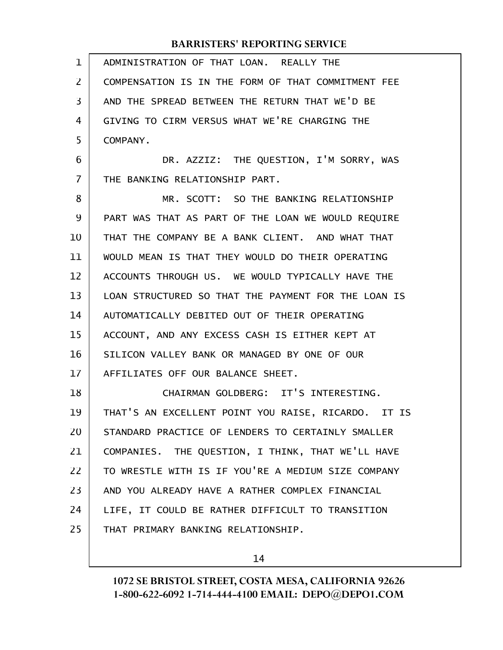| $\mathbf 1$ | ADMINISTRATION OF THAT LOAN. REALLY THE             |
|-------------|-----------------------------------------------------|
| 2           | COMPENSATION IS IN THE FORM OF THAT COMMITMENT FEE  |
| 3           | AND THE SPREAD BETWEEN THE RETURN THAT WE'D BE      |
| 4           | GIVING TO CIRM VERSUS WHAT WE'RE CHARGING THE       |
| 5           | COMPANY.                                            |
| 6           | DR. AZZIZ: THE QUESTION, I'M SORRY, WAS             |
| 7           | THE BANKING RELATIONSHIP PART.                      |
| 8           | MR. SCOTT: SO THE BANKING RELATIONSHIP              |
| 9           | PART WAS THAT AS PART OF THE LOAN WE WOULD REQUIRE  |
| 10          | THAT THE COMPANY BE A BANK CLIENT. AND WHAT THAT    |
| 11          | WOULD MEAN IS THAT THEY WOULD DO THEIR OPERATING    |
| 12          | ACCOUNTS THROUGH US. WE WOULD TYPICALLY HAVE THE    |
| 13          | LOAN STRUCTURED SO THAT THE PAYMENT FOR THE LOAN IS |
| 14          | AUTOMATICALLY DEBITED OUT OF THEIR OPERATING        |
| 15          | ACCOUNT, AND ANY EXCESS CASH IS EITHER KEPT AT      |
| 16          | SILICON VALLEY BANK OR MANAGED BY ONE OF OUR        |
| 17          | AFFILIATES OFF OUR BALANCE SHEET.                   |
| 18          | CHAIRMAN GOLDBERG: IT'S INTERESTING.                |
| 19          | THAT'S AN EXCELLENT POINT YOU RAISE, RICARDO. IT IS |
| 20          | STANDARD PRACTICE OF LENDERS TO CERTAINLY SMALLER   |
| 21          | COMPANIES. THE QUESTION, I THINK, THAT WE'LL HAVE   |
| 22          | TO WRESTLE WITH IS IF YOU'RE A MEDIUM SIZE COMPANY  |
| 23          | AND YOU ALREADY HAVE A RATHER COMPLEX FINANCIAL     |
| 24          | LIFE, IT COULD BE RATHER DIFFICULT TO TRANSITION    |
| 25          | THAT PRIMARY BANKING RELATIONSHIP.                  |
|             |                                                     |

14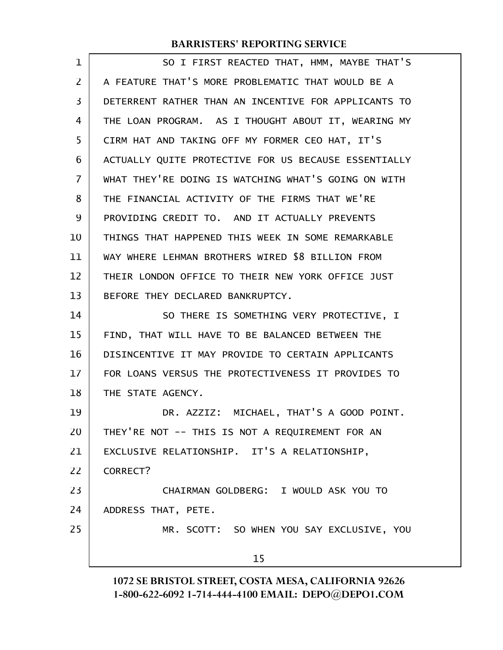| $\mathbf 1$    | SO I FIRST REACTED THAT, HMM, MAYBE THAT'S           |
|----------------|------------------------------------------------------|
| $\overline{2}$ | A FEATURE THAT'S MORE PROBLEMATIC THAT WOULD BE A    |
| 3              | DETERRENT RATHER THAN AN INCENTIVE FOR APPLICANTS TO |
| 4              | THE LOAN PROGRAM. AS I THOUGHT ABOUT IT, WEARING MY  |
| 5              | CIRM HAT AND TAKING OFF MY FORMER CEO HAT, IT'S      |
| 6              | ACTUALLY QUITE PROTECTIVE FOR US BECAUSE ESSENTIALLY |
| 7              | WHAT THEY'RE DOING IS WATCHING WHAT'S GOING ON WITH  |
| 8              | THE FINANCIAL ACTIVITY OF THE FIRMS THAT WE'RE       |
| 9              | PROVIDING CREDIT TO. AND IT ACTUALLY PREVENTS        |
| 10             | THINGS THAT HAPPENED THIS WEEK IN SOME REMARKABLE    |
| 11             | WAY WHERE LEHMAN BROTHERS WIRED \$8 BILLION FROM     |
| 12             | THEIR LONDON OFFICE TO THEIR NEW YORK OFFICE JUST    |
| 13             | BEFORE THEY DECLARED BANKRUPTCY.                     |
| 14             | SO THERE IS SOMETHING VERY PROTECTIVE, I             |
| 15             | FIND, THAT WILL HAVE TO BE BALANCED BETWEEN THE      |
| 16             | DISINCENTIVE IT MAY PROVIDE TO CERTAIN APPLICANTS    |
| 17             | FOR LOANS VERSUS THE PROTECTIVENESS IT PROVIDES TO   |
| 18             | THE STATE AGENCY.                                    |
| 19             | DR. AZZIZ: MICHAEL, THAT'S A GOOD POINT.             |
| 20             | THEY'RE NOT -- THIS IS NOT A REQUIREMENT FOR AN      |
| 21             | EXCLUSIVE RELATIONSHIP. IT'S A RELATIONSHIP,         |
| 22             | CORRECT?                                             |
| 23             | CHAIRMAN GOLDBERG: I WOULD ASK YOU TO                |
| 24             | ADDRESS THAT, PETE.                                  |
| 25             | MR. SCOTT: SO WHEN YOU SAY EXCLUSIVE, YOU            |
|                | 15                                                   |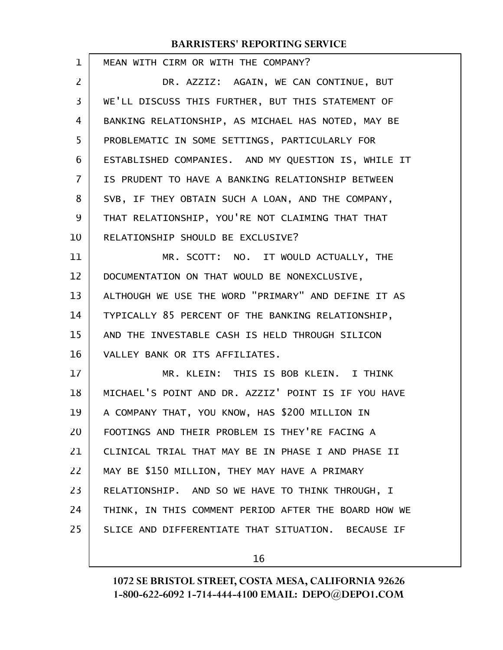| 1  | MEAN WITH CIRM OR WITH THE COMPANY?                  |
|----|------------------------------------------------------|
| 2  | DR. AZZIZ: AGAIN, WE CAN CONTINUE, BUT               |
| 3  | WE'LL DISCUSS THIS FURTHER, BUT THIS STATEMENT OF    |
| 4  | BANKING RELATIONSHIP, AS MICHAEL HAS NOTED, MAY BE   |
| 5  | PROBLEMATIC IN SOME SETTINGS, PARTICULARLY FOR       |
| 6  | ESTABLISHED COMPANIES. AND MY QUESTION IS, WHILE IT  |
| 7  | IS PRUDENT TO HAVE A BANKING RELATIONSHIP BETWEEN    |
| 8  | SVB, IF THEY OBTAIN SUCH A LOAN, AND THE COMPANY,    |
| 9  | THAT RELATIONSHIP, YOU'RE NOT CLAIMING THAT THAT     |
| 10 | RELATIONSHIP SHOULD BE EXCLUSIVE?                    |
| 11 | MR. SCOTT: NO. IT WOULD ACTUALLY, THE                |
| 12 | DOCUMENTATION ON THAT WOULD BE NONEXCLUSIVE,         |
| 13 | ALTHOUGH WE USE THE WORD "PRIMARY" AND DEFINE IT AS  |
| 14 | TYPICALLY 85 PERCENT OF THE BANKING RELATIONSHIP,    |
| 15 | AND THE INVESTABLE CASH IS HELD THROUGH SILICON      |
| 16 | VALLEY BANK OR ITS AFFILIATES.                       |
| 17 | MR. KLEIN: THIS IS BOB KLEIN. I THINK                |
| 18 | MICHAEL'S POINT AND DR. AZZIZ' POINT IS IF YOU HAVE  |
| 19 | A COMPANY THAT, YOU KNOW, HAS \$200 MILLION IN       |
| 20 | FOOTINGS AND THEIR PROBLEM IS THEY'RE FACING A       |
| 21 | CLINICAL TRIAL THAT MAY BE IN PHASE I AND PHASE II   |
| 22 | MAY BE \$150 MILLION, THEY MAY HAVE A PRIMARY        |
| 23 | RELATIONSHIP. AND SO WE HAVE TO THINK THROUGH, I     |
| 24 | THINK, IN THIS COMMENT PERIOD AFTER THE BOARD HOW WE |
| 25 | SLICE AND DIFFERENTIATE THAT SITUATION. BECAUSE IF   |
|    |                                                      |

16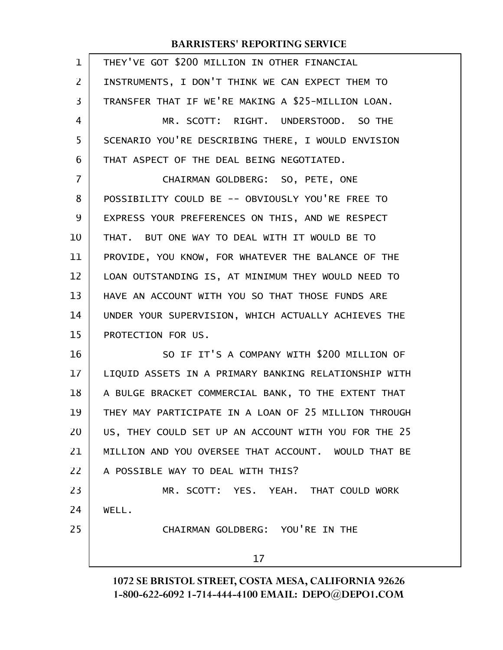| $\mathbf 1$    | THEY'VE GOT \$200 MILLION IN OTHER FINANCIAL         |
|----------------|------------------------------------------------------|
| $\overline{2}$ | INSTRUMENTS, I DON'T THINK WE CAN EXPECT THEM TO     |
| 3              | TRANSFER THAT IF WE'RE MAKING A \$25-MILLION LOAN.   |
| 4              | MR. SCOTT: RIGHT. UNDERSTOOD. SO THE                 |
| 5              | SCENARIO YOU'RE DESCRIBING THERE, I WOULD ENVISION   |
| 6              | THAT ASPECT OF THE DEAL BEING NEGOTIATED.            |
| $\overline{7}$ | CHAIRMAN GOLDBERG: SO, PETE, ONE                     |
| 8              | POSSIBILITY COULD BE -- OBVIOUSLY YOU'RE FREE TO     |
| 9              | EXPRESS YOUR PREFERENCES ON THIS, AND WE RESPECT     |
| 10             | THAT. BUT ONE WAY TO DEAL WITH IT WOULD BE TO        |
| 11             | PROVIDE, YOU KNOW, FOR WHATEVER THE BALANCE OF THE   |
| 12             | LOAN OUTSTANDING IS, AT MINIMUM THEY WOULD NEED TO   |
| 13             | HAVE AN ACCOUNT WITH YOU SO THAT THOSE FUNDS ARE     |
| 14             | UNDER YOUR SUPERVISION, WHICH ACTUALLY ACHIEVES THE  |
| 15             | PROTECTION FOR US.                                   |
| 16             | SO IF IT'S A COMPANY WITH \$200 MILLION OF           |
| 17             | LIQUID ASSETS IN A PRIMARY BANKING RELATIONSHIP WITH |
| 18             | A BULGE BRACKET COMMERCIAL BANK, TO THE EXTENT THAT  |
| 19             | THEY MAY PARTICIPATE IN A LOAN OF 25 MILLION THROUGH |
| 20             | US, THEY COULD SET UP AN ACCOUNT WITH YOU FOR THE 25 |
| 21             | MILLION AND YOU OVERSEE THAT ACCOUNT. WOULD THAT BE  |
| 22             | A POSSIBLE WAY TO DEAL WITH THIS?                    |
| 23             | MR. SCOTT: YES. YEAH. THAT COULD WORK                |
| 24             | WELL.                                                |
| 25             | CHAIRMAN GOLDBERG: YOU'RE IN THE                     |
|                | 17                                                   |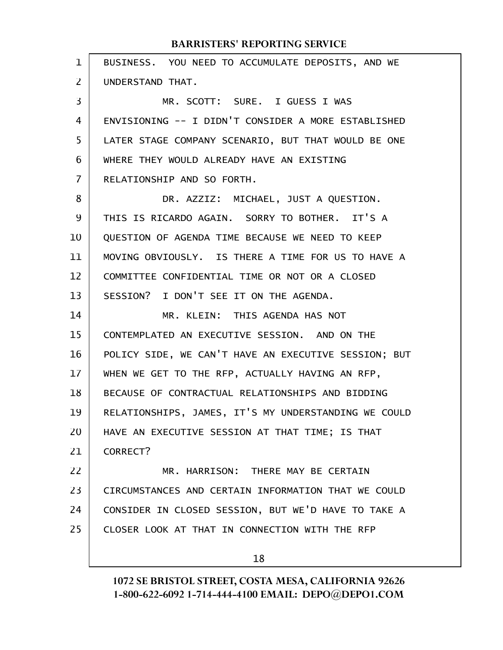| $\mathbf{1}$   | BUSINESS. YOU NEED TO ACCUMULATE DEPOSITS, AND WE    |
|----------------|------------------------------------------------------|
| $\overline{2}$ | UNDERSTAND THAT.                                     |
| 3              | MR. SCOTT: SURE. I GUESS I WAS                       |
| 4              | ENVISIONING -- I DIDN'T CONSIDER A MORE ESTABLISHED  |
| 5              | LATER STAGE COMPANY SCENARIO, BUT THAT WOULD BE ONE  |
| 6              | WHERE THEY WOULD ALREADY HAVE AN EXISTING            |
| 7              | RELATIONSHIP AND SO FORTH.                           |
| 8              | DR. AZZIZ: MICHAEL, JUST A QUESTION.                 |
| 9              | THIS IS RICARDO AGAIN. SORRY TO BOTHER. IT'S A       |
| 10             | QUESTION OF AGENDA TIME BECAUSE WE NEED TO KEEP      |
| 11             | MOVING OBVIOUSLY. IS THERE A TIME FOR US TO HAVE A   |
| 12             | COMMITTEE CONFIDENTIAL TIME OR NOT OR A CLOSED       |
| 13             | SESSION? I DON'T SEE IT ON THE AGENDA.               |
| 14             | MR. KLEIN: THIS AGENDA HAS NOT                       |
| 15             | CONTEMPLATED AN EXECUTIVE SESSION. AND ON THE        |
| 16             | POLICY SIDE, WE CAN'T HAVE AN EXECUTIVE SESSION; BUT |
| 17             | WHEN WE GET TO THE RFP, ACTUALLY HAVING AN RFP,      |
| 18             | BECAUSE OF CONTRACTUAL RELATIONSHIPS AND BIDDING     |
| 19             | RELATIONSHIPS, JAMES, IT'S MY UNDERSTANDING WE COULD |
| 20             | HAVE AN EXECUTIVE SESSION AT THAT TIME; IS THAT      |
| 21             | CORRECT?                                             |
| 22             | MR. HARRISON: THERE MAY BE CERTAIN                   |
| 23             | CIRCUMSTANCES AND CERTAIN INFORMATION THAT WE COULD  |
| 24             | CONSIDER IN CLOSED SESSION, BUT WE'D HAVE TO TAKE A  |
| 25             | CLOSER LOOK AT THAT IN CONNECTION WITH THE RFP       |
|                | 18                                                   |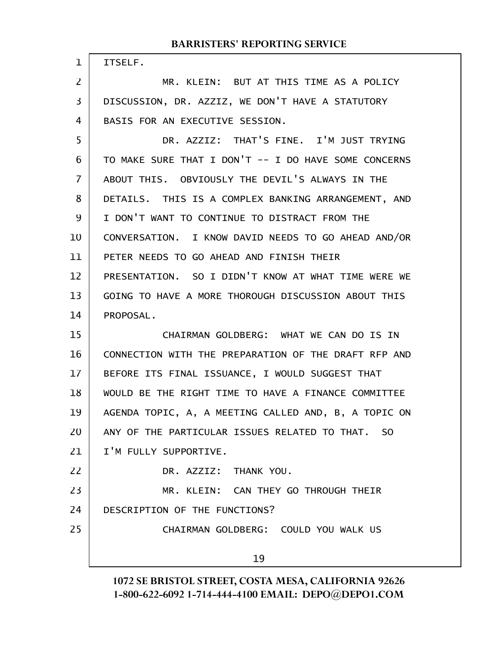| $\mathbf{1}$   | ITSELF.                                              |
|----------------|------------------------------------------------------|
| $\overline{2}$ | MR. KLEIN: BUT AT THIS TIME AS A POLICY              |
| $\overline{3}$ | DISCUSSION, DR. AZZIZ, WE DON'T HAVE A STATUTORY     |
| 4              | BASIS FOR AN EXECUTIVE SESSION.                      |
| 5              | DR. AZZIZ: THAT'S FINE. I'M JUST TRYING              |
| 6              | TO MAKE SURE THAT I DON'T -- I DO HAVE SOME CONCERNS |
| $\overline{7}$ | ABOUT THIS. OBVIOUSLY THE DEVIL'S ALWAYS IN THE      |
| 8              | DETAILS. THIS IS A COMPLEX BANKING ARRANGEMENT, AND  |
| 9              | I DON'T WANT TO CONTINUE TO DISTRACT FROM THE        |
| 10             | CONVERSATION. I KNOW DAVID NEEDS TO GO AHEAD AND/OR  |
| 11             | PETER NEEDS TO GO AHEAD AND FINISH THEIR             |
| 12             | PRESENTATION. SO I DIDN'T KNOW AT WHAT TIME WERE WE  |
| 13             | GOING TO HAVE A MORE THOROUGH DISCUSSION ABOUT THIS  |
| 14             | PROPOSAL.                                            |
| 15             | CHAIRMAN GOLDBERG: WHAT WE CAN DO IS IN              |
| 16             | CONNECTION WITH THE PREPARATION OF THE DRAFT RFP AND |
| 17             | BEFORE ITS FINAL ISSUANCE, I WOULD SUGGEST THAT      |
| 18             | WOULD BE THE RIGHT TIME TO HAVE A FINANCE COMMITTEE  |
| 19             | AGENDA TOPIC, A, A MEETING CALLED AND, B, A TOPIC ON |
| 20             | ANY OF THE PARTICULAR ISSUES RELATED TO THAT. SO     |
| 21             | I'M FULLY SUPPORTIVE.                                |
| 22             | DR. AZZIZ: THANK YOU.                                |
| 23             | MR. KLEIN: CAN THEY GO THROUGH THEIR                 |
| 24             | DESCRIPTION OF THE FUNCTIONS?                        |
| 25             | CHAIRMAN GOLDBERG: COULD YOU WALK US                 |
|                | 19                                                   |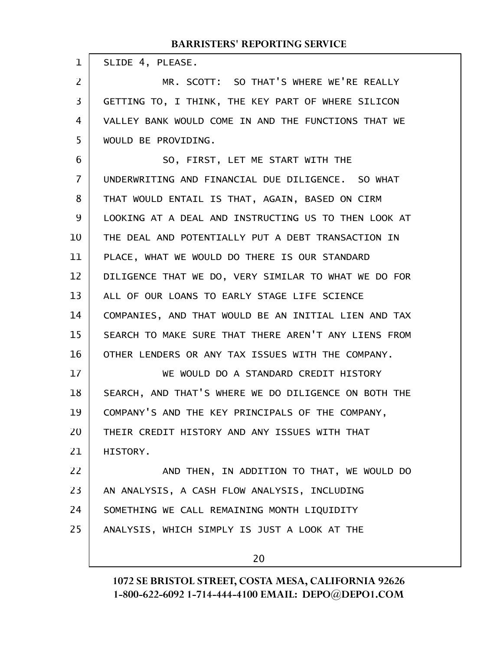| 1  | SLIDE 4, PLEASE.                                     |
|----|------------------------------------------------------|
| 2  | MR. SCOTT: SO THAT'S WHERE WE'RE REALLY              |
| 3  | GETTING TO, I THINK, THE KEY PART OF WHERE SILICON   |
| 4  | VALLEY BANK WOULD COME IN AND THE FUNCTIONS THAT WE  |
| 5  | WOULD BE PROVIDING.                                  |
| 6  | SO, FIRST, LET ME START WITH THE                     |
| 7  | UNDERWRITING AND FINANCIAL DUE DILIGENCE. SO WHAT    |
| 8  | THAT WOULD ENTAIL IS THAT, AGAIN, BASED ON CIRM      |
| 9  | LOOKING AT A DEAL AND INSTRUCTING US TO THEN LOOK AT |
| 10 | THE DEAL AND POTENTIALLY PUT A DEBT TRANSACTION IN   |
| 11 | PLACE, WHAT WE WOULD DO THERE IS OUR STANDARD        |
| 12 | DILIGENCE THAT WE DO, VERY SIMILAR TO WHAT WE DO FOR |
| 13 | ALL OF OUR LOANS TO EARLY STAGE LIFE SCIENCE         |
| 14 | COMPANIES, AND THAT WOULD BE AN INITIAL LIEN AND TAX |
| 15 | SEARCH TO MAKE SURE THAT THERE AREN'T ANY LIENS FROM |
| 16 | OTHER LENDERS OR ANY TAX ISSUES WITH THE COMPANY.    |
| 17 | WE WOULD DO A STANDARD CREDIT HISTORY                |
| 18 | SEARCH, AND THAT'S WHERE WE DO DILIGENCE ON BOTH THE |
| 19 | COMPANY'S AND THE KEY PRINCIPALS OF THE COMPANY,     |
| 20 | THEIR CREDIT HISTORY AND ANY ISSUES WITH THAT        |
| 21 | HISTORY.                                             |
| 22 | AND THEN, IN ADDITION TO THAT, WE WOULD DO           |
| 23 | AN ANALYSIS, A CASH FLOW ANALYSIS, INCLUDING         |
| 24 | SOMETHING WE CALL REMAINING MONTH LIQUIDITY          |
| 25 | ANALYSIS, WHICH SIMPLY IS JUST A LOOK AT THE         |
|    | 20                                                   |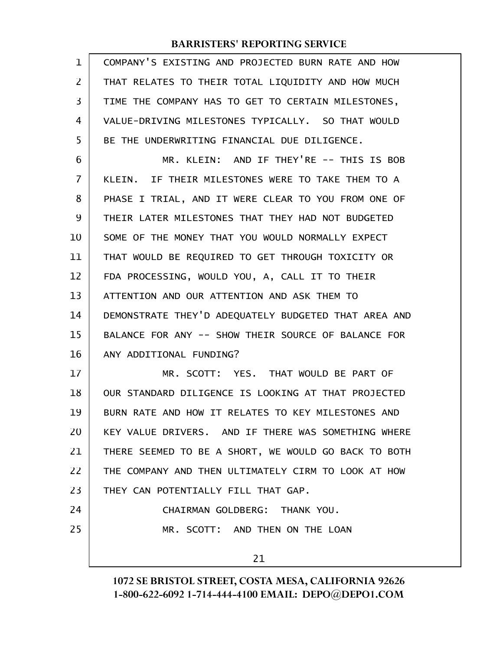| $\mathbf 1$    | COMPANY'S EXISTING AND PROJECTED BURN RATE AND HOW   |
|----------------|------------------------------------------------------|
| $\overline{2}$ | THAT RELATES TO THEIR TOTAL LIQUIDITY AND HOW MUCH   |
| 3              | TIME THE COMPANY HAS TO GET TO CERTAIN MILESTONES,   |
| 4              | VALUE-DRIVING MILESTONES TYPICALLY. SO THAT WOULD    |
| 5              | BE THE UNDERWRITING FINANCIAL DUE DILIGENCE.         |
| 6              | MR. KLEIN: AND IF THEY'RE -- THIS IS BOB             |
| 7              | KLEIN. IF THEIR MILESTONES WERE TO TAKE THEM TO A    |
| 8              | PHASE I TRIAL, AND IT WERE CLEAR TO YOU FROM ONE OF  |
| 9              | THEIR LATER MILESTONES THAT THEY HAD NOT BUDGETED    |
| 10             | SOME OF THE MONEY THAT YOU WOULD NORMALLY EXPECT     |
| 11             | THAT WOULD BE REQUIRED TO GET THROUGH TOXICITY OR    |
| 12             | FDA PROCESSING, WOULD YOU, A, CALL IT TO THEIR       |
| 13             | ATTENTION AND OUR ATTENTION AND ASK THEM TO          |
| 14             | DEMONSTRATE THEY'D ADEQUATELY BUDGETED THAT AREA AND |
| 15             | BALANCE FOR ANY -- SHOW THEIR SOURCE OF BALANCE FOR  |
| 16             | ANY ADDITIONAL FUNDING?                              |
| 17             | MR. SCOTT: YES. THAT WOULD BE PART OF                |
| 18             | OUR STANDARD DILIGENCE IS LOOKING AT THAT PROJECTED  |
| 19             | BURN RATE AND HOW IT RELATES TO KEY MILESTONES AND   |
| 20             | KEY VALUE DRIVERS. AND IF THERE WAS SOMETHING WHERE  |
| 21             | THERE SEEMED TO BE A SHORT, WE WOULD GO BACK TO BOTH |
| 22             | THE COMPANY AND THEN ULTIMATELY CIRM TO LOOK AT HOW  |
| 23             | THEY CAN POTENTIALLY FILL THAT GAP.                  |
| 24             | CHAIRMAN GOLDBERG: THANK YOU.                        |
| 25             | MR. SCOTT: AND THEN ON THE LOAN                      |
|                | 21                                                   |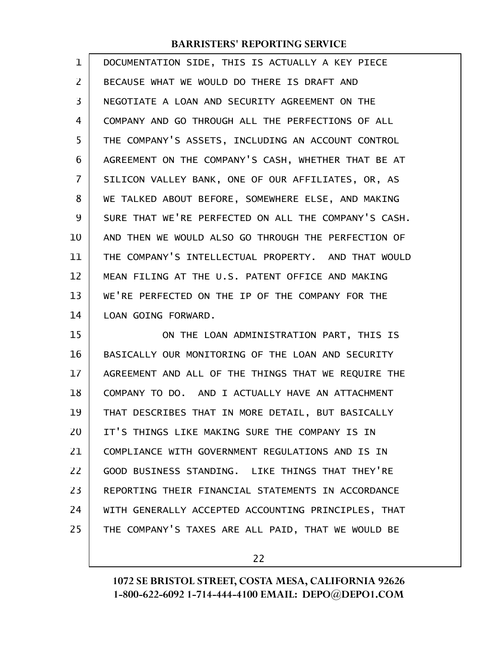| $\mathbf{1}$ | DOCUMENTATION SIDE, THIS IS ACTUALLY A KEY PIECE     |
|--------------|------------------------------------------------------|
| 2            | BECAUSE WHAT WE WOULD DO THERE IS DRAFT AND          |
| 3            | NEGOTIATE A LOAN AND SECURITY AGREEMENT ON THE       |
| 4            | COMPANY AND GO THROUGH ALL THE PERFECTIONS OF ALL    |
| 5            | THE COMPANY'S ASSETS, INCLUDING AN ACCOUNT CONTROL   |
| 6            | AGREEMENT ON THE COMPANY'S CASH, WHETHER THAT BE AT  |
| 7            | SILICON VALLEY BANK, ONE OF OUR AFFILIATES, OR, AS   |
| 8            | WE TALKED ABOUT BEFORE, SOMEWHERE ELSE, AND MAKING   |
| 9            | SURE THAT WE'RE PERFECTED ON ALL THE COMPANY'S CASH. |
| 10           | AND THEN WE WOULD ALSO GO THROUGH THE PERFECTION OF  |
| 11           | THE COMPANY'S INTELLECTUAL PROPERTY. AND THAT WOULD  |
| 12           | MEAN FILING AT THE U.S. PATENT OFFICE AND MAKING     |
| 13           | WE'RE PERFECTED ON THE IP OF THE COMPANY FOR THE     |
| 14           | LOAN GOING FORWARD.                                  |
| 15           | ON THE LOAN ADMINISTRATION PART, THIS IS             |
| 16           | BASICALLY OUR MONITORING OF THE LOAN AND SECURITY    |
| 17           | AGREEMENT AND ALL OF THE THINGS THAT WE REQUIRE THE  |
| 18           | COMPANY TO DO. AND I ACTUALLY HAVE AN ATTACHMENT     |
| 19           | THAT DESCRIBES THAT IN MORE DETAIL, BUT BASICALLY    |
| 20           | IT'S THINGS LIKE MAKING SURE THE COMPANY IS IN       |
| 21           | COMPLIANCE WITH GOVERNMENT REGULATIONS AND IS IN     |
| 22           | GOOD BUSINESS STANDING. LIKE THINGS THAT THEY'RE     |
| 23           | REPORTING THEIR FINANCIAL STATEMENTS IN ACCORDANCE   |
| 24           | WITH GENERALLY ACCEPTED ACCOUNTING PRINCIPLES, THAT  |

THE COMPANY'S TAXES ARE ALL PAID, THAT WE WOULD BE

25

22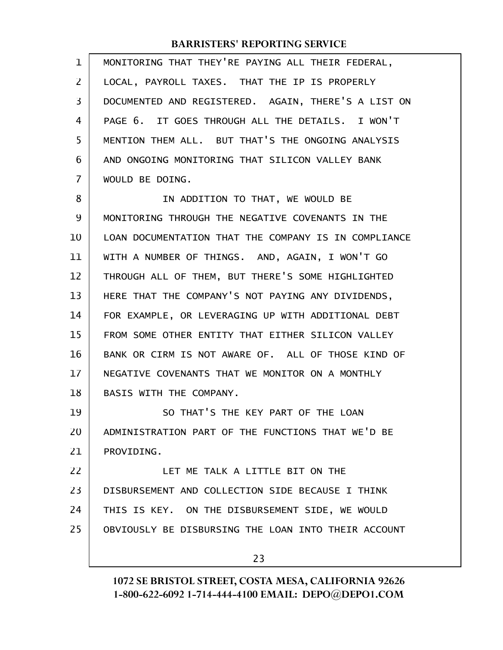| 1  | MONITORING THAT THEY'RE PAYING ALL THEIR FEDERAL,    |
|----|------------------------------------------------------|
| 2  | LOCAL, PAYROLL TAXES. THAT THE IP IS PROPERLY        |
| 3  | DOCUMENTED AND REGISTERED. AGAIN, THERE'S A LIST ON  |
| 4  | PAGE 6. IT GOES THROUGH ALL THE DETAILS. I WON'T     |
| 5  | MENTION THEM ALL. BUT THAT'S THE ONGOING ANALYSIS    |
| 6  | AND ONGOING MONITORING THAT SILICON VALLEY BANK      |
| 7  | WOULD BE DOING.                                      |
| 8  | IN ADDITION TO THAT, WE WOULD BE                     |
| 9  | MONITORING THROUGH THE NEGATIVE COVENANTS IN THE     |
| 10 | LOAN DOCUMENTATION THAT THE COMPANY IS IN COMPLIANCE |
| 11 | WITH A NUMBER OF THINGS. AND, AGAIN, I WON'T GO      |
| 12 | THROUGH ALL OF THEM, BUT THERE'S SOME HIGHLIGHTED    |
| 13 | HERE THAT THE COMPANY'S NOT PAYING ANY DIVIDENDS,    |
| 14 | FOR EXAMPLE, OR LEVERAGING UP WITH ADDITIONAL DEBT   |
| 15 | FROM SOME OTHER ENTITY THAT EITHER SILICON VALLEY    |
| 16 | BANK OR CIRM IS NOT AWARE OF. ALL OF THOSE KIND OF   |
| 17 | NEGATIVE COVENANTS THAT WE MONITOR ON A MONTHLY      |
| 18 | BASIS WITH THE COMPANY.                              |
| 19 | SO THAT'S THE KEY PART OF THE LOAN                   |
| 20 | ADMINISTRATION PART OF THE FUNCTIONS THAT WE'D BE    |
| 21 | PROVIDING.                                           |
| 22 | LET ME TALK A LITTLE BIT ON THE                      |
| 23 | DISBURSEMENT AND COLLECTION SIDE BECAUSE I THINK     |
| 24 | THIS IS KEY. ON THE DISBURSEMENT SIDE, WE WOULD      |
| 25 | OBVIOUSLY BE DISBURSING THE LOAN INTO THEIR ACCOUNT  |
|    | 23                                                   |
|    |                                                      |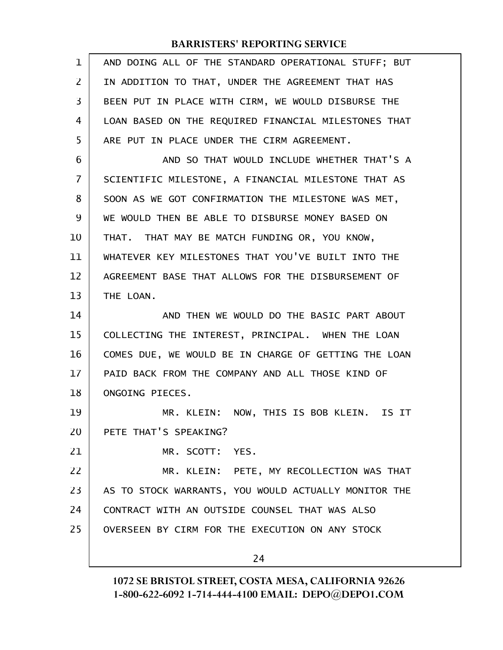| $\mathbf{1}$ | AND DOING ALL OF THE STANDARD OPERATIONAL STUFF; BUT |
|--------------|------------------------------------------------------|
| 2            | IN ADDITION TO THAT, UNDER THE AGREEMENT THAT HAS    |
| 3            | BEEN PUT IN PLACE WITH CIRM, WE WOULD DISBURSE THE   |
| 4            | LOAN BASED ON THE REQUIRED FINANCIAL MILESTONES THAT |
| 5            | ARE PUT IN PLACE UNDER THE CIRM AGREEMENT.           |
| 6            | AND SO THAT WOULD INCLUDE WHETHER THAT'S A           |
| 7            | SCIENTIFIC MILESTONE, A FINANCIAL MILESTONE THAT AS  |
| 8            | SOON AS WE GOT CONFIRMATION THE MILESTONE WAS MET,   |
| 9            | WE WOULD THEN BE ABLE TO DISBURSE MONEY BASED ON     |
| 10           | THAT. THAT MAY BE MATCH FUNDING OR, YOU KNOW,        |
| 11           | WHATEVER KEY MILESTONES THAT YOU'VE BUILT INTO THE   |
| 12           | AGREEMENT BASE THAT ALLOWS FOR THE DISBURSEMENT OF   |
| 13           | THE LOAN.                                            |
| 14           | AND THEN WE WOULD DO THE BASIC PART ABOUT            |
| 15           | COLLECTING THE INTEREST, PRINCIPAL. WHEN THE LOAN    |
| 16           | COMES DUE, WE WOULD BE IN CHARGE OF GETTING THE LOAN |
| 17           | PAID BACK FROM THE COMPANY AND ALL THOSE KIND OF     |
| 18           | ONGOING PIECES.                                      |
| 19           | MR. KLEIN: NOW, THIS IS BOB KLEIN. IS IT             |
| 20           | PETE THAT'S SPEAKING?                                |
| 21           | MR. SCOTT: YES.                                      |
| 22           | MR. KLEIN: PETE, MY RECOLLECTION WAS THAT            |
| 23           | AS TO STOCK WARRANTS, YOU WOULD ACTUALLY MONITOR THE |
| 24           | CONTRACT WITH AN OUTSIDE COUNSEL THAT WAS ALSO       |
| 25           | OVERSEEN BY CIRM FOR THE EXECUTION ON ANY STOCK      |
|              | 24                                                   |
|              |                                                      |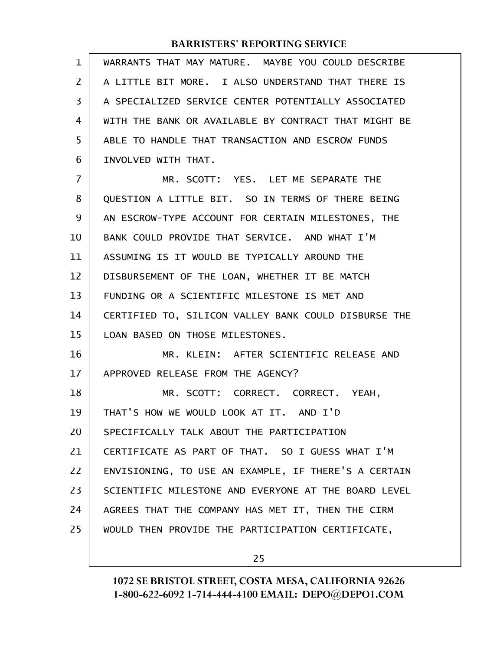| $\mathbf 1$ | WARRANTS THAT MAY MATURE. MAYBE YOU COULD DESCRIBE   |
|-------------|------------------------------------------------------|
| 2           | A LITTLE BIT MORE. I ALSO UNDERSTAND THAT THERE IS   |
| 3           | A SPECIALIZED SERVICE CENTER POTENTIALLY ASSOCIATED  |
| 4           | WITH THE BANK OR AVAILABLE BY CONTRACT THAT MIGHT BE |
| 5           | ABLE TO HANDLE THAT TRANSACTION AND ESCROW FUNDS     |
| 6           | INVOLVED WITH THAT.                                  |
| 7           | MR. SCOTT: YES. LET ME SEPARATE THE                  |
| 8           | QUESTION A LITTLE BIT. SO IN TERMS OF THERE BEING    |
| 9           | AN ESCROW-TYPE ACCOUNT FOR CERTAIN MILESTONES, THE   |
| 10          | BANK COULD PROVIDE THAT SERVICE. AND WHAT I'M        |
| 11          | ASSUMING IS IT WOULD BE TYPICALLY AROUND THE         |
| 12          | DISBURSEMENT OF THE LOAN, WHETHER IT BE MATCH        |
| 13          | FUNDING OR A SCIENTIFIC MILESTONE IS MET AND         |
| 14          | CERTIFIED TO, SILICON VALLEY BANK COULD DISBURSE THE |
| 15          | LOAN BASED ON THOSE MILESTONES.                      |
| 16          | MR. KLEIN: AFTER SCIENTIFIC RELEASE AND              |
| 17          | APPROVED RELEASE FROM THE AGENCY?                    |
| 18          | MR. SCOTT: CORRECT. CORRECT. YEAH,                   |
| 19          | THAT'S HOW WE WOULD LOOK AT IT. AND I'D              |
| 20          | SPECIFICALLY TALK ABOUT THE PARTICIPATION            |
| 21          | CERTIFICATE AS PART OF THAT. SO I GUESS WHAT I'M     |
| 22          | ENVISIONING, TO USE AN EXAMPLE, IF THERE'S A CERTAIN |
| 23          | SCIENTIFIC MILESTONE AND EVERYONE AT THE BOARD LEVEL |
| 24          | AGREES THAT THE COMPANY HAS MET IT, THEN THE CIRM    |
| 25          | WOULD THEN PROVIDE THE PARTICIPATION CERTIFICATE,    |
|             |                                                      |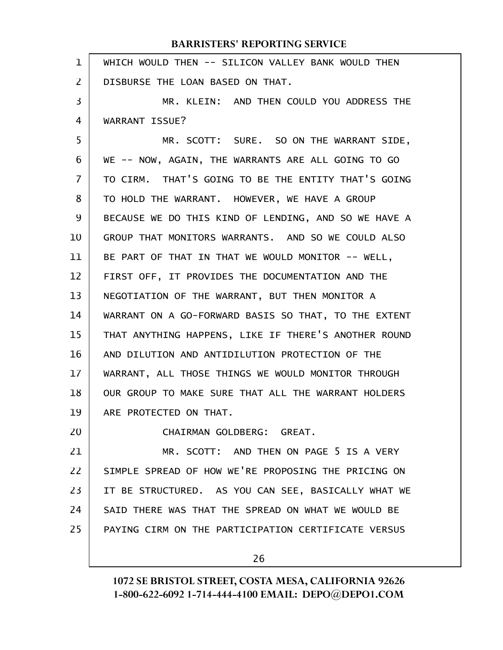| 1  | WHICH WOULD THEN -- SILICON VALLEY BANK WOULD THEN   |
|----|------------------------------------------------------|
| 2  | DISBURSE THE LOAN BASED ON THAT.                     |
| 3  | MR. KLEIN: AND THEN COULD YOU ADDRESS THE            |
| 4  | WARRANT ISSUE?                                       |
| 5  | MR. SCOTT: SURE. SO ON THE WARRANT SIDE,             |
| 6  | WE -- NOW, AGAIN, THE WARRANTS ARE ALL GOING TO GO   |
| 7  | TO CIRM. THAT'S GOING TO BE THE ENTITY THAT'S GOING  |
| 8  | TO HOLD THE WARRANT. HOWEVER, WE HAVE A GROUP        |
| 9  | BECAUSE WE DO THIS KIND OF LENDING, AND SO WE HAVE A |
| 10 | GROUP THAT MONITORS WARRANTS. AND SO WE COULD ALSO   |
| 11 | BE PART OF THAT IN THAT WE WOULD MONITOR -- WELL,    |
| 12 | FIRST OFF, IT PROVIDES THE DOCUMENTATION AND THE     |
| 13 | NEGOTIATION OF THE WARRANT, BUT THEN MONITOR A       |
| 14 | WARRANT ON A GO-FORWARD BASIS SO THAT, TO THE EXTENT |
| 15 | THAT ANYTHING HAPPENS, LIKE IF THERE'S ANOTHER ROUND |
| 16 | AND DILUTION AND ANTIDILUTION PROTECTION OF THE      |
| 17 | WARRANT, ALL THOSE THINGS WE WOULD MONITOR THROUGH   |
| 18 | OUR GROUP TO MAKE SURE THAT ALL THE WARRANT HOLDERS  |
| 19 | ARE PROTECTED ON THAT.                               |
| 20 | CHAIRMAN GOLDBERG: GREAT.                            |
| 21 | MR. SCOTT: AND THEN ON PAGE 5 IS A VERY              |
| 22 | SIMPLE SPREAD OF HOW WE'RE PROPOSING THE PRICING ON  |
| 23 | IT BE STRUCTURED. AS YOU CAN SEE, BASICALLY WHAT WE  |
| 24 | SAID THERE WAS THAT THE SPREAD ON WHAT WE WOULD BE   |
| 25 | PAYING CIRM ON THE PARTICIPATION CERTIFICATE VERSUS  |
|    |                                                      |
|    | 26                                                   |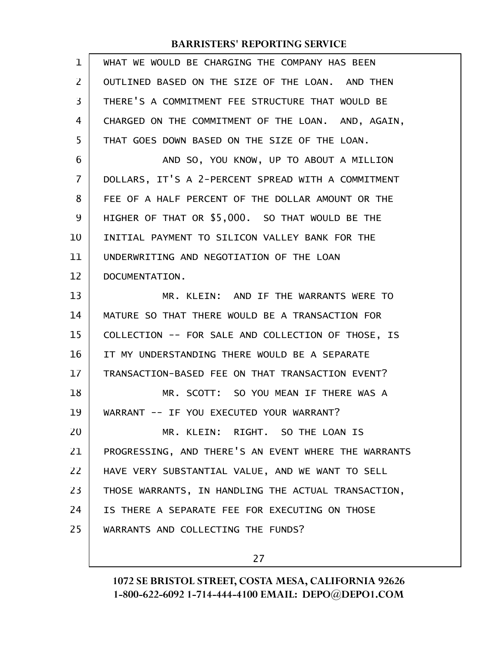| $\mathbf{1}$ | WHAT WE WOULD BE CHARGING THE COMPANY HAS BEEN       |
|--------------|------------------------------------------------------|
| 2            | OUTLINED BASED ON THE SIZE OF THE LOAN. AND THEN     |
| 3            | THERE'S A COMMITMENT FEE STRUCTURE THAT WOULD BE     |
| 4            | CHARGED ON THE COMMITMENT OF THE LOAN. AND, AGAIN,   |
| 5            | THAT GOES DOWN BASED ON THE SIZE OF THE LOAN.        |
| 6            | AND SO, YOU KNOW, UP TO ABOUT A MILLION              |
| 7            | DOLLARS, IT'S A 2-PERCENT SPREAD WITH A COMMITMENT   |
| 8            | FEE OF A HALF PERCENT OF THE DOLLAR AMOUNT OR THE    |
| 9            | HIGHER OF THAT OR \$5,000. SO THAT WOULD BE THE      |
| 10           | INITIAL PAYMENT TO SILICON VALLEY BANK FOR THE       |
| 11           | UNDERWRITING AND NEGOTIATION OF THE LOAN             |
| 12           | DOCUMENTATION.                                       |
| 13           | MR. KLEIN: AND IF THE WARRANTS WERE TO               |
| 14           | MATURE SO THAT THERE WOULD BE A TRANSACTION FOR      |
| 15           | COLLECTION -- FOR SALE AND COLLECTION OF THOSE, IS   |
| 16           | IT MY UNDERSTANDING THERE WOULD BE A SEPARATE        |
| 17           | TRANSACTION-BASED FEE ON THAT TRANSACTION EVENT?     |
| 18           | MR. SCOTT: SO YOU MEAN IF THERE WAS A                |
| 19           | WARRANT -- IF YOU EXECUTED YOUR WARRANT?             |
| 20           | MR. KLEIN: RIGHT. SO THE LOAN IS                     |
| 21           | PROGRESSING, AND THERE'S AN EVENT WHERE THE WARRANTS |
| 22           | HAVE VERY SUBSTANTIAL VALUE, AND WE WANT TO SELL     |
| 23           | THOSE WARRANTS, IN HANDLING THE ACTUAL TRANSACTION,  |
| 24           | IS THERE A SEPARATE FEE FOR EXECUTING ON THOSE       |
| 25           | WARRANTS AND COLLECTING THE FUNDS?                   |
|              |                                                      |

27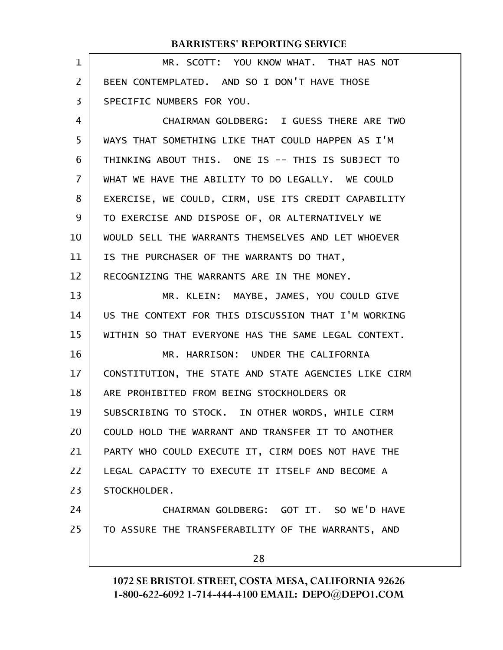| 1              | MR. SCOTT: YOU KNOW WHAT. THAT HAS NOT               |
|----------------|------------------------------------------------------|
| $\overline{2}$ | BEEN CONTEMPLATED. AND SO I DON'T HAVE THOSE         |
| 3              | SPECIFIC NUMBERS FOR YOU.                            |
| $\overline{4}$ | CHAIRMAN GOLDBERG: I GUESS THERE ARE TWO             |
| 5              | WAYS THAT SOMETHING LIKE THAT COULD HAPPEN AS I'M    |
| 6              | THINKING ABOUT THIS. ONE IS -- THIS IS SUBJECT TO    |
| 7              | WHAT WE HAVE THE ABILITY TO DO LEGALLY. WE COULD     |
| 8              | EXERCISE, WE COULD, CIRM, USE ITS CREDIT CAPABILITY  |
| 9              | TO EXERCISE AND DISPOSE OF, OR ALTERNATIVELY WE      |
| 10             | WOULD SELL THE WARRANTS THEMSELVES AND LET WHOEVER   |
| 11             | IS THE PURCHASER OF THE WARRANTS DO THAT,            |
| 12             | RECOGNIZING THE WARRANTS ARE IN THE MONEY.           |
| 13             | MR. KLEIN: MAYBE, JAMES, YOU COULD GIVE              |
| 14             | US THE CONTEXT FOR THIS DISCUSSION THAT I'M WORKING  |
| 15             | WITHIN SO THAT EVERYONE HAS THE SAME LEGAL CONTEXT.  |
| 16             | MR. HARRISON: UNDER THE CALIFORNIA                   |
| 17             | CONSTITUTION, THE STATE AND STATE AGENCIES LIKE CIRM |
| 18             | ARE PROHIBITED FROM BEING STOCKHOLDERS OR            |
| 19             | SUBSCRIBING TO STOCK. IN OTHER WORDS, WHILE CIRM     |
| 20             | COULD HOLD THE WARRANT AND TRANSFER IT TO ANOTHER    |
| 21             | PARTY WHO COULD EXECUTE IT, CIRM DOES NOT HAVE THE   |
| 22             | LEGAL CAPACITY TO EXECUTE IT ITSELF AND BECOME A     |
| 23             | STOCKHOLDER.                                         |
| 24             | CHAIRMAN GOLDBERG: GOT IT. SO WE'D HAVE              |
| 25             | TO ASSURE THE TRANSFERABILITY OF THE WARRANTS, AND   |
|                | 28                                                   |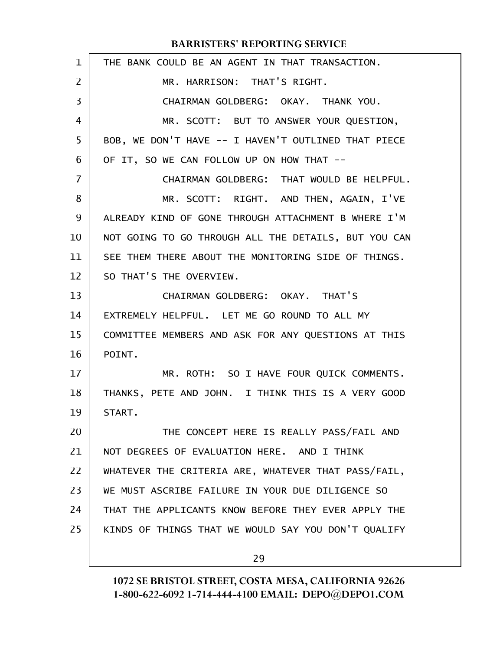| $\mathbf{1}$   | THE BANK COULD BE AN AGENT IN THAT TRANSACTION.      |
|----------------|------------------------------------------------------|
| $\overline{2}$ | MR. HARRISON: THAT'S RIGHT.                          |
| 3              | CHAIRMAN GOLDBERG: OKAY. THANK YOU.                  |
| 4              | MR. SCOTT: BUT TO ANSWER YOUR QUESTION,              |
| 5              | BOB, WE DON'T HAVE -- I HAVEN'T OUTLINED THAT PIECE  |
| 6              | OF IT, SO WE CAN FOLLOW UP ON HOW THAT --            |
| 7              | CHAIRMAN GOLDBERG: THAT WOULD BE HELPFUL.            |
| 8              | MR. SCOTT: RIGHT. AND THEN, AGAIN, I'VE              |
| 9              | ALREADY KIND OF GONE THROUGH ATTACHMENT B WHERE I'M  |
| 10             | NOT GOING TO GO THROUGH ALL THE DETAILS, BUT YOU CAN |
| 11             | SEE THEM THERE ABOUT THE MONITORING SIDE OF THINGS.  |
| 12             | SO THAT'S THE OVERVIEW.                              |
| 13             | CHAIRMAN GOLDBERG: OKAY. THAT'S                      |
| 14             | EXTREMELY HELPFUL. LET ME GO ROUND TO ALL MY         |
| 15             | COMMITTEE MEMBERS AND ASK FOR ANY QUESTIONS AT THIS  |
| 16             | POINT.                                               |
| 17             | MR. ROTH: SO I HAVE FOUR QUICK COMMENTS.             |
| 18             | THANKS, PETE AND JOHN. I THINK THIS IS A VERY GOOD   |
| 19             | START.                                               |
| 20             | THE CONCEPT HERE IS REALLY PASS/FAIL AND             |
| 21             | NOT DEGREES OF EVALUATION HERE. AND I THINK          |
| 22             | WHATEVER THE CRITERIA ARE, WHATEVER THAT PASS/FAIL,  |
| 23             | WE MUST ASCRIBE FAILURE IN YOUR DUE DILIGENCE SO     |
| 24             | THAT THE APPLICANTS KNOW BEFORE THEY EVER APPLY THE  |
| 25             | KINDS OF THINGS THAT WE WOULD SAY YOU DON'T QUALIFY  |
|                | 29                                                   |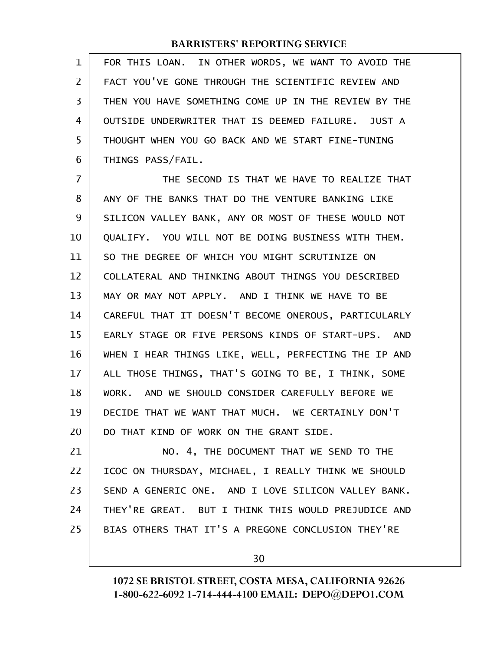FOR THIS LOAN. IN OTHER WORDS, WE WANT TO AVOID THE FACT YOU'VE GONE THROUGH THE SCIENTIFIC REVIEW AND THEN YOU HAVE SOMETHING COME UP IN THE REVIEW BY THE OUTSIDE UNDERWRITER THAT IS DEEMED FAILURE. JUST A THOUGHT WHEN YOU GO BACK AND WE START FINE-TUNING THINGS PASS/FAIL. 1 2 3 4 5 6

THE SECOND IS THAT WE HAVE TO REALIZE THAT ANY OF THE BANKS THAT DO THE VENTURE BANKING LIKE SILICON VALLEY BANK, ANY OR MOST OF THESE WOULD NOT QUALIFY. YOU WILL NOT BE DOING BUSINESS WITH THEM. SO THE DEGREE OF WHICH YOU MIGHT SCRUTINIZE ON COLLATERAL AND THINKING ABOUT THINGS YOU DESCRIBED MAY OR MAY NOT APPLY. AND I THINK WE HAVE TO BE CAREFUL THAT IT DOESN'T BECOME ONEROUS, PARTICULARLY EARLY STAGE OR FIVE PERSONS KINDS OF START-UPS. AND WHEN I HEAR THINGS LIKE, WELL, PERFECTING THE IP AND ALL THOSE THINGS, THAT'S GOING TO BE, I THINK, SOME WORK. AND WE SHOULD CONSIDER CAREFULLY BEFORE WE DECIDE THAT WE WANT THAT MUCH. WE CERTAINLY DON'T DO THAT KIND OF WORK ON THE GRANT SIDE. 7 8 9 10 11 12 13 14 15 16 17 18 19 20

NO. 4, THE DOCUMENT THAT WE SEND TO THE ICOC ON THURSDAY, MICHAEL, I REALLY THINK WE SHOULD SEND A GENERIC ONE. AND I LOVE SILICON VALLEY BANK. THEY'RE GREAT. BUT I THINK THIS WOULD PREJUDICE AND BIAS OTHERS THAT IT'S A PREGONE CONCLUSION THEY'RE 21 22 23 24 25

30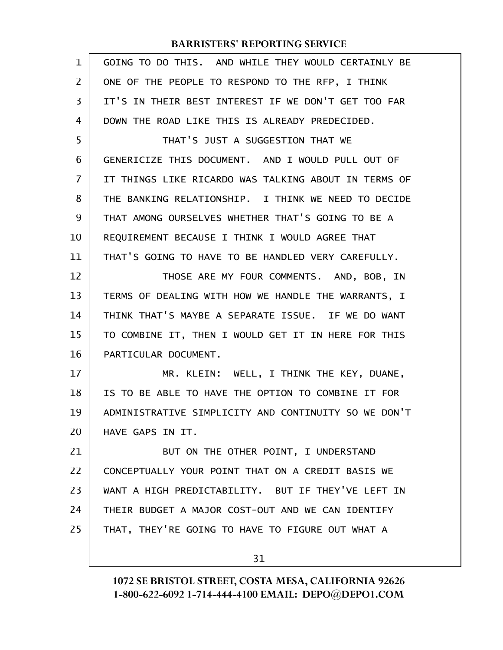| 1  | GOING TO DO THIS. AND WHILE THEY WOULD CERTAINLY BE  |
|----|------------------------------------------------------|
| 2  | ONE OF THE PEOPLE TO RESPOND TO THE RFP, I THINK     |
| 3  | IT'S IN THEIR BEST INTEREST IF WE DON'T GET TOO FAR  |
| 4  | DOWN THE ROAD LIKE THIS IS ALREADY PREDECIDED.       |
| 5  | THAT'S JUST A SUGGESTION THAT WE                     |
| 6  | GENERICIZE THIS DOCUMENT. AND I WOULD PULL OUT OF    |
| 7  | IT THINGS LIKE RICARDO WAS TALKING ABOUT IN TERMS OF |
| 8  | THE BANKING RELATIONSHIP. I THINK WE NEED TO DECIDE  |
| 9  | THAT AMONG OURSELVES WHETHER THAT'S GOING TO BE A    |
| 10 | REQUIREMENT BECAUSE I THINK I WOULD AGREE THAT       |
| 11 | THAT'S GOING TO HAVE TO BE HANDLED VERY CAREFULLY.   |
| 12 | THOSE ARE MY FOUR COMMENTS. AND, BOB, IN             |
| 13 | TERMS OF DEALING WITH HOW WE HANDLE THE WARRANTS, I  |
| 14 | THINK THAT'S MAYBE A SEPARATE ISSUE. IF WE DO WANT   |
| 15 | TO COMBINE IT, THEN I WOULD GET IT IN HERE FOR THIS  |
| 16 | PARTICULAR DOCUMENT.                                 |
| 17 | MR. KLEIN: WELL, I THINK THE KEY, DUANE,             |
| 18 | IS TO BE ABLE TO HAVE THE OPTION TO COMBINE IT FOR   |
| 19 | ADMINISTRATIVE SIMPLICITY AND CONTINUITY SO WE DON'T |
| 20 | HAVE GAPS IN IT.                                     |
| 21 | BUT ON THE OTHER POINT, I UNDERSTAND                 |
| 22 | CONCEPTUALLY YOUR POINT THAT ON A CREDIT BASIS WE    |
| 23 | WANT A HIGH PREDICTABILITY. BUT IF THEY'VE LEFT IN   |
| 24 | THEIR BUDGET A MAJOR COST-OUT AND WE CAN IDENTIFY    |
| 25 | THAT, THEY'RE GOING TO HAVE TO FIGURE OUT WHAT A     |
|    | 31                                                   |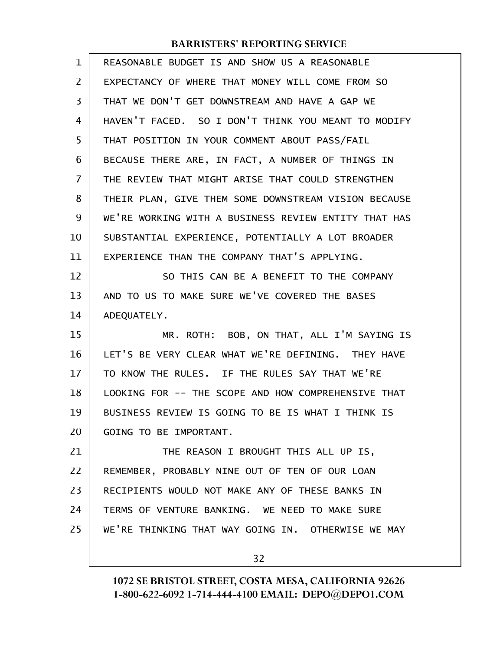| REASONABLE BUDGET IS AND SHOW US A REASONABLE        |
|------------------------------------------------------|
| EXPECTANCY OF WHERE THAT MONEY WILL COME FROM SO     |
| THAT WE DON'T GET DOWNSTREAM AND HAVE A GAP WE       |
| HAVEN'T FACED. SO I DON'T THINK YOU MEANT TO MODIFY  |
| THAT POSITION IN YOUR COMMENT ABOUT PASS/FAIL        |
| BECAUSE THERE ARE, IN FACT, A NUMBER OF THINGS IN    |
| THE REVIEW THAT MIGHT ARISE THAT COULD STRENGTHEN    |
| THEIR PLAN, GIVE THEM SOME DOWNSTREAM VISION BECAUSE |
| WE'RE WORKING WITH A BUSINESS REVIEW ENTITY THAT HAS |
| SUBSTANTIAL EXPERIENCE, POTENTIALLY A LOT BROADER    |
| EXPERIENCE THAN THE COMPANY THAT'S APPLYING.         |
| SO THIS CAN BE A BENEFIT TO THE COMPANY              |
| AND TO US TO MAKE SURE WE'VE COVERED THE BASES       |
| ADEQUATELY.                                          |
| MR. ROTH: BOB, ON THAT, ALL I'M SAYING IS            |
| LET'S BE VERY CLEAR WHAT WE'RE DEFINING. THEY HAVE   |
| TO KNOW THE RULES. IF THE RULES SAY THAT WE'RE       |
| LOOKING FOR -- THE SCOPE AND HOW COMPREHENSIVE THAT  |
| BUSINESS REVIEW IS GOING TO BE IS WHAT I THINK IS    |
| GOING TO BE IMPORTANT.                               |
| THE REASON I BROUGHT THIS ALL UP IS,                 |
| REMEMBER, PROBABLY NINE OUT OF TEN OF OUR LOAN       |
| RECIPIENTS WOULD NOT MAKE ANY OF THESE BANKS IN      |
| TERMS OF VENTURE BANKING. WE NEED TO MAKE SURE       |
| WE'RE THINKING THAT WAY GOING IN. OTHERWISE WE MAY   |
| 32                                                   |
|                                                      |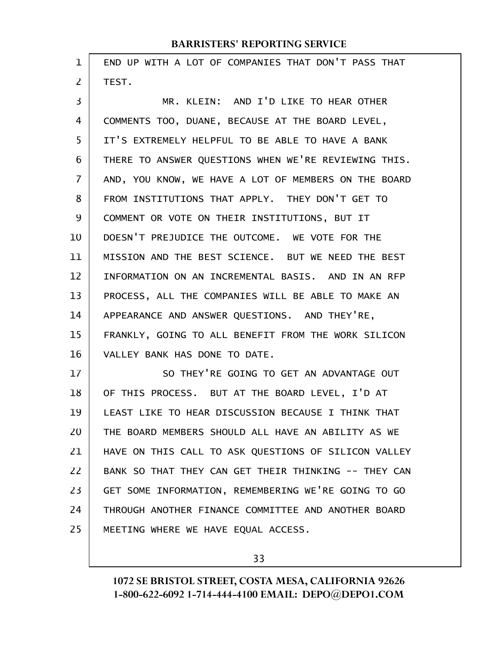| 1              | END UP WITH A LOT OF COMPANIES THAT DON'T PASS THAT  |
|----------------|------------------------------------------------------|
| $\overline{2}$ | TEST.                                                |
| 3              | MR. KLEIN: AND I'D LIKE TO HEAR OTHER                |
| 4              | COMMENTS TOO, DUANE, BECAUSE AT THE BOARD LEVEL,     |
| 5              | IT'S EXTREMELY HELPFUL TO BE ABLE TO HAVE A BANK     |
| 6              | THERE TO ANSWER QUESTIONS WHEN WE'RE REVIEWING THIS. |
| $\overline{7}$ | AND, YOU KNOW, WE HAVE A LOT OF MEMBERS ON THE BOARD |
| 8              | FROM INSTITUTIONS THAT APPLY. THEY DON'T GET TO      |
| 9              | COMMENT OR VOTE ON THEIR INSTITUTIONS, BUT IT        |
| 10             | DOESN'T PREJUDICE THE OUTCOME. WE VOTE FOR THE       |
| 11             | MISSION AND THE BEST SCIENCE. BUT WE NEED THE BEST   |
| 12             | INFORMATION ON AN INCREMENTAL BASIS. AND IN AN RFP   |
| 13             | PROCESS, ALL THE COMPANIES WILL BE ABLE TO MAKE AN   |
| 14             | APPEARANCE AND ANSWER QUESTIONS. AND THEY'RE,        |
| 15             | FRANKLY, GOING TO ALL BENEFIT FROM THE WORK SILICON  |
| 16             | VALLEY BANK HAS DONE TO DATE.                        |
| 17             | SO THEY'RE GOING TO GET AN ADVANTAGE OUT             |
| 18             | OF THIS PROCESS. BUT AT THE BOARD LEVEL, I'D AT      |
| 19             | LEAST LIKE TO HEAR DISCUSSION BECAUSE I THINK THAT   |
| 20             | THE BOARD MEMBERS SHOULD ALL HAVE AN ABILITY AS WE   |
| 21             | HAVE ON THIS CALL TO ASK QUESTIONS OF SILICON VALLEY |
| 22             | BANK SO THAT THEY CAN GET THEIR THINKING -- THEY CAN |
| 23             | GET SOME INFORMATION, REMEMBERING WE'RE GOING TO GO  |
| 24             | THROUGH ANOTHER FINANCE COMMITTEE AND ANOTHER BOARD  |
| 25             | MEETING WHERE WE HAVE EQUAL ACCESS.                  |

33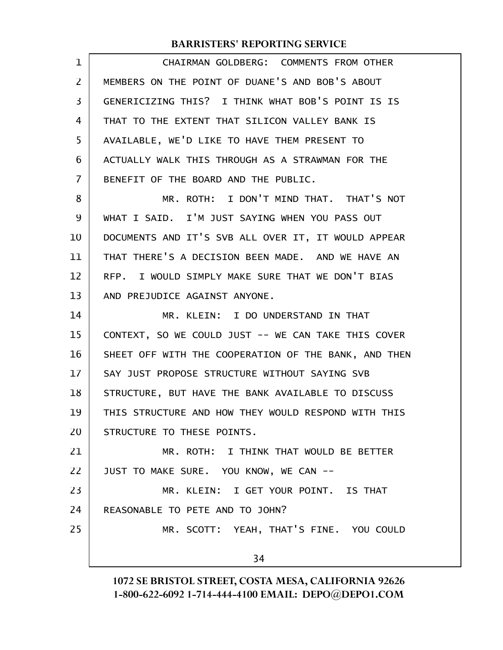| 1              | CHAIRMAN GOLDBERG: COMMENTS FROM OTHER               |
|----------------|------------------------------------------------------|
| $\overline{2}$ | MEMBERS ON THE POINT OF DUANE'S AND BOB'S ABOUT      |
| 3              | GENERICIZING THIS? I THINK WHAT BOB'S POINT IS IS    |
| 4              | THAT TO THE EXTENT THAT SILICON VALLEY BANK IS       |
| 5              | AVAILABLE, WE'D LIKE TO HAVE THEM PRESENT TO         |
| 6              | ACTUALLY WALK THIS THROUGH AS A STRAWMAN FOR THE     |
| $\overline{7}$ | BENEFIT OF THE BOARD AND THE PUBLIC.                 |
| 8              | MR. ROTH: I DON'T MIND THAT. THAT'S NOT              |
| 9              | WHAT I SAID. I'M JUST SAYING WHEN YOU PASS OUT       |
| 10             | DOCUMENTS AND IT'S SVB ALL OVER IT, IT WOULD APPEAR  |
| 11             | THAT THERE'S A DECISION BEEN MADE. AND WE HAVE AN    |
| 12             | RFP. I WOULD SIMPLY MAKE SURE THAT WE DON'T BIAS     |
| 13             | AND PREJUDICE AGAINST ANYONE.                        |
| 14             | MR. KLEIN: I DO UNDERSTAND IN THAT                   |
| 15             | CONTEXT, SO WE COULD JUST -- WE CAN TAKE THIS COVER  |
| 16             | SHEET OFF WITH THE COOPERATION OF THE BANK, AND THEN |
| 17             | SAY JUST PROPOSE STRUCTURE WITHOUT SAYING SVB        |
| 18             | STRUCTURE, BUT HAVE THE BANK AVAILABLE TO DISCUSS    |
| 19             | THIS STRUCTURE AND HOW THEY WOULD RESPOND WITH THIS  |
| 20             | STRUCTURE TO THESE POINTS.                           |
| 21             | MR. ROTH: I THINK THAT WOULD BE BETTER               |
| 22             | JUST TO MAKE SURE. YOU KNOW, WE CAN --               |
| 23             | MR. KLEIN: I GET YOUR POINT. IS THAT                 |
| 24             | REASONABLE TO PETE AND TO JOHN?                      |
| 25             | MR. SCOTT: YEAH, THAT'S FINE. YOU COULD              |
|                | 34                                                   |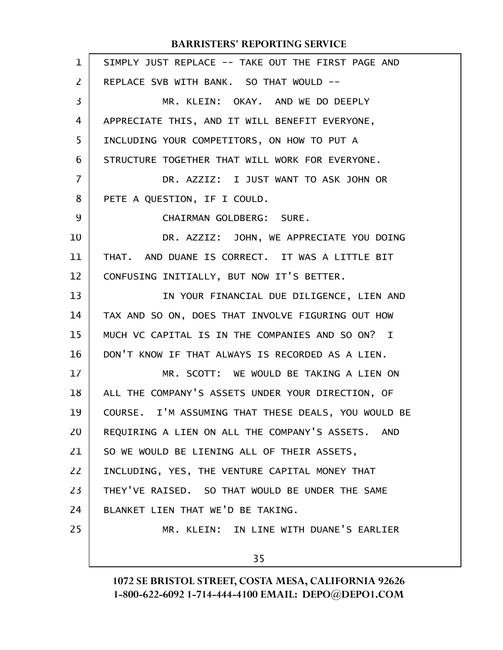| $\mathbf{1}$   | SIMPLY JUST REPLACE -- TAKE OUT THE FIRST PAGE AND  |
|----------------|-----------------------------------------------------|
| $\overline{2}$ | REPLACE SVB WITH BANK. SO THAT WOULD --             |
| 3              | MR. KLEIN: OKAY. AND WE DO DEEPLY                   |
| 4              | APPRECIATE THIS, AND IT WILL BENEFIT EVERYONE,      |
| 5              | INCLUDING YOUR COMPETITORS, ON HOW TO PUT A         |
| 6              | STRUCTURE TOGETHER THAT WILL WORK FOR EVERYONE.     |
| $\overline{7}$ | DR. AZZIZ: I JUST WANT TO ASK JOHN OR               |
| 8              | PETE A QUESTION, IF I COULD.                        |
| 9              | CHAIRMAN GOLDBERG: SURE.                            |
| 10             | DR. AZZIZ: JOHN, WE APPRECIATE YOU DOING            |
| 11             | THAT. AND DUANE IS CORRECT. IT WAS A LITTLE BIT     |
| 12             | CONFUSING INITIALLY, BUT NOW IT'S BETTER.           |
| 13             | IN YOUR FINANCIAL DUE DILIGENCE, LIEN AND           |
| 14             | TAX AND SO ON, DOES THAT INVOLVE FIGURING OUT HOW   |
| 15             | MUCH VC CAPITAL IS IN THE COMPANIES AND SO ON? I    |
| 16             | DON'T KNOW IF THAT ALWAYS IS RECORDED AS A LIEN.    |
| 17             | MR. SCOTT: WE WOULD BE TAKING A LIEN ON             |
| 18             | ALL THE COMPANY'S ASSETS UNDER YOUR DIRECTION, OF   |
| 19             | COURSE. I'M ASSUMING THAT THESE DEALS, YOU WOULD BE |
| 20             | REQUIRING A LIEN ON ALL THE COMPANY'S ASSETS. AND   |
| 21             | SO WE WOULD BE LIENING ALL OF THEIR ASSETS,         |
| 22             | INCLUDING, YES, THE VENTURE CAPITAL MONEY THAT      |
| 23             | THEY'VE RAISED. SO THAT WOULD BE UNDER THE SAME     |
| 24             | BLANKET LIEN THAT WE'D BE TAKING.                   |
| 25             | MR. KLEIN: IN LINE WITH DUANE'S EARLIER             |
|                | 35                                                  |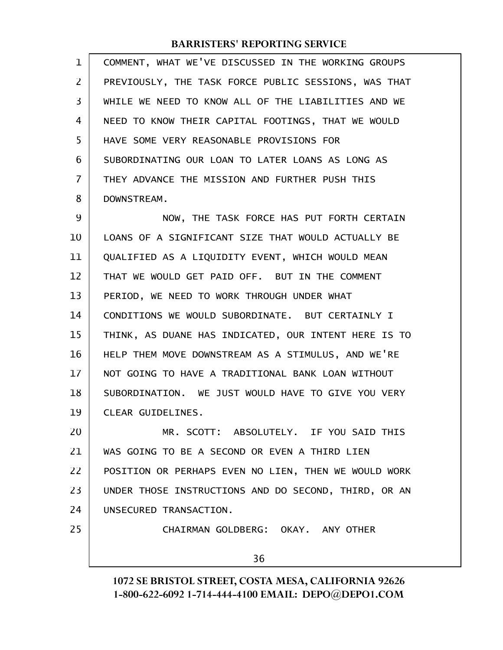| $\mathbf 1$ | COMMENT, WHAT WE'VE DISCUSSED IN THE WORKING GROUPS  |
|-------------|------------------------------------------------------|
| 2           | PREVIOUSLY, THE TASK FORCE PUBLIC SESSIONS, WAS THAT |
| 3           | WHILE WE NEED TO KNOW ALL OF THE LIABILITIES AND WE  |
| 4           | NEED TO KNOW THEIR CAPITAL FOOTINGS, THAT WE WOULD   |
| 5           | HAVE SOME VERY REASONABLE PROVISIONS FOR             |
| 6           | SUBORDINATING OUR LOAN TO LATER LOANS AS LONG AS     |
| 7           | THEY ADVANCE THE MISSION AND FURTHER PUSH THIS       |
| 8           | DOWNSTREAM.                                          |
| 9           | NOW, THE TASK FORCE HAS PUT FORTH CERTAIN            |
| 10          | LOANS OF A SIGNIFICANT SIZE THAT WOULD ACTUALLY BE   |
| 11          | QUALIFIED AS A LIQUIDITY EVENT, WHICH WOULD MEAN     |
| 12          | THAT WE WOULD GET PAID OFF. BUT IN THE COMMENT       |
| 13          | PERIOD, WE NEED TO WORK THROUGH UNDER WHAT           |
| 14          | CONDITIONS WE WOULD SUBORDINATE. BUT CERTAINLY I     |
| 15          | THINK, AS DUANE HAS INDICATED, OUR INTENT HERE IS TO |
| 16          | HELP THEM MOVE DOWNSTREAM AS A STIMULUS, AND WE'RE   |
| 17          | NOT GOING TO HAVE A TRADITIONAL BANK LOAN WITHOUT    |
| 18          | SUBORDINATION. WE JUST WOULD HAVE TO GIVE YOU VERY   |
| 19          | CLEAR GUIDELINES.                                    |
| 20          | MR. SCOTT: ABSOLUTELY. IF YOU SAID THIS              |
| 21          | WAS GOING TO BE A SECOND OR EVEN A THIRD LIEN        |
| 22          | POSITION OR PERHAPS EVEN NO LIEN, THEN WE WOULD WORK |
| 23          | UNDER THOSE INSTRUCTIONS AND DO SECOND, THIRD, OR AN |
| 24          | UNSECURED TRANSACTION.                               |
| 25          | CHAIRMAN GOLDBERG: OKAY. ANY OTHER                   |
|             | 36                                                   |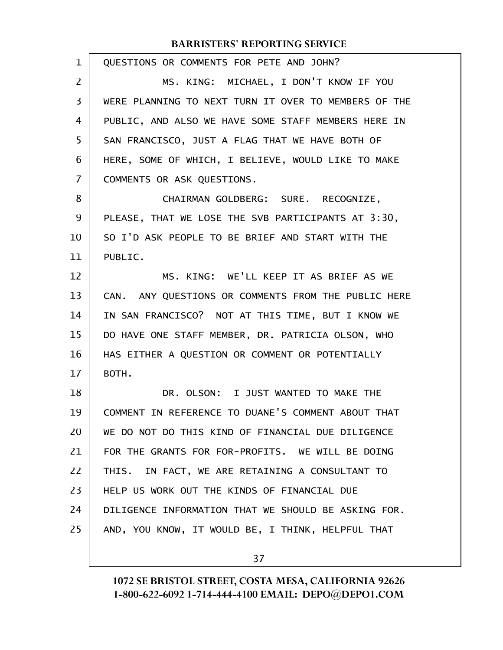| $\mathbf{1}$   | QUESTIONS OR COMMENTS FOR PETE AND JOHN?             |
|----------------|------------------------------------------------------|
| $\overline{2}$ | MS. KING: MICHAEL, I DON'T KNOW IF YOU               |
| 3              | WERE PLANNING TO NEXT TURN IT OVER TO MEMBERS OF THE |
| 4              | PUBLIC, AND ALSO WE HAVE SOME STAFF MEMBERS HERE IN  |
| 5              | SAN FRANCISCO, JUST A FLAG THAT WE HAVE BOTH OF      |
| 6              | HERE, SOME OF WHICH, I BELIEVE, WOULD LIKE TO MAKE   |
| 7              | COMMENTS OR ASK QUESTIONS.                           |
| 8              | CHAIRMAN GOLDBERG: SURE. RECOGNIZE,                  |
| 9              | PLEASE, THAT WE LOSE THE SVB PARTICIPANTS AT 3:30.   |
| 10             | SO I'D ASK PEOPLE TO BE BRIEF AND START WITH THE     |
| 11             | PUBLIC.                                              |
| 12             | MS. KING: WE'LL KEEP IT AS BRIEF AS WE               |
| 13             | CAN. ANY QUESTIONS OR COMMENTS FROM THE PUBLIC HERE  |
| 14             | IN SAN FRANCISCO? NOT AT THIS TIME, BUT I KNOW WE    |
| 15             | DO HAVE ONE STAFF MEMBER, DR. PATRICIA OLSON, WHO    |
| 16             | HAS EITHER A QUESTION OR COMMENT OR POTENTIALLY      |
| 17             | BOTH.                                                |
| 18             | DR. OLSON: I JUST WANTED TO MAKE THE                 |
| 19             | COMMENT IN REFERENCE TO DUANE'S COMMENT ABOUT THAT   |
| 20             | WE DO NOT DO THIS KIND OF FINANCIAL DUE DILIGENCE    |
| 21             | FOR THE GRANTS FOR FOR-PROFITS. WE WILL BE DOING     |
| 22             | THIS. IN FACT, WE ARE RETAINING A CONSULTANT TO      |
| 23             | HELP US WORK OUT THE KINDS OF FINANCIAL DUE          |
| 24             | DILIGENCE INFORMATION THAT WE SHOULD BE ASKING FOR.  |
| 25             | AND, YOU KNOW, IT WOULD BE, I THINK, HELPFUL THAT    |
|                |                                                      |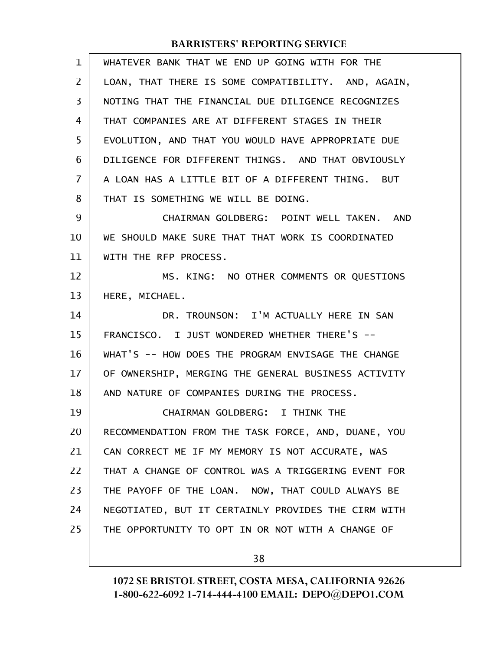| $\mathbf 1$ | WHATEVER BANK THAT WE END UP GOING WITH FOR THE     |
|-------------|-----------------------------------------------------|
| 2           | LOAN, THAT THERE IS SOME COMPATIBILITY. AND, AGAIN, |
| 3           | NOTING THAT THE FINANCIAL DUE DILIGENCE RECOGNIZES  |
| 4           | THAT COMPANIES ARE AT DIFFERENT STAGES IN THEIR     |
| 5           | EVOLUTION, AND THAT YOU WOULD HAVE APPROPRIATE DUE  |
| 6           | DILIGENCE FOR DIFFERENT THINGS. AND THAT OBVIOUSLY  |
| 7           | A LOAN HAS A LITTLE BIT OF A DIFFERENT THING. BUT   |
| 8           | THAT IS SOMETHING WE WILL BE DOING.                 |
| 9           | CHAIRMAN GOLDBERG: POINT WELL TAKEN. AND            |
| 10          | WE SHOULD MAKE SURE THAT THAT WORK IS COORDINATED   |
| 11          | WITH THE RFP PROCESS.                               |
| 12          | MS. KING: NO OTHER COMMENTS OR QUESTIONS            |
| 13          | HERE, MICHAEL.                                      |
| 14          | DR. TROUNSON: I'M ACTUALLY HERE IN SAN              |
| 15          | FRANCISCO. I JUST WONDERED WHETHER THERE'S --       |
| 16          | WHAT'S -- HOW DOES THE PROGRAM ENVISAGE THE CHANGE  |
| 17          | OF OWNERSHIP, MERGING THE GENERAL BUSINESS ACTIVITY |
| 18          | AND NATURE OF COMPANIES DURING THE PROCESS.         |
| 19          | CHAIRMAN GOLDBERG: I THINK THE                      |
| 20          | RECOMMENDATION FROM THE TASK FORCE, AND, DUANE, YOU |
| 21          | CAN CORRECT ME IF MY MEMORY IS NOT ACCURATE, WAS    |
| 22          | THAT A CHANGE OF CONTROL WAS A TRIGGERING EVENT FOR |
| 23          | THE PAYOFF OF THE LOAN. NOW, THAT COULD ALWAYS BE   |
| 24          | NEGOTIATED, BUT IT CERTAINLY PROVIDES THE CIRM WITH |
| 25          | THE OPPORTUNITY TO OPT IN OR NOT WITH A CHANGE OF   |
|             |                                                     |

38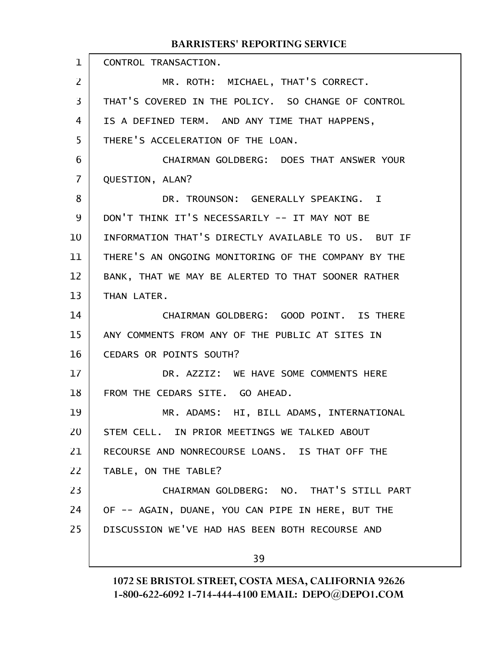CONTROL TRANSACTION. MR. ROTH: MICHAEL, THAT'S CORRECT. THAT'S COVERED IN THE POLICY. SO CHANGE OF CONTROL IS A DEFINED TERM. AND ANY TIME THAT HAPPENS, THERE'S ACCELERATION OF THE LOAN. CHAIRMAN GOLDBERG: DOES THAT ANSWER YOUR QUESTION, ALAN? DR. TROUNSON: GENERALLY SPEAKING. I DON'T THINK IT'S NECESSARILY -- IT MAY NOT BE INFORMATION THAT'S DIRECTLY AVAILABLE TO US. BUT IF THERE'S AN ONGOING MONITORING OF THE COMPANY BY THE BANK, THAT WE MAY BE ALERTED TO THAT SOONER RATHER THAN LATER. CHAIRMAN GOLDBERG: GOOD POINT. IS THERE ANY COMMENTS FROM ANY OF THE PUBLIC AT SITES IN CEDARS OR POINTS SOUTH? DR. AZZIZ: WE HAVE SOME COMMENTS HERE FROM THE CEDARS SITE. GO AHEAD. MR. ADAMS: HI, BILL ADAMS, INTERNATIONAL STEM CELL. IN PRIOR MEETINGS WE TALKED ABOUT RECOURSE AND NONRECOURSE LOANS. IS THAT OFF THE TABLE, ON THE TABLE? CHAIRMAN GOLDBERG: NO. THAT'S STILL PART OF -- AGAIN, DUANE, YOU CAN PIPE IN HERE, BUT THE DISCUSSION WE'VE HAD HAS BEEN BOTH RECOURSE AND 39 1 2 3 4 5 6 7 8 9 10 11 12 13 14 15 16 17 18 19 20 21 22 23 24 25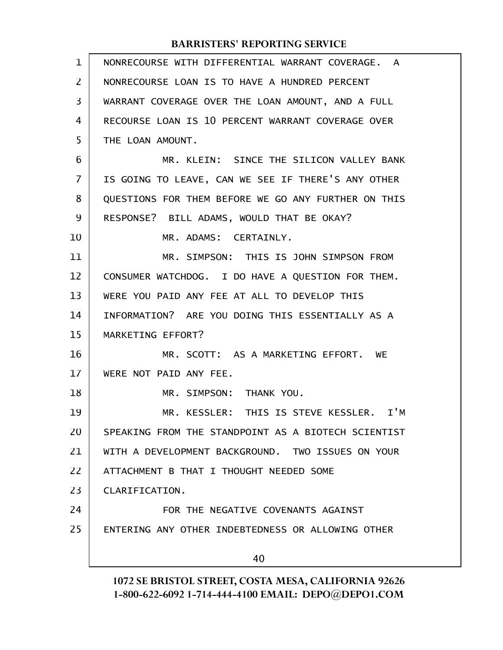| $\mathbf 1$ | NONRECOURSE WITH DIFFERENTIAL WARRANT COVERAGE. A   |
|-------------|-----------------------------------------------------|
| 2           | NONRECOURSE LOAN IS TO HAVE A HUNDRED PERCENT       |
| 3           | WARRANT COVERAGE OVER THE LOAN AMOUNT, AND A FULL   |
| 4           | RECOURSE LOAN IS 10 PERCENT WARRANT COVERAGE OVER   |
| 5           | THE LOAN AMOUNT.                                    |
| 6           | MR. KLEIN: SINCE THE SILICON VALLEY BANK            |
| 7           | IS GOING TO LEAVE, CAN WE SEE IF THERE'S ANY OTHER  |
| 8           | QUESTIONS FOR THEM BEFORE WE GO ANY FURTHER ON THIS |
| 9           | RESPONSE? BILL ADAMS, WOULD THAT BE OKAY?           |
| 10          | MR. ADAMS: CERTAINLY.                               |
| 11          | MR. SIMPSON: THIS IS JOHN SIMPSON FROM              |
| 12          | CONSUMER WATCHDOG. I DO HAVE A QUESTION FOR THEM.   |
| 13          | WERE YOU PAID ANY FEE AT ALL TO DEVELOP THIS        |
| 14          | INFORMATION? ARE YOU DOING THIS ESSENTIALLY AS A    |
| 15          | MARKETING EFFORT?                                   |
| 16          | MR. SCOTT: AS A MARKETING EFFORT. WE                |
| 17          | WERE NOT PAID ANY FEE.                              |
| 18          | MR. SIMPSON: THANK YOU.                             |
| 19          | MR. KESSLER: THIS IS STEVE KESSLER. I'M             |
| 20          | SPEAKING FROM THE STANDPOINT AS A BIOTECH SCIENTIST |
| 21          | WITH A DEVELOPMENT BACKGROUND. TWO ISSUES ON YOUR   |
| 22          | ATTACHMENT B THAT I THOUGHT NEEDED SOME             |
| 23          | CLARIFICATION.                                      |
| 24          | FOR THE NEGATIVE COVENANTS AGAINST                  |
| 25          | ENTERING ANY OTHER INDEBTEDNESS OR ALLOWING OTHER   |
|             | 40                                                  |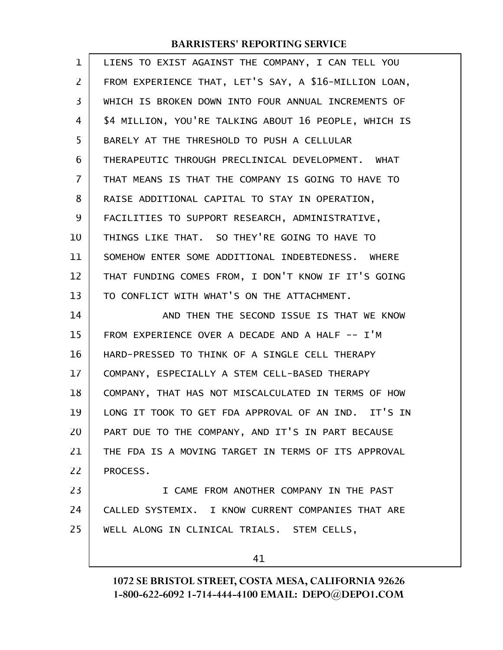| $\mathbf 1$    | LIENS TO EXIST AGAINST THE COMPANY, I CAN TELL YOU    |
|----------------|-------------------------------------------------------|
| 2              | FROM EXPERIENCE THAT, LET'S SAY, A \$16-MILLION LOAN, |
| 3              | WHICH IS BROKEN DOWN INTO FOUR ANNUAL INCREMENTS OF   |
| 4              | \$4 MILLION, YOU'RE TALKING ABOUT 16 PEOPLE, WHICH IS |
| 5              | BARELY AT THE THRESHOLD TO PUSH A CELLULAR            |
| 6              | THERAPEUTIC THROUGH PRECLINICAL DEVELOPMENT. WHAT     |
| $\overline{7}$ | THAT MEANS IS THAT THE COMPANY IS GOING TO HAVE TO    |
| 8              | RAISE ADDITIONAL CAPITAL TO STAY IN OPERATION,        |
| 9              | FACILITIES TO SUPPORT RESEARCH, ADMINISTRATIVE,       |
| 10             | THINGS LIKE THAT. SO THEY'RE GOING TO HAVE TO         |
| 11             | SOMEHOW ENTER SOME ADDITIONAL INDEBTEDNESS. WHERE     |
| 12             | THAT FUNDING COMES FROM, I DON'T KNOW IF IT'S GOING   |
| 13             | TO CONFLICT WITH WHAT'S ON THE ATTACHMENT.            |
| 14             | AND THEN THE SECOND ISSUE IS THAT WE KNOW             |
| 15             | FROM EXPERIENCE OVER A DECADE AND A HALF -- I'M       |
| 16             | HARD-PRESSED TO THINK OF A SINGLE CELL THERAPY        |
| 17             | COMPANY, ESPECIALLY A STEM CELL-BASED THERAPY         |
| 18             | COMPANY, THAT HAS NOT MISCALCULATED IN TERMS OF HOW   |
| 19             | LONG IT TOOK TO GET FDA APPROVAL OF AN IND. IT'S IN   |
| 20             | PART DUE TO THE COMPANY, AND IT'S IN PART BECAUSE     |
| 21             | THE FDA IS A MOVING TARGET IN TERMS OF ITS APPROVAL   |
| 22             | PROCESS.                                              |
| 23             | I CAME FROM ANOTHER COMPANY IN THE PAST               |
| 24             | CALLED SYSTEMIX. I KNOW CURRENT COMPANIES THAT ARE    |
| 25             | WELL ALONG IN CLINICAL TRIALS. STEM CELLS,            |
|                | 41                                                    |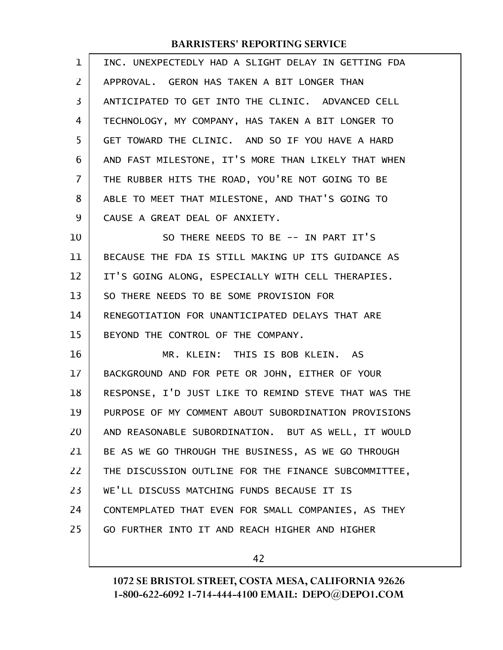| $\mathbf 1$ | INC. UNEXPECTEDLY HAD A SLIGHT DELAY IN GETTING FDA  |
|-------------|------------------------------------------------------|
| 2           | APPROVAL, GERON HAS TAKEN A BIT LONGER THAN          |
| 3           | ANTICIPATED TO GET INTO THE CLINIC. ADVANCED CELL    |
| 4           | TECHNOLOGY, MY COMPANY, HAS TAKEN A BIT LONGER TO    |
| 5           | GET TOWARD THE CLINIC. AND SO IF YOU HAVE A HARD     |
| 6           | AND FAST MILESTONE, IT'S MORE THAN LIKELY THAT WHEN  |
| 7           | THE RUBBER HITS THE ROAD, YOU'RE NOT GOING TO BE     |
| 8           | ABLE TO MEET THAT MILESTONE, AND THAT'S GOING TO     |
| 9           | CAUSE A GREAT DEAL OF ANXIETY.                       |
| 10          | SO THERE NEEDS TO BE -- IN PART IT'S                 |
| 11          | BECAUSE THE FDA IS STILL MAKING UP ITS GUIDANCE AS   |
| 12          | IT'S GOING ALONG, ESPECIALLY WITH CELL THERAPIES.    |
| 13          | SO THERE NEEDS TO BE SOME PROVISION FOR              |
| 14          | RENEGOTIATION FOR UNANTICIPATED DELAYS THAT ARE      |
| 15          | BEYOND THE CONTROL OF THE COMPANY.                   |
| 16          | MR. KLEIN: THIS IS BOB KLEIN. AS                     |
| 17          | BACKGROUND AND FOR PETE OR JOHN, EITHER OF YOUR      |
| 18          | RESPONSE, I'D JUST LIKE TO REMIND STEVE THAT WAS THE |
| 19          | PURPOSE OF MY COMMENT ABOUT SUBORDINATION PROVISIONS |
| 20          | AND REASONABLE SUBORDINATION. BUT AS WELL, IT WOULD  |
| 21          | BE AS WE GO THROUGH THE BUSINESS, AS WE GO THROUGH   |
| 22          | THE DISCUSSION OUTLINE FOR THE FINANCE SUBCOMMITTEE, |
| 23          | WE'LL DISCUSS MATCHING FUNDS BECAUSE IT IS           |
| 24          | CONTEMPLATED THAT EVEN FOR SMALL COMPANIES, AS THEY  |
| 25          | GO FURTHER INTO IT AND REACH HIGHER AND HIGHER       |
|             |                                                      |

42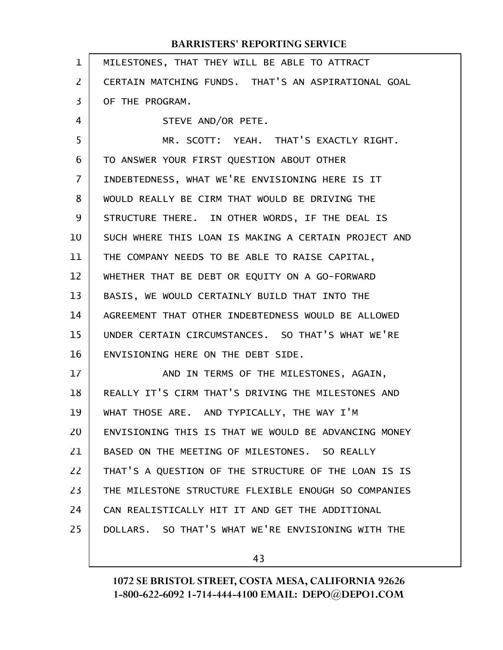| $\mathbf{1}$      | MILESTONES, THAT THEY WILL BE ABLE TO ATTRACT        |
|-------------------|------------------------------------------------------|
| $\overline{2}$    | CERTAIN MATCHING FUNDS. THAT'S AN ASPIRATIONAL GOAL  |
| 3                 | OF THE PROGRAM.                                      |
| 4                 | STEVE AND/OR PETE.                                   |
| 5                 | MR. SCOTT: YEAH. THAT'S EXACTLY RIGHT.               |
| 6                 | TO ANSWER YOUR FIRST QUESTION ABOUT OTHER            |
| $\overline{7}$    | INDEBTEDNESS, WHAT WE'RE ENVISIONING HERE IS IT      |
| 8                 | WOULD REALLY BE CIRM THAT WOULD BE DRIVING THE       |
| 9                 | STRUCTURE THERE. IN OTHER WORDS, IF THE DEAL IS      |
| 10                | SUCH WHERE THIS LOAN IS MAKING A CERTAIN PROJECT AND |
| 11                | THE COMPANY NEEDS TO BE ABLE TO RAISE CAPITAL,       |
| $12 \overline{ }$ | WHETHER THAT BE DEBT OR EQUITY ON A GO-FORWARD       |
| 13                | BASIS, WE WOULD CERTAINLY BUILD THAT INTO THE        |
| 14                | AGREEMENT THAT OTHER INDEBTEDNESS WOULD BE ALLOWED   |
| 15                | UNDER CERTAIN CIRCUMSTANCES. SO THAT'S WHAT WE'RE    |
| 16                | ENVISIONING HERE ON THE DEBT SIDE.                   |
| 17                | AND IN TERMS OF THE MILESTONES, AGAIN,               |
| 18                | REALLY IT'S CIRM THAT'S DRIVING THE MILESTONES AND   |
| 19                | WHAT THOSE ARE. AND TYPICALLY, THE WAY I'M           |
| 20                | ENVISIONING THIS IS THAT WE WOULD BE ADVANCING MONEY |
| 21                | BASED ON THE MEETING OF MILESTONES. SO REALLY        |
| 22                | THAT'S A QUESTION OF THE STRUCTURE OF THE LOAN IS IS |
| 23                | THE MILESTONE STRUCTURE FLEXIBLE ENOUGH SO COMPANIES |
| 24                | CAN REALISTICALLY HIT IT AND GET THE ADDITIONAL      |
| 25                | DOLLARS. SO THAT'S WHAT WE'RE ENVISIONING WITH THE   |
|                   |                                                      |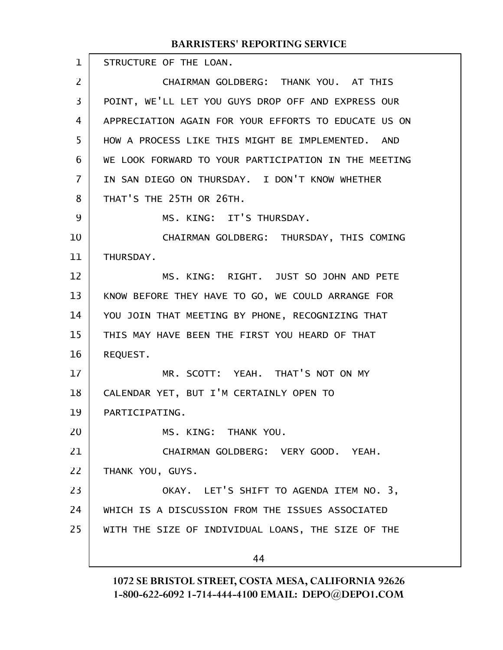STRUCTURE OF THE LOAN. CHAIRMAN GOLDBERG: THANK YOU. AT THIS POINT, WE'LL LET YOU GUYS DROP OFF AND EXPRESS OUR APPRECIATION AGAIN FOR YOUR EFFORTS TO EDUCATE US ON HOW A PROCESS LIKE THIS MIGHT BE IMPLEMENTED. AND WE LOOK FORWARD TO YOUR PARTICIPATION IN THE MEETING IN SAN DIEGO ON THURSDAY. I DON'T KNOW WHETHER THAT'S THE 25TH OR 26TH. MS. KING: IT'S THURSDAY. CHAIRMAN GOLDBERG: THURSDAY, THIS COMING THURSDAY. MS. KING: RIGHT. JUST SO JOHN AND PETE KNOW BEFORE THEY HAVE TO GO, WE COULD ARRANGE FOR YOU JOIN THAT MEETING BY PHONE, RECOGNIZING THAT THIS MAY HAVE BEEN THE FIRST YOU HEARD OF THAT REQUEST. MR. SCOTT: YEAH. THAT'S NOT ON MY CALENDAR YET, BUT I'M CERTAINLY OPEN TO PARTICIPATING. MS. KING: THANK YOU. CHAIRMAN GOLDBERG: VERY GOOD. YEAH. THANK YOU, GUYS. OKAY. LET'S SHIFT TO AGENDA ITEM NO. 3, WHICH IS A DISCUSSION FROM THE ISSUES ASSOCIATED WITH THE SIZE OF INDIVIDUAL LOANS, THE SIZE OF THE 44 1 2 3 4 5 6 7 8 9 10 11 12 13 14 15 16 17 18 19 20 21 22 23 24 25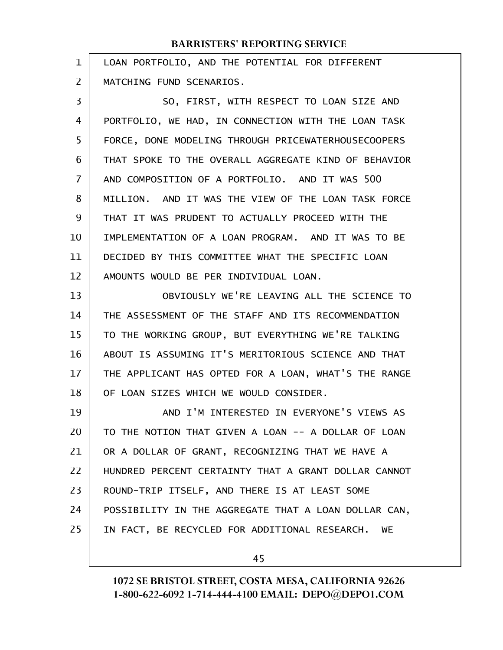| 1              | LOAN PORTFOLIO, AND THE POTENTIAL FOR DIFFERENT      |
|----------------|------------------------------------------------------|
| $\overline{2}$ | MATCHING FUND SCENARIOS.                             |
| 3              | SO, FIRST, WITH RESPECT TO LOAN SIZE AND             |
| 4              | PORTFOLIO, WE HAD, IN CONNECTION WITH THE LOAN TASK  |
| 5              | FORCE, DONE MODELING THROUGH PRICEWATERHOUSECOOPERS  |
| 6              | THAT SPOKE TO THE OVERALL AGGREGATE KIND OF BEHAVIOR |
| $\overline{7}$ | AND COMPOSITION OF A PORTFOLIO. AND IT WAS 500       |
| 8              | MILLION. AND IT WAS THE VIEW OF THE LOAN TASK FORCE  |
| 9              | THAT IT WAS PRUDENT TO ACTUALLY PROCEED WITH THE     |
| 10             | IMPLEMENTATION OF A LOAN PROGRAM. AND IT WAS TO BE   |
| 11             | DECIDED BY THIS COMMITTEE WHAT THE SPECIFIC LOAN     |
| 12             | AMOUNTS WOULD BE PER INDIVIDUAL LOAN.                |
| 13             | OBVIOUSLY WE'RE LEAVING ALL THE SCIENCE TO           |
| 14             | THE ASSESSMENT OF THE STAFF AND ITS RECOMMENDATION   |
| 15             | TO THE WORKING GROUP, BUT EVERYTHING WE'RE TALKING   |
| 16             | ABOUT IS ASSUMING IT'S MERITORIOUS SCIENCE AND THAT  |
| 17             | THE APPLICANT HAS OPTED FOR A LOAN, WHAT'S THE RANGE |
| 18             | OF LOAN SIZES WHICH WE WOULD CONSIDER.               |
| 19             | AND I'M INTERESTED IN EVERYONE'S VIEWS AS            |
| 20             | TO THE NOTION THAT GIVEN A LOAN -- A DOLLAR OF LOAN  |
| 21             | OR A DOLLAR OF GRANT, RECOGNIZING THAT WE HAVE A     |
| 22             | HUNDRED PERCENT CERTAINTY THAT A GRANT DOLLAR CANNOT |
| 23             | ROUND-TRIP ITSELF, AND THERE IS AT LEAST SOME        |
| 24             | POSSIBILITY IN THE AGGREGATE THAT A LOAN DOLLAR CAN, |
| 25             | IN FACT, BE RECYCLED FOR ADDITIONAL RESEARCH.<br>WE  |
|                |                                                      |

45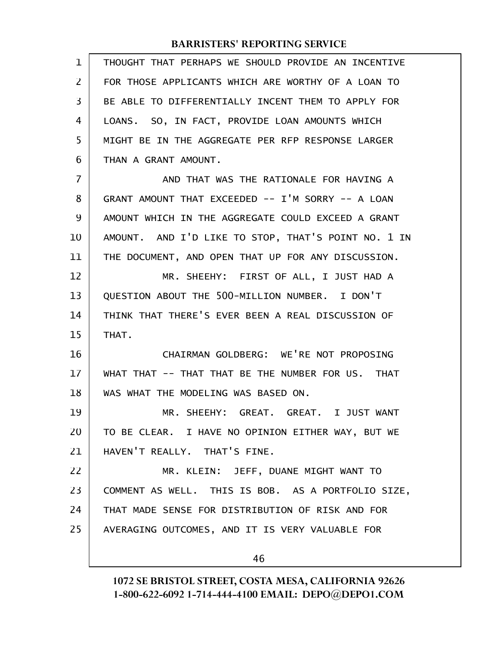| $\mathbf 1$    | THOUGHT THAT PERHAPS WE SHOULD PROVIDE AN INCENTIVE |
|----------------|-----------------------------------------------------|
| 2              | FOR THOSE APPLICANTS WHICH ARE WORTHY OF A LOAN TO  |
| 3              | BE ABLE TO DIFFERENTIALLY INCENT THEM TO APPLY FOR  |
| 4              | LOANS. SO, IN FACT, PROVIDE LOAN AMOUNTS WHICH      |
| 5              | MIGHT BE IN THE AGGREGATE PER RFP RESPONSE LARGER   |
| 6              | THAN A GRANT AMOUNT.                                |
| $\overline{7}$ | AND THAT WAS THE RATIONALE FOR HAVING A             |
| 8              | GRANT AMOUNT THAT EXCEEDED -- I'M SORRY -- A LOAN   |
| 9              | AMOUNT WHICH IN THE AGGREGATE COULD EXCEED A GRANT  |
| 10             | AMOUNT. AND I'D LIKE TO STOP, THAT'S POINT NO. 1 IN |
| 11             | THE DOCUMENT, AND OPEN THAT UP FOR ANY DISCUSSION.  |
| 12             | MR. SHEEHY: FIRST OF ALL, I JUST HAD A              |
| 13             | QUESTION ABOUT THE 500-MILLION NUMBER. I DON'T      |
| 14             | THINK THAT THERE'S EVER BEEN A REAL DISCUSSION OF   |
| 15             | THAT.                                               |
| 16             | CHAIRMAN GOLDBERG: WE'RE NOT PROPOSING              |
| 17             | WHAT THAT -- THAT THAT BE THE NUMBER FOR US. THAT   |
| 18             | WAS WHAT THE MODELING WAS BASED ON.                 |
| 19             | MR. SHEEHY: GREAT. GREAT. I JUST WANT               |
| 20             | TO BE CLEAR. I HAVE NO OPINION EITHER WAY, BUT WE   |
| 21             | HAVEN'T REALLY. THAT'S FINE.                        |
| 22             | MR. KLEIN: JEFF, DUANE MIGHT WANT TO                |
| 23             | COMMENT AS WELL. THIS IS BOB. AS A PORTFOLIO SIZE,  |
| 24             | THAT MADE SENSE FOR DISTRIBUTION OF RISK AND FOR    |
| 25             | AVERAGING OUTCOMES, AND IT IS VERY VALUABLE FOR     |
|                | 46                                                  |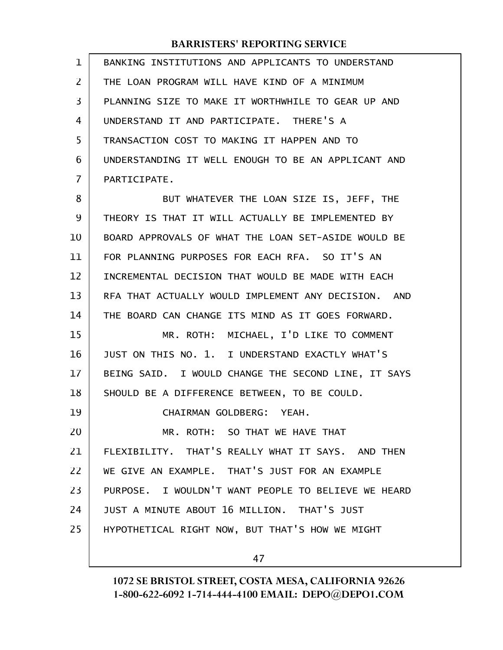| $\mathbf{1}$ | BANKING INSTITUTIONS AND APPLICANTS TO UNDERSTAND   |
|--------------|-----------------------------------------------------|
| 2            | THE LOAN PROGRAM WILL HAVE KIND OF A MINIMUM        |
| 3            | PLANNING SIZE TO MAKE IT WORTHWHILE TO GEAR UP AND  |
| 4            | UNDERSTAND IT AND PARTICIPATE. THERE'S A            |
| 5            | TRANSACTION COST TO MAKING IT HAPPEN AND TO         |
| 6            | UNDERSTANDING IT WELL ENOUGH TO BE AN APPLICANT AND |
| 7            | PARTICIPATE.                                        |
| 8            | BUT WHATEVER THE LOAN SIZE IS, JEFF, THE            |
| 9            | THEORY IS THAT IT WILL ACTUALLY BE IMPLEMENTED BY   |
| 10           | BOARD APPROVALS OF WHAT THE LOAN SET-ASIDE WOULD BE |
| 11           | FOR PLANNING PURPOSES FOR EACH RFA. SO IT'S AN      |
| 12           | INCREMENTAL DECISION THAT WOULD BE MADE WITH EACH   |
| 13           | RFA THAT ACTUALLY WOULD IMPLEMENT ANY DECISION. AND |
| 14           | THE BOARD CAN CHANGE ITS MIND AS IT GOES FORWARD.   |
| 15           | MR. ROTH: MICHAEL, I'D LIKE TO COMMENT              |
| 16           | JUST ON THIS NO. 1. I UNDERSTAND EXACTLY WHAT'S     |
| 17           | BEING SAID. I WOULD CHANGE THE SECOND LINE, IT SAYS |
| 18           | SHOULD BE A DIFFERENCE BETWEEN, TO BE COULD.        |
| 19           | CHAIRMAN GOLDBERG: YEAH.                            |
| 20           | MR. ROTH: SO THAT WE HAVE THAT                      |
| 21           | FLEXIBILITY. THAT'S REALLY WHAT IT SAYS. AND THEN   |
| 22           | WE GIVE AN EXAMPLE. THAT'S JUST FOR AN EXAMPLE      |
| 23           | PURPOSE. I WOULDN'T WANT PEOPLE TO BELIEVE WE HEARD |
| 24           | JUST A MINUTE ABOUT 16 MILLION. THAT'S JUST         |
| 25           | HYPOTHETICAL RIGHT NOW, BUT THAT'S HOW WE MIGHT     |
|              |                                                     |

47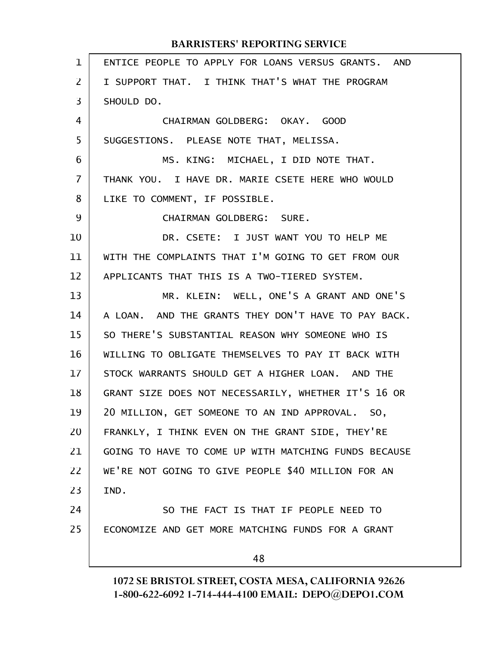| $\mathbf{1}$   | ENTICE PEOPLE TO APPLY FOR LOANS VERSUS GRANTS. AND  |
|----------------|------------------------------------------------------|
| $\overline{2}$ | I SUPPORT THAT. I THINK THAT'S WHAT THE PROGRAM      |
| 3              | SHOULD DO.                                           |
| 4              | CHAIRMAN GOLDBERG: OKAY. GOOD                        |
| 5              | SUGGESTIONS. PLEASE NOTE THAT, MELISSA.              |
| 6              | MS. KING: MICHAEL, I DID NOTE THAT.                  |
| $\overline{I}$ | THANK YOU. I HAVE DR. MARIE CSETE HERE WHO WOULD     |
| 8              | LIKE TO COMMENT, IF POSSIBLE.                        |
| 9              | CHAIRMAN GOLDBERG: SURE.                             |
| 10             | DR. CSETE: I JUST WANT YOU TO HELP ME                |
| 11             | WITH THE COMPLAINTS THAT I'M GOING TO GET FROM OUR   |
| 12             | APPLICANTS THAT THIS IS A TWO-TIERED SYSTEM.         |
| 13             | MR. KLEIN: WELL, ONE'S A GRANT AND ONE'S             |
| 14             | A LOAN. AND THE GRANTS THEY DON'T HAVE TO PAY BACK.  |
| 15             | SO THERE'S SUBSTANTIAL REASON WHY SOMEONE WHO IS     |
| 16             | WILLING TO OBLIGATE THEMSELVES TO PAY IT BACK WITH   |
| 17             | STOCK WARRANTS SHOULD GET A HIGHER LOAN. AND THE     |
| 18             | GRANT SIZE DOES NOT NECESSARILY, WHETHER IT'S 16 OR  |
| 19             | 20 MILLION, GET SOMEONE TO AN IND APPROVAL. SO,      |
| 20             | FRANKLY, I THINK EVEN ON THE GRANT SIDE, THEY'RE     |
| 21             | GOING TO HAVE TO COME UP WITH MATCHING FUNDS BECAUSE |
| 22             | WE'RE NOT GOING TO GIVE PEOPLE \$40 MILLION FOR AN   |
| 23             | IND.                                                 |
| 24             | SO THE FACT IS THAT IF PEOPLE NEED TO                |
| 25             | ECONOMIZE AND GET MORE MATCHING FUNDS FOR A GRANT    |
|                | 48                                                   |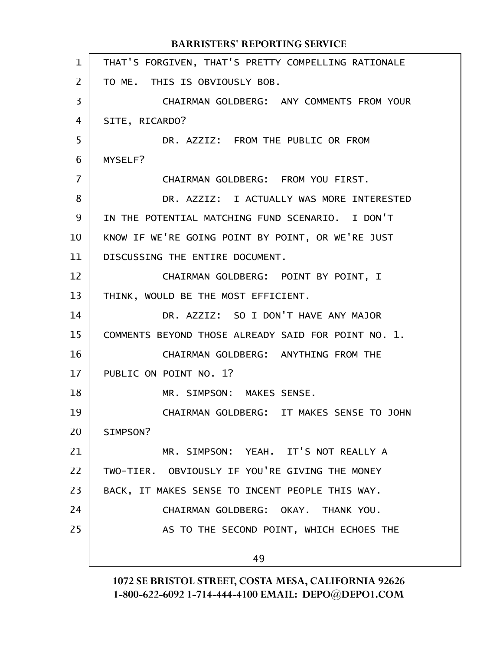|              | <b>BARRISTERS' REPORTING SERVICE</b>                |
|--------------|-----------------------------------------------------|
| $\mathbf{1}$ | THAT'S FORGIVEN, THAT'S PRETTY COMPELLING RATIONALE |
| 2            | TO ME. THIS IS OBVIOUSLY BOB.                       |
| 3            | CHAIRMAN GOLDBERG: ANY COMMENTS FROM YOUR           |
| 4            | SITE, RICARDO?                                      |
| 5            | DR. AZZIZ: FROM THE PUBLIC OR FROM                  |
| 6            | MYSELF?                                             |
| 7            | CHAIRMAN GOLDBERG: FROM YOU FIRST.                  |
| 8            | DR. AZZIZ: I ACTUALLY WAS MORE INTERESTED           |
| 9            | IN THE POTENTIAL MATCHING FUND SCENARIO. I DON'T    |
| 10           | KNOW IF WE'RE GOING POINT BY POINT, OR WE'RE JUST   |
| 11           | DISCUSSING THE ENTIRE DOCUMENT.                     |
| 12           | CHAIRMAN GOLDBERG: POINT BY POINT, I                |
| 13           | THINK, WOULD BE THE MOST EFFICIENT.                 |
| 14           | DR. AZZIZ: SO I DON'T HAVE ANY MAJOR                |
| 15           | COMMENTS BEYOND THOSE ALREADY SAID FOR POINT NO. 1. |
| 16           | CHAIRMAN GOLDBERG: ANYTHING FROM THE                |
| 17           | PUBLIC ON POINT NO. 1?                              |
| 18           | MR. SIMPSON: MAKES SENSE.                           |
| 19           | CHAIRMAN GOLDBERG: IT MAKES SENSE TO JOHN           |
| 20           | SIMPSON?                                            |
| 21           | MR. SIMPSON: YEAH. IT'S NOT REALLY A                |
| 22           | TWO-TIER. OBVIOUSLY IF YOU'RE GIVING THE MONEY      |
| 23           | BACK, IT MAKES SENSE TO INCENT PEOPLE THIS WAY.     |
| 24           | CHAIRMAN GOLDBERG: OKAY. THANK YOU.                 |
| 25           | AS TO THE SECOND POINT, WHICH ECHOES THE            |
|              | 49                                                  |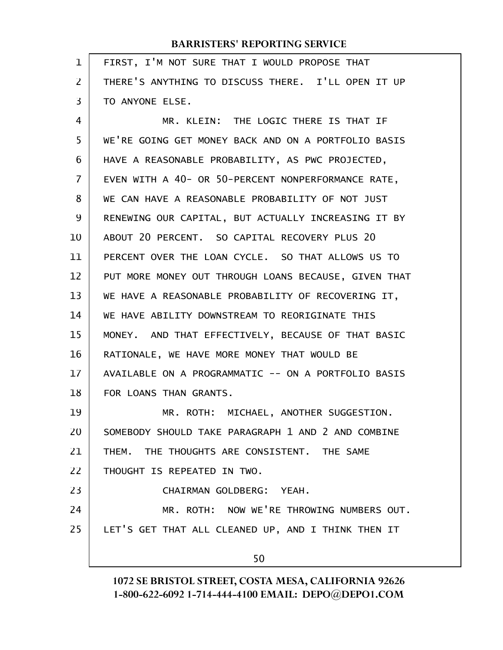| 1              | FIRST, I'M NOT SURE THAT I WOULD PROPOSE THAT        |
|----------------|------------------------------------------------------|
| $\overline{2}$ | THERE'S ANYTHING TO DISCUSS THERE. I'LL OPEN IT UP   |
| 3              | TO ANYONE ELSE.                                      |
| 4              | MR. KLEIN: THE LOGIC THERE IS THAT IF                |
| 5              | WE'RE GOING GET MONEY BACK AND ON A PORTFOLIO BASIS  |
| 6              | HAVE A REASONABLE PROBABILITY, AS PWC PROJECTED,     |
| $\overline{7}$ | EVEN WITH A 40- OR 50-PERCENT NONPERFORMANCE RATE,   |
| 8              | WE CAN HAVE A REASONABLE PROBABILITY OF NOT JUST     |
| 9              | RENEWING OUR CAPITAL, BUT ACTUALLY INCREASING IT BY  |
| 10             | ABOUT 20 PERCENT. SO CAPITAL RECOVERY PLUS 20        |
| 11             | PERCENT OVER THE LOAN CYCLE. SO THAT ALLOWS US TO    |
| 12             | PUT MORE MONEY OUT THROUGH LOANS BECAUSE, GIVEN THAT |
| 13             | WE HAVE A REASONABLE PROBABILITY OF RECOVERING IT,   |
| 14             | WE HAVE ABILITY DOWNSTREAM TO REORIGINATE THIS       |
| 15             | MONEY. AND THAT EFFECTIVELY, BECAUSE OF THAT BASIC   |
| 16             | RATIONALE, WE HAVE MORE MONEY THAT WOULD BE          |
| 17             | AVAILABLE ON A PROGRAMMATIC -- ON A PORTFOLIO BASIS  |
| 18             | FOR LOANS THAN GRANTS.                               |
| 19             | MR. ROTH: MICHAEL, ANOTHER SUGGESTION.               |
| 20             | SOMEBODY SHOULD TAKE PARAGRAPH 1 AND 2 AND COMBINE   |
| 21             | THEM. THE THOUGHTS ARE CONSISTENT. THE SAME          |
| 22             | THOUGHT IS REPEATED IN TWO.                          |
| 23             | CHAIRMAN GOLDBERG: YEAH.                             |
| 24             | MR. ROTH: NOW WE'RE THROWING NUMBERS OUT.            |
| 25             | LET'S GET THAT ALL CLEANED UP, AND I THINK THEN IT   |
|                | 50                                                   |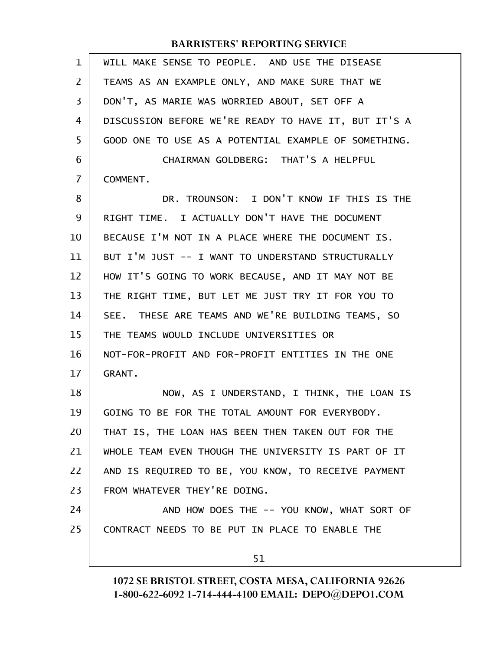| 1  | WILL MAKE SENSE TO PEOPLE. AND USE THE DISEASE       |
|----|------------------------------------------------------|
| 2  | TEAMS AS AN EXAMPLE ONLY, AND MAKE SURE THAT WE      |
| 3  | DON'T, AS MARIE WAS WORRIED ABOUT, SET OFF A         |
| 4  | DISCUSSION BEFORE WE'RE READY TO HAVE IT, BUT IT'S A |
| 5  | GOOD ONE TO USE AS A POTENTIAL EXAMPLE OF SOMETHING. |
| 6  | CHAIRMAN GOLDBERG: THAT'S A HELPFUL                  |
| 7  | COMMENT.                                             |
| 8  | DR. TROUNSON: I DON'T KNOW IF THIS IS THE            |
| 9  | RIGHT TIME. I ACTUALLY DON'T HAVE THE DOCUMENT       |
| 10 | BECAUSE I'M NOT IN A PLACE WHERE THE DOCUMENT IS.    |
| 11 | BUT I'M JUST -- I WANT TO UNDERSTAND STRUCTURALLY    |
| 12 | HOW IT'S GOING TO WORK BECAUSE, AND IT MAY NOT BE    |
| 13 | THE RIGHT TIME, BUT LET ME JUST TRY IT FOR YOU TO    |
| 14 | SEE. THESE ARE TEAMS AND WE'RE BUILDING TEAMS, SO    |
| 15 | THE TEAMS WOULD INCLUDE UNIVERSITIES OR              |
| 16 | NOT-FOR-PROFIT AND FOR-PROFIT ENTITIES IN THE ONE    |
| 17 | <b>GRANT.</b>                                        |
| 18 | NOW, AS I UNDERSTAND, I THINK, THE LOAN IS           |
| 19 | GOING TO BE FOR THE TOTAL AMOUNT FOR EVERYBODY.      |
| 20 | THAT IS, THE LOAN HAS BEEN THEN TAKEN OUT FOR THE    |
| 21 | WHOLE TEAM EVEN THOUGH THE UNIVERSITY IS PART OF IT  |
| 22 | AND IS REQUIRED TO BE, YOU KNOW, TO RECEIVE PAYMENT  |
| 23 | FROM WHATEVER THEY'RE DOING.                         |
| 24 | AND HOW DOES THE -- YOU KNOW, WHAT SORT OF           |
| 25 | CONTRACT NEEDS TO BE PUT IN PLACE TO ENABLE THE      |
|    | 51                                                   |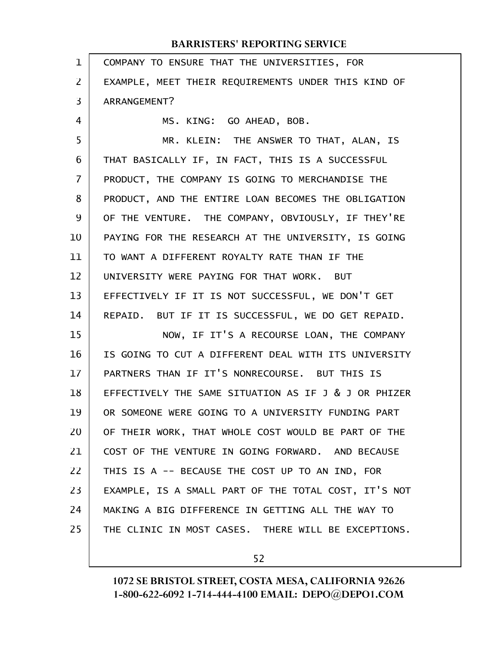| $\mathbf{1}$ | COMPANY TO ENSURE THAT THE UNIVERSITIES, FOR         |
|--------------|------------------------------------------------------|
| 2            | EXAMPLE, MEET THEIR REQUIREMENTS UNDER THIS KIND OF  |
| 3            | ARRANGEMENT?                                         |
| 4            | MS. KING: GO AHEAD, BOB.                             |
| 5            | MR. KLEIN: THE ANSWER TO THAT, ALAN, IS              |
| 6            | THAT BASICALLY IF, IN FACT, THIS IS A SUCCESSFUL     |
| 7            | PRODUCT, THE COMPANY IS GOING TO MERCHANDISE THE     |
| 8            | PRODUCT, AND THE ENTIRE LOAN BECOMES THE OBLIGATION  |
| 9            | OF THE VENTURE. THE COMPANY, OBVIOUSLY, IF THEY'RE   |
| 10           | PAYING FOR THE RESEARCH AT THE UNIVERSITY, IS GOING  |
| 11           | TO WANT A DIFFERENT ROYALTY RATE THAN IF THE         |
| 12           | UNIVERSITY WERE PAYING FOR THAT WORK. BUT            |
| 13           | EFFECTIVELY IF IT IS NOT SUCCESSFUL, WE DON'T GET    |
| 14           | REPAID. BUT IF IT IS SUCCESSFUL, WE DO GET REPAID.   |
| 15           | NOW, IF IT'S A RECOURSE LOAN, THE COMPANY            |
| 16           | IS GOING TO CUT A DIFFERENT DEAL WITH ITS UNIVERSITY |
| 17           | PARTNERS THAN IF IT'S NONRECOURSE. BUT THIS IS       |
| 18           | EFFECTIVELY THE SAME SITUATION AS IF J & J OR PHIZER |
| 19           | OR SOMEONE WERE GOING TO A UNIVERSITY FUNDING PART   |
| 20           | OF THEIR WORK, THAT WHOLE COST WOULD BE PART OF THE  |
| 21           | COST OF THE VENTURE IN GOING FORWARD. AND BECAUSE    |
| 22           | THIS IS A -- BECAUSE THE COST UP TO AN IND, FOR      |
| 23           | EXAMPLE, IS A SMALL PART OF THE TOTAL COST, IT'S NOT |
| 24           | MAKING A BIG DIFFERENCE IN GETTING ALL THE WAY TO    |
| 25           | THE CLINIC IN MOST CASES. THERE WILL BE EXCEPTIONS.  |
|              |                                                      |

52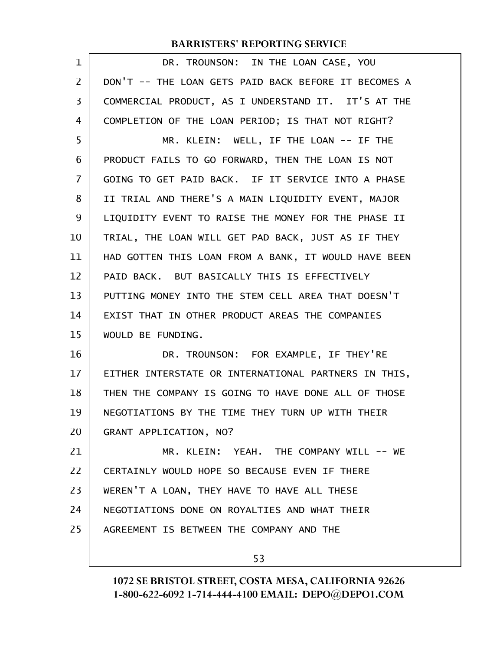| $\mathbf{1}$   | DR. TROUNSON: IN THE LOAN CASE, YOU                  |
|----------------|------------------------------------------------------|
| $\overline{2}$ | DON'T -- THE LOAN GETS PAID BACK BEFORE IT BECOMES A |
| 3              | COMMERCIAL PRODUCT, AS I UNDERSTAND IT. IT'S AT THE  |
| 4              | COMPLETION OF THE LOAN PERIOD; IS THAT NOT RIGHT?    |
| 5              | MR. KLEIN: WELL, IF THE LOAN -- IF THE               |
| 6              | PRODUCT FAILS TO GO FORWARD, THEN THE LOAN IS NOT    |
| $\overline{7}$ | GOING TO GET PAID BACK. IF IT SERVICE INTO A PHASE   |
| 8              | II TRIAL AND THERE'S A MAIN LIQUIDITY EVENT, MAJOR   |
| 9              | LIQUIDITY EVENT TO RAISE THE MONEY FOR THE PHASE II  |
| 10             | TRIAL, THE LOAN WILL GET PAD BACK, JUST AS IF THEY   |
| 11             | HAD GOTTEN THIS LOAN FROM A BANK, IT WOULD HAVE BEEN |
| 12             | PAID BACK. BUT BASICALLY THIS IS EFFECTIVELY         |
| 13             | PUTTING MONEY INTO THE STEM CELL AREA THAT DOESN'T   |
| 14             | EXIST THAT IN OTHER PRODUCT AREAS THE COMPANIES      |
| 15             | WOULD BE FUNDING.                                    |
| 16             | DR. TROUNSON: FOR EXAMPLE, IF THEY'RE                |
| 17             | EITHER INTERSTATE OR INTERNATIONAL PARTNERS IN THIS, |
| 18             | THEN THE COMPANY IS GOING TO HAVE DONE ALL OF THOSE  |
| 19             | NEGOTIATIONS BY THE TIME THEY TURN UP WITH THEIR     |
| 20             | GRANT APPLICATION, NO?                               |
| 21             | MR. KLEIN: YEAH. THE COMPANY WILL -- WE              |
| 22             | CERTAINLY WOULD HOPE SO BECAUSE EVEN IF THERE        |
| 23             | WEREN'T A LOAN, THEY HAVE TO HAVE ALL THESE          |
| 24             | NEGOTIATIONS DONE ON ROYALTIES AND WHAT THEIR        |
| 25             | AGREEMENT IS BETWEEN THE COMPANY AND THE             |
|                |                                                      |

53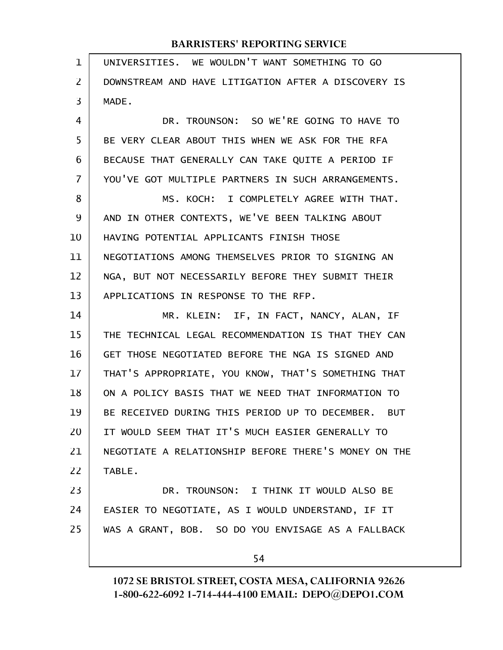| $\mathbf 1$ | UNIVERSITIES. WE WOULDN'T WANT SOMETHING TO GO       |
|-------------|------------------------------------------------------|
| 2           | DOWNSTREAM AND HAVE LITIGATION AFTER A DISCOVERY IS  |
| 3           | MADE.                                                |
| 4           | DR. TROUNSON: SO WE'RE GOING TO HAVE TO              |
| 5           | BE VERY CLEAR ABOUT THIS WHEN WE ASK FOR THE RFA     |
| 6           | BECAUSE THAT GENERALLY CAN TAKE QUITE A PERIOD IF    |
| 7           | YOU'VE GOT MULTIPLE PARTNERS IN SUCH ARRANGEMENTS.   |
| 8           | MS. KOCH: I COMPLETELY AGREE WITH THAT.              |
| 9           | AND IN OTHER CONTEXTS, WE'VE BEEN TALKING ABOUT      |
| 10          | HAVING POTENTIAL APPLICANTS FINISH THOSE             |
| 11          | NEGOTIATIONS AMONG THEMSELVES PRIOR TO SIGNING AN    |
| 12          | NGA, BUT NOT NECESSARILY BEFORE THEY SUBMIT THEIR    |
| 13          | APPLICATIONS IN RESPONSE TO THE RFP.                 |
| 14          | MR. KLEIN: IF, IN FACT, NANCY, ALAN, IF              |
| 15          | THE TECHNICAL LEGAL RECOMMENDATION IS THAT THEY CAN  |
| 16          | GET THOSE NEGOTIATED BEFORE THE NGA IS SIGNED AND    |
| 17          | THAT'S APPROPRIATE, YOU KNOW, THAT'S SOMETHING THAT  |
| 18          | ON A POLICY BASIS THAT WE NEED THAT INFORMATION TO   |
| 19          | BE RECEIVED DURING THIS PERIOD UP TO DECEMBER. BUT   |
| 20          | IT WOULD SEEM THAT IT'S MUCH EASIER GENERALLY TO     |
| 21          | NEGOTIATE A RELATIONSHIP BEFORE THERE'S MONEY ON THE |
| 22          | TABLE.                                               |
| 23          | DR. TROUNSON: I THINK IT WOULD ALSO BE               |
| 24          | EASIER TO NEGOTIATE, AS I WOULD UNDERSTAND, IF IT    |
| 25          | WAS A GRANT, BOB. SO DO YOU ENVISAGE AS A FALLBACK   |
|             | 54                                                   |
|             |                                                      |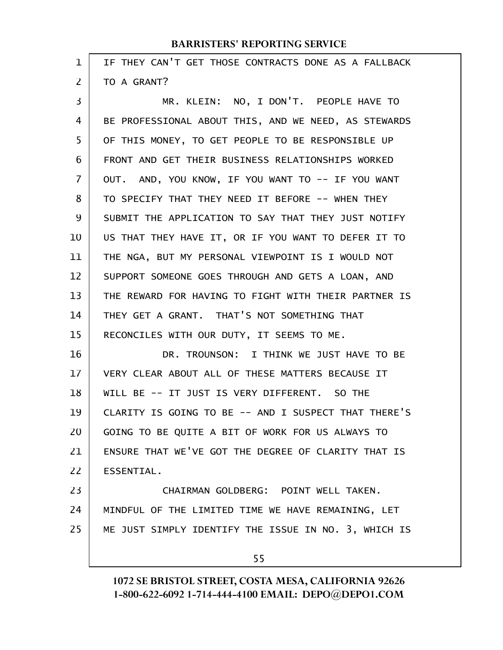| $\mathbf 1$ | IF THEY CAN'T GET THOSE CONTRACTS DONE AS A FALLBACK |
|-------------|------------------------------------------------------|
| 2           | TO A GRANT?                                          |
| 3           | MR. KLEIN: NO, I DON'T. PEOPLE HAVE TO               |
| 4           | BE PROFESSIONAL ABOUT THIS, AND WE NEED, AS STEWARDS |
| 5           | OF THIS MONEY, TO GET PEOPLE TO BE RESPONSIBLE UP    |
| 6           | FRONT AND GET THEIR BUSINESS RELATIONSHIPS WORKED    |
| 7           | OUT. AND, YOU KNOW, IF YOU WANT TO -- IF YOU WANT    |
| 8           | TO SPECIFY THAT THEY NEED IT BEFORE -- WHEN THEY     |
| 9           | SUBMIT THE APPLICATION TO SAY THAT THEY JUST NOTIFY  |
| 10          | US THAT THEY HAVE IT, OR IF YOU WANT TO DEFER IT TO  |
| 11          | THE NGA, BUT MY PERSONAL VIEWPOINT IS I WOULD NOT    |
| 12          | SUPPORT SOMEONE GOES THROUGH AND GETS A LOAN, AND    |
| 13          | THE REWARD FOR HAVING TO FIGHT WITH THEIR PARTNER IS |
| 14          | THEY GET A GRANT. THAT'S NOT SOMETHING THAT          |
| 15          | RECONCILES WITH OUR DUTY, IT SEEMS TO ME.            |
| 16          | DR. TROUNSON: I THINK WE JUST HAVE TO BE             |
| 17          | VERY CLEAR ABOUT ALL OF THESE MATTERS BECAUSE IT     |
| 18          | WILL BE -- IT JUST IS VERY DIFFERENT. SO THE         |
| 19          | CLARITY IS GOING TO BE -- AND I SUSPECT THAT THERE'S |
| 20          | GOING TO BE QUITE A BIT OF WORK FOR US ALWAYS TO     |
| 21          | ENSURE THAT WE'VE GOT THE DEGREE OF CLARITY THAT IS  |
| 22          | ESSENTIAL.                                           |
| 23          | CHAIRMAN GOLDBERG: POINT WELL TAKEN.                 |
| 24          | MINDFUL OF THE LIMITED TIME WE HAVE REMAINING, LET   |
| 25          | ME JUST SIMPLY IDENTIFY THE ISSUE IN NO. 3, WHICH IS |
|             | 55                                                   |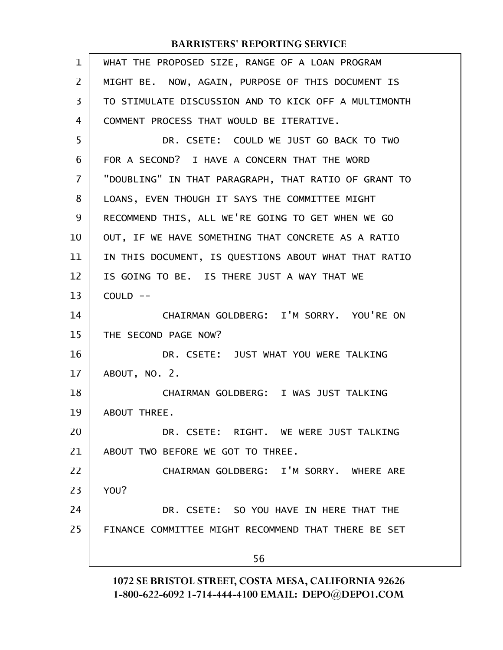| 1  | WHAT THE PROPOSED SIZE, RANGE OF A LOAN PROGRAM      |
|----|------------------------------------------------------|
| 2  | MIGHT BE. NOW, AGAIN, PURPOSE OF THIS DOCUMENT IS    |
| 3  | TO STIMULATE DISCUSSION AND TO KICK OFF A MULTIMONTH |
| 4  | COMMENT PROCESS THAT WOULD BE ITERATIVE.             |
| 5  | DR. CSETE: COULD WE JUST GO BACK TO TWO              |
| 6  | FOR A SECOND? I HAVE A CONCERN THAT THE WORD         |
| 7  | "DOUBLING" IN THAT PARAGRAPH, THAT RATIO OF GRANT TO |
| 8  | LOANS, EVEN THOUGH IT SAYS THE COMMITTEE MIGHT       |
| 9  | RECOMMEND THIS, ALL WE'RE GOING TO GET WHEN WE GO    |
| 10 | OUT, IF WE HAVE SOMETHING THAT CONCRETE AS A RATIO   |
| 11 | IN THIS DOCUMENT, IS QUESTIONS ABOUT WHAT THAT RATIO |
| 12 | IS GOING TO BE. IS THERE JUST A WAY THAT WE          |
| 13 | $COULD$ --                                           |
| 14 | CHAIRMAN GOLDBERG: I'M SORRY. YOU'RE ON              |
| 15 | THE SECOND PAGE NOW?                                 |
| 16 | DR. CSETE: JUST WHAT YOU WERE TALKING                |
| 17 | ABOUT, NO. 2.                                        |
| 18 | CHAIRMAN GOLDBERG: I WAS JUST TALKING                |
| 19 | ABOUT THREE.                                         |
| 20 | DR. CSETE: RIGHT. WE WERE JUST TALKING               |
| 21 | ABOUT TWO BEFORE WE GOT TO THREE.                    |
| 22 | CHAIRMAN GOLDBERG: I'M SORRY, WHERE ARE              |
| 23 | YOU?                                                 |
| 24 | DR. CSETE: SO YOU HAVE IN HERE THAT THE              |
| 25 | FINANCE COMMITTEE MIGHT RECOMMEND THAT THERE BE SET  |
|    | 56                                                   |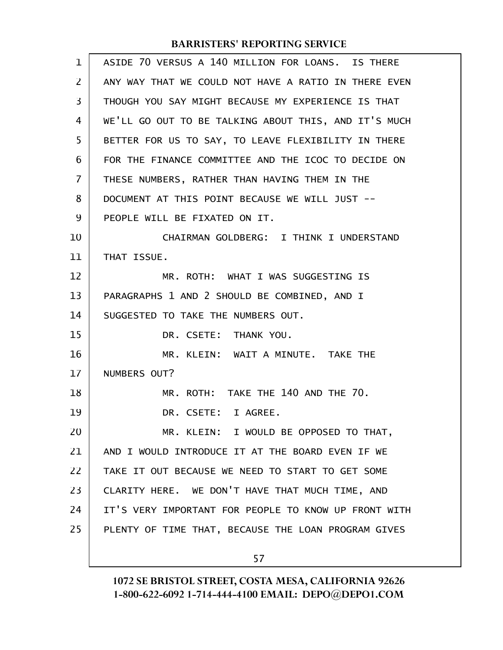| $\mathbf 1$    | ASIDE 70 VERSUS A 140 MILLION FOR LOANS. IS THERE    |
|----------------|------------------------------------------------------|
| 2              | ANY WAY THAT WE COULD NOT HAVE A RATIO IN THERE EVEN |
| 3              | THOUGH YOU SAY MIGHT BECAUSE MY EXPERIENCE IS THAT   |
| 4              | WE'LL GO OUT TO BE TALKING ABOUT THIS, AND IT'S MUCH |
| 5              | BETTER FOR US TO SAY, TO LEAVE FLEXIBILITY IN THERE  |
| 6              | FOR THE FINANCE COMMITTEE AND THE ICOC TO DECIDE ON  |
| $\overline{7}$ | THESE NUMBERS, RATHER THAN HAVING THEM IN THE        |
| 8              | DOCUMENT AT THIS POINT BECAUSE WE WILL JUST --       |
| 9              | PEOPLE WILL BE FIXATED ON IT.                        |
| 10             | CHAIRMAN GOLDBERG: I THINK I UNDERSTAND              |
| 11             | THAT ISSUE.                                          |
| 12             | MR. ROTH: WHAT I WAS SUGGESTING IS                   |
| 13             | PARAGRAPHS 1 AND 2 SHOULD BE COMBINED, AND I         |
| 14             | SUGGESTED TO TAKE THE NUMBERS OUT.                   |
| 15             | DR. CSETE: THANK YOU.                                |
| 16             | MR. KLEIN: WAIT A MINUTE. TAKE THE                   |
| 17             | NUMBERS OUT?                                         |
| 18             | MR. ROTH: TAKE THE 140 AND THE 70.                   |
| 19             | DR. CSETE: I AGREE.                                  |
| 20             | MR. KLEIN: I WOULD BE OPPOSED TO THAT,               |
| 21             | AND I WOULD INTRODUCE IT AT THE BOARD EVEN IF WE     |
| 22             | TAKE IT OUT BECAUSE WE NEED TO START TO GET SOME     |
| 23             | CLARITY HERE. WE DON'T HAVE THAT MUCH TIME, AND      |
| 24             | IT'S VERY IMPORTANT FOR PEOPLE TO KNOW UP FRONT WITH |
| 25             | PLENTY OF TIME THAT, BECAUSE THE LOAN PROGRAM GIVES  |
|                | 57                                                   |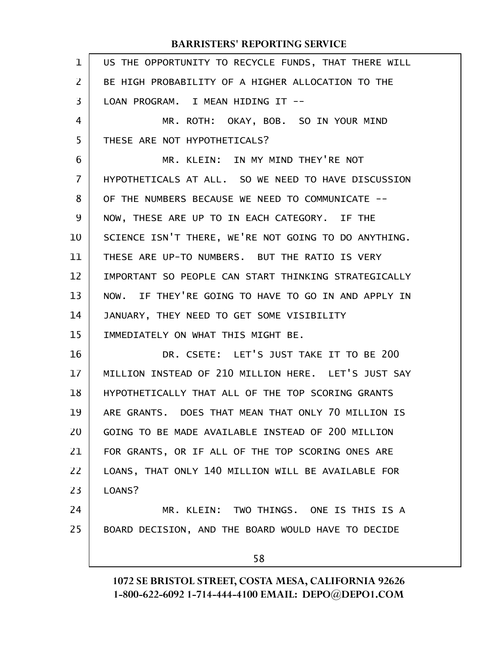| $\mathbf 1$ | US THE OPPORTUNITY TO RECYCLE FUNDS, THAT THERE WILL |
|-------------|------------------------------------------------------|
| 2           | BE HIGH PROBABILITY OF A HIGHER ALLOCATION TO THE    |
| 3           | LOAN PROGRAM. I MEAN HIDING IT --                    |
| 4           | MR. ROTH: OKAY, BOB. SO IN YOUR MIND                 |
| 5           | THESE ARE NOT HYPOTHETICALS?                         |
| 6           | MR. KLEIN: IN MY MIND THEY'RE NOT                    |
| 7           | HYPOTHETICALS AT ALL. SO WE NEED TO HAVE DISCUSSION  |
| 8           | OF THE NUMBERS BECAUSE WE NEED TO COMMUNICATE --     |
| 9           | NOW, THESE ARE UP TO IN EACH CATEGORY. IF THE        |
| 10          | SCIENCE ISN'T THERE, WE'RE NOT GOING TO DO ANYTHING. |
| 11          | THESE ARE UP-TO NUMBERS. BUT THE RATIO IS VERY       |
| 12          | IMPORTANT SO PEOPLE CAN START THINKING STRATEGICALLY |
| 13          | NOW. IF THEY'RE GOING TO HAVE TO GO IN AND APPLY IN  |
| 14          | JANUARY, THEY NEED TO GET SOME VISIBILITY            |
| 15          | IMMEDIATELY ON WHAT THIS MIGHT BE.                   |
| 16          | DR. CSETE: LET'S JUST TAKE IT TO BE 200              |
| 17          | MILLION INSTEAD OF 210 MILLION HERE. LET'S JUST SAY  |
| 18          | HYPOTHETICALLY THAT ALL OF THE TOP SCORING GRANTS    |
| 19          | ARE GRANTS. DOES THAT MEAN THAT ONLY 70 MILLION IS   |
| 20          | GOING TO BE MADE AVAILABLE INSTEAD OF 200 MILLION    |
| 21          | FOR GRANTS, OR IF ALL OF THE TOP SCORING ONES ARE    |
| 22          | LOANS, THAT ONLY 140 MILLION WILL BE AVAILABLE FOR   |
| 23          | LOANS?                                               |
| 24          | MR. KLEIN: TWO THINGS. ONE IS THIS IS A              |
| 25          | BOARD DECISION, AND THE BOARD WOULD HAVE TO DECIDE   |
|             | 58                                                   |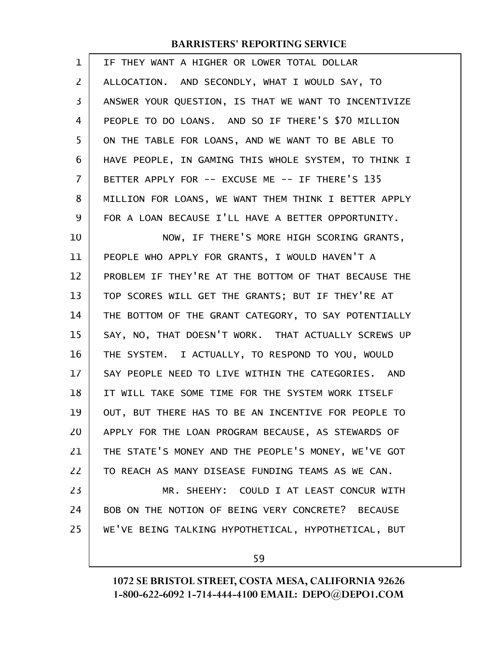| 1              | IF THEY WANT A HIGHER OR LOWER TOTAL DOLLAR          |
|----------------|------------------------------------------------------|
| $\overline{2}$ | ALLOCATION. AND SECONDLY, WHAT I WOULD SAY, TO       |
| 3              | ANSWER YOUR QUESTION, IS THAT WE WANT TO INCENTIVIZE |
| 4              | PEOPLE TO DO LOANS. AND SO IF THERE'S \$70 MILLION   |
| 5              | ON THE TABLE FOR LOANS, AND WE WANT TO BE ABLE TO    |
| 6              | HAVE PEOPLE, IN GAMING THIS WHOLE SYSTEM, TO THINK I |
| 7              | BETTER APPLY FOR -- EXCUSE ME -- IF THERE'S 135      |
| 8              | MILLION FOR LOANS, WE WANT THEM THINK I BETTER APPLY |
| 9              | FOR A LOAN BECAUSE I'LL HAVE A BETTER OPPORTUNITY.   |
| 10             | NOW, IF THERE'S MORE HIGH SCORING GRANTS,            |
| 11             | PEOPLE WHO APPLY FOR GRANTS, I WOULD HAVEN'T A       |
| 12             | PROBLEM IF THEY'RE AT THE BOTTOM OF THAT BECAUSE THE |
| 13             | TOP SCORES WILL GET THE GRANTS; BUT IF THEY'RE AT    |
| 14             | THE BOTTOM OF THE GRANT CATEGORY, TO SAY POTENTIALLY |
| 15             | SAY, NO, THAT DOESN'T WORK. THAT ACTUALLY SCREWS UP  |
| 16             | THE SYSTEM. I ACTUALLY, TO RESPOND TO YOU, WOULD     |
| 17             | SAY PEOPLE NEED TO LIVE WITHIN THE CATEGORIES. AND   |
| 18             | IT WILL TAKE SOME TIME FOR THE SYSTEM WORK ITSELF    |
| 19             | OUT, BUT THERE HAS TO BE AN INCENTIVE FOR PEOPLE TO  |
| 20             | APPLY FOR THE LOAN PROGRAM BECAUSE, AS STEWARDS OF   |
| 21             | THE STATE'S MONEY AND THE PEOPLE'S MONEY, WE'VE GOT  |
| 22             | TO REACH AS MANY DISEASE FUNDING TEAMS AS WE CAN.    |
| 23             | MR. SHEEHY: COULD I AT LEAST CONCUR WITH             |
| 24             | BOB ON THE NOTION OF BEING VERY CONCRETE? BECAUSE    |
| 25             | WE'VE BEING TALKING HYPOTHETICAL, HYPOTHETICAL, BUT  |
|                |                                                      |

59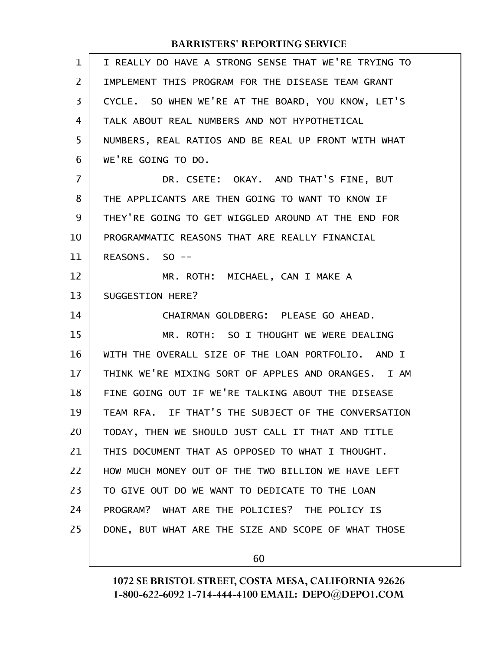| $\mathbf{1}$   | I REALLY DO HAVE A STRONG SENSE THAT WE'RE TRYING TO |
|----------------|------------------------------------------------------|
| $\overline{2}$ | IMPLEMENT THIS PROGRAM FOR THE DISEASE TEAM GRANT    |
| 3              | CYCLE. SO WHEN WE'RE AT THE BOARD, YOU KNOW, LET'S   |
| 4              | TALK ABOUT REAL NUMBERS AND NOT HYPOTHETICAL         |
| 5              | NUMBERS, REAL RATIOS AND BE REAL UP FRONT WITH WHAT  |
| 6              | WE'RE GOING TO DO.                                   |
| $\overline{7}$ | DR. CSETE: OKAY. AND THAT'S FINE, BUT                |
| 8              | THE APPLICANTS ARE THEN GOING TO WANT TO KNOW IF     |
| 9              | THEY'RE GOING TO GET WIGGLED AROUND AT THE END FOR   |
| 10             | PROGRAMMATIC REASONS THAT ARE REALLY FINANCIAL       |
| 11             | REASONS, SO --                                       |
| 12             | MR. ROTH: MICHAEL, CAN I MAKE A                      |
| 13             | SUGGESTION HERE?                                     |
| 14             | CHAIRMAN GOLDBERG: PLEASE GO AHEAD.                  |
| 15             | MR. ROTH: SO I THOUGHT WE WERE DEALING               |
| 16             | WITH THE OVERALL SIZE OF THE LOAN PORTFOLIO. AND I   |
| 17             | THINK WE'RE MIXING SORT OF APPLES AND ORANGES. I AM  |
| 18             | FINE GOING OUT IF WE'RE TALKING ABOUT THE DISEASE    |
| 19             | TEAM RFA. IF THAT'S THE SUBJECT OF THE CONVERSATION  |
| 20             | TODAY, THEN WE SHOULD JUST CALL IT THAT AND TITLE    |
| 21             | THIS DOCUMENT THAT AS OPPOSED TO WHAT I THOUGHT.     |
| 22             | HOW MUCH MONEY OUT OF THE TWO BILLION WE HAVE LEFT   |
| 23             | TO GIVE OUT DO WE WANT TO DEDICATE TO THE LOAN       |
| 24             | PROGRAM? WHAT ARE THE POLICIES? THE POLICY IS        |
| 25             | DONE, BUT WHAT ARE THE SIZE AND SCOPE OF WHAT THOSE  |
|                |                                                      |

60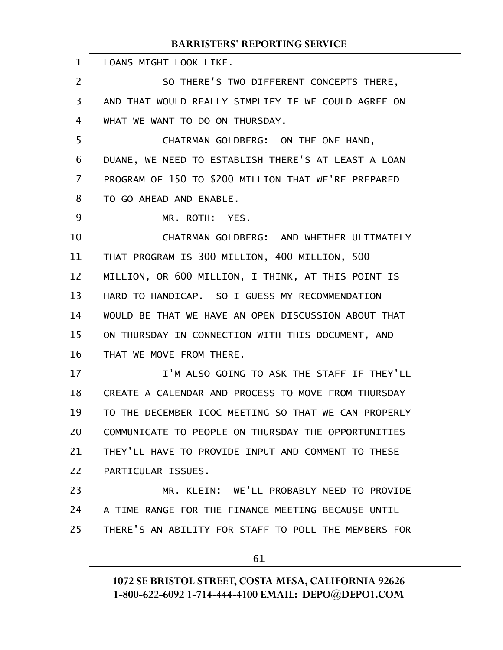LOANS MIGHT LOOK LIKE. SO THERE'S TWO DIFFERENT CONCEPTS THERE, AND THAT WOULD REALLY SIMPLIFY IF WE COULD AGREE ON WHAT WE WANT TO DO ON THURSDAY. CHAIRMAN GOLDBERG: ON THE ONE HAND, DUANE, WE NEED TO ESTABLISH THERE'S AT LEAST A LOAN PROGRAM OF 150 TO \$200 MILLION THAT WE'RE PREPARED TO GO AHEAD AND ENABLE. MR. ROTH: YES. CHAIRMAN GOLDBERG: AND WHETHER ULTIMATELY THAT PROGRAM IS 300 MILLION, 400 MILLION, 500 MILLION, OR 600 MILLION, I THINK, AT THIS POINT IS HARD TO HANDICAP. SO I GUESS MY RECOMMENDATION WOULD BE THAT WE HAVE AN OPEN DISCUSSION ABOUT THAT ON THURSDAY IN CONNECTION WITH THIS DOCUMENT, AND THAT WE MOVE FROM THERE. I'M ALSO GOING TO ASK THE STAFF IF THEY'LL CREATE A CALENDAR AND PROCESS TO MOVE FROM THURSDAY TO THE DECEMBER ICOC MEETING SO THAT WE CAN PROPERLY COMMUNICATE TO PEOPLE ON THURSDAY THE OPPORTUNITIES THEY'LL HAVE TO PROVIDE INPUT AND COMMENT TO THESE PARTICULAR ISSUES. MR. KLEIN: WE'LL PROBABLY NEED TO PROVIDE A TIME RANGE FOR THE FINANCE MEETING BECAUSE UNTIL THERE'S AN ABILITY FOR STAFF TO POLL THE MEMBERS FOR 61 1 2 3 4 5 6 7 8 9 10 11 12 13 14 15 16 17 18 19 20 21 22 23 24 25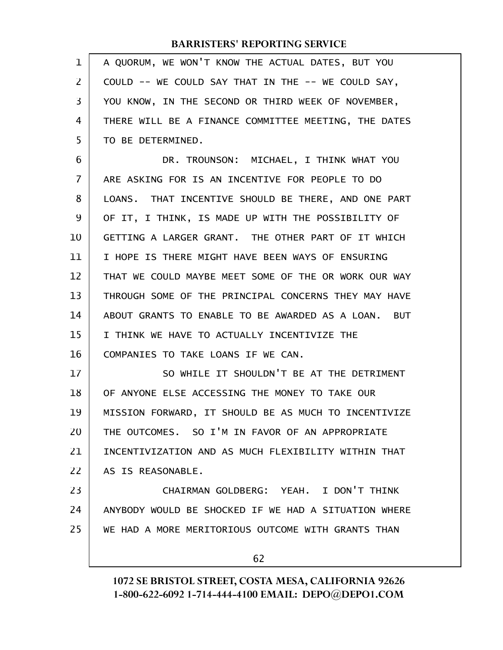| 1  | A QUORUM, WE WON'T KNOW THE ACTUAL DATES, BUT YOU    |
|----|------------------------------------------------------|
| 2  | COULD -- WE COULD SAY THAT IN THE -- WE COULD SAY,   |
| 3  | YOU KNOW, IN THE SECOND OR THIRD WEEK OF NOVEMBER,   |
| 4  | THERE WILL BE A FINANCE COMMITTEE MEETING, THE DATES |
| 5  | TO BE DETERMINED.                                    |
| 6  | DR. TROUNSON: MICHAEL, I THINK WHAT YOU              |
| 7  | ARE ASKING FOR IS AN INCENTIVE FOR PEOPLE TO DO      |
| 8  | LOANS. THAT INCENTIVE SHOULD BE THERE, AND ONE PART  |
| 9  | OF IT, I THINK, IS MADE UP WITH THE POSSIBILITY OF   |
| 10 | GETTING A LARGER GRANT. THE OTHER PART OF IT WHICH   |
| 11 | I HOPE IS THERE MIGHT HAVE BEEN WAYS OF ENSURING     |
| 12 | THAT WE COULD MAYBE MEET SOME OF THE OR WORK OUR WAY |
| 13 | THROUGH SOME OF THE PRINCIPAL CONCERNS THEY MAY HAVE |
| 14 | ABOUT GRANTS TO ENABLE TO BE AWARDED AS A LOAN. BUT  |
| 15 | I THINK WE HAVE TO ACTUALLY INCENTIVIZE THE          |
| 16 | COMPANIES TO TAKE LOANS IF WE CAN.                   |
| 17 | SO WHILE IT SHOULDN'T BE AT THE DETRIMENT            |
| 18 | OF ANYONE ELSE ACCESSING THE MONEY TO TAKE OUR       |
| 19 | MISSION FORWARD, IT SHOULD BE AS MUCH TO INCENTIVIZE |
| 20 | THE OUTCOMES. SO I'M IN FAVOR OF AN APPROPRIATE      |
| 21 | INCENTIVIZATION AND AS MUCH FLEXIBILITY WITHIN THAT  |
| 22 | AS IS REASONABLE.                                    |
| 23 | CHAIRMAN GOLDBERG: YEAH. I DON'T THINK               |
| 24 | ANYBODY WOULD BE SHOCKED IF WE HAD A SITUATION WHERE |
| 25 | WE HAD A MORE MERITORIOUS OUTCOME WITH GRANTS THAN   |
|    | 62                                                   |
|    |                                                      |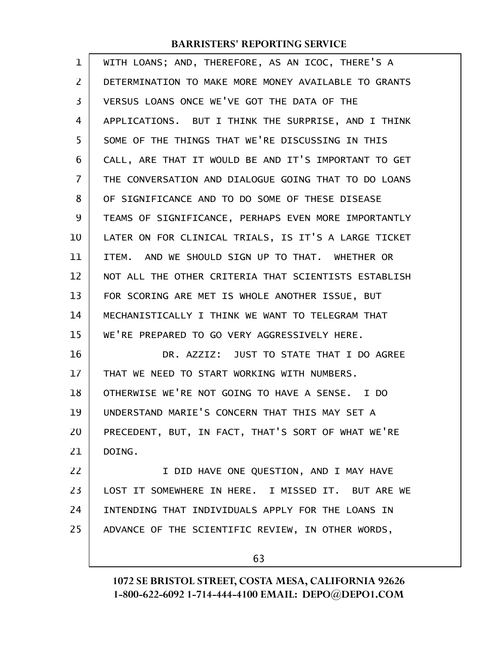| 1              | WITH LOANS; AND, THEREFORE, AS AN ICOC, THERE'S A    |
|----------------|------------------------------------------------------|
| $\overline{2}$ | DETERMINATION TO MAKE MORE MONEY AVAILABLE TO GRANTS |
| 3              | VERSUS LOANS ONCE WE'VE GOT THE DATA OF THE          |
| 4              | APPLICATIONS. BUT I THINK THE SURPRISE, AND I THINK  |
| 5              | SOME OF THE THINGS THAT WE'RE DISCUSSING IN THIS     |
| 6              | CALL, ARE THAT IT WOULD BE AND IT'S IMPORTANT TO GET |
| 7              | THE CONVERSATION AND DIALOGUE GOING THAT TO DO LOANS |
| 8              | OF SIGNIFICANCE AND TO DO SOME OF THESE DISEASE      |
| 9              | TEAMS OF SIGNIFICANCE, PERHAPS EVEN MORE IMPORTANTLY |
| 10             | LATER ON FOR CLINICAL TRIALS, IS IT'S A LARGE TICKET |
| 11             | ITEM. AND WE SHOULD SIGN UP TO THAT. WHETHER OR      |
| 12             | NOT ALL THE OTHER CRITERIA THAT SCIENTISTS ESTABLISH |
| 13             | FOR SCORING ARE MET IS WHOLE ANOTHER ISSUE, BUT      |
| 14             | MECHANISTICALLY I THINK WE WANT TO TELEGRAM THAT     |
| 15             | WE'RE PREPARED TO GO VERY AGGRESSIVELY HERE.         |
| 16             | DR. AZZIZ: JUST TO STATE THAT I DO AGREE             |
| 17             | THAT WE NEED TO START WORKING WITH NUMBERS.          |
| 18             | OTHERWISE WE'RE NOT GOING TO HAVE A SENSE. I DO      |
| 19             | UNDERSTAND MARIE'S CONCERN THAT THIS MAY SET A       |
| 20             | PRECEDENT, BUT, IN FACT, THAT'S SORT OF WHAT WE'RE   |
| 21             | DOING.                                               |
| 22             | I DID HAVE ONE QUESTION, AND I MAY HAVE              |
| 23             | LOST IT SOMEWHERE IN HERE. I MISSED IT. BUT ARE WE   |
| 24             | INTENDING THAT INDIVIDUALS APPLY FOR THE LOANS IN    |
| 25             | ADVANCE OF THE SCIENTIFIC REVIEW, IN OTHER WORDS,    |
|                |                                                      |

63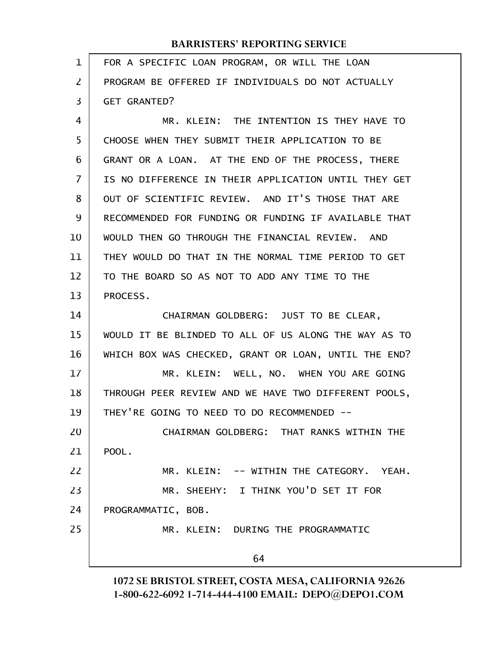| 1              | FOR A SPECIFIC LOAN PROGRAM, OR WILL THE LOAN        |
|----------------|------------------------------------------------------|
| $\overline{2}$ | PROGRAM BE OFFERED IF INDIVIDUALS DO NOT ACTUALLY    |
| 3              | <b>GET GRANTED?</b>                                  |
| 4              | MR. KLEIN: THE INTENTION IS THEY HAVE TO             |
| 5              | CHOOSE WHEN THEY SUBMIT THEIR APPLICATION TO BE      |
| 6              | GRANT OR A LOAN. AT THE END OF THE PROCESS, THERE    |
| $\overline{7}$ | IS NO DIFFERENCE IN THEIR APPLICATION UNTIL THEY GET |
| 8              | OUT OF SCIENTIFIC REVIEW. AND IT'S THOSE THAT ARE    |
| 9              | RECOMMENDED FOR FUNDING OR FUNDING IF AVAILABLE THAT |
| 10             | WOULD THEN GO THROUGH THE FINANCIAL REVIEW. AND      |
| 11             | THEY WOULD DO THAT IN THE NORMAL TIME PERIOD TO GET  |
| 12             | TO THE BOARD SO AS NOT TO ADD ANY TIME TO THE        |
| 13             | PROCESS.                                             |
| 14             | CHAIRMAN GOLDBERG: JUST TO BE CLEAR,                 |
| 15             | WOULD IT BE BLINDED TO ALL OF US ALONG THE WAY AS TO |
| 16             | WHICH BOX WAS CHECKED, GRANT OR LOAN, UNTIL THE END? |
| 17             | MR. KLEIN: WELL, NO. WHEN YOU ARE GOING              |
| 18             | THROUGH PEER REVIEW AND WE HAVE TWO DIFFERENT POOLS, |
| 19             | THEY'RE GOING TO NEED TO DO RECOMMENDED --           |
| 20             | CHAIRMAN GOLDBERG: THAT RANKS WITHIN THE             |
| 21             | POOL.                                                |
| 22             | MR. KLEIN: -- WITHIN THE CATEGORY. YEAH.             |
| 23             | MR. SHEEHY: I THINK YOU'D SET IT FOR                 |
| 24             | PROGRAMMATIC, BOB.                                   |
| 25             | MR. KLEIN: DURING THE PROGRAMMATIC                   |
|                | 64                                                   |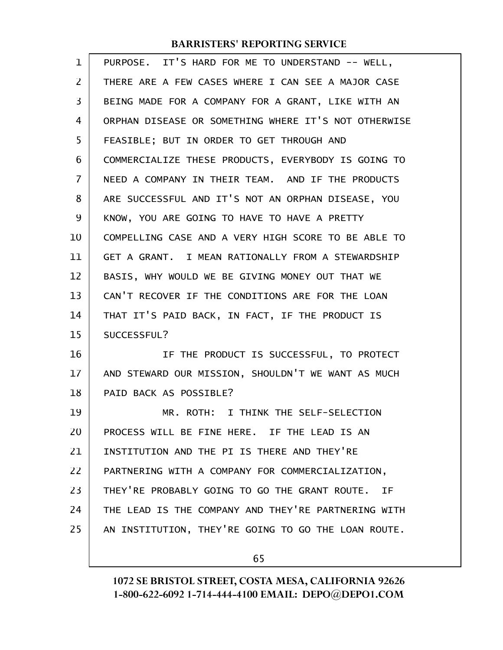| 1              | PURPOSE. IT'S HARD FOR ME TO UNDERSTAND -- WELL,     |
|----------------|------------------------------------------------------|
| $\overline{2}$ | THERE ARE A FEW CASES WHERE I CAN SEE A MAJOR CASE   |
| 3              | BEING MADE FOR A COMPANY FOR A GRANT, LIKE WITH AN   |
| 4              | ORPHAN DISEASE OR SOMETHING WHERE IT'S NOT OTHERWISE |
| 5              | FEASIBLE; BUT IN ORDER TO GET THROUGH AND            |
| 6              | COMMERCIALIZE THESE PRODUCTS, EVERYBODY IS GOING TO  |
| 7              | NEED A COMPANY IN THEIR TEAM. AND IF THE PRODUCTS    |
| 8              | ARE SUCCESSFUL AND IT'S NOT AN ORPHAN DISEASE, YOU   |
| 9              | KNOW, YOU ARE GOING TO HAVE TO HAVE A PRETTY         |
| 10             | COMPELLING CASE AND A VERY HIGH SCORE TO BE ABLE TO  |
| 11             | GET A GRANT. I MEAN RATIONALLY FROM A STEWARDSHIP    |
| 12             | BASIS, WHY WOULD WE BE GIVING MONEY OUT THAT WE      |
| 13             | CAN'T RECOVER IF THE CONDITIONS ARE FOR THE LOAN     |
| 14             | THAT IT'S PAID BACK, IN FACT, IF THE PRODUCT IS      |
| 15             | SUCCESSFUL?                                          |
| 16             | IF THE PRODUCT IS SUCCESSFUL, TO PROTECT             |
| 17             | AND STEWARD OUR MISSION, SHOULDN'T WE WANT AS MUCH   |
| 18             | PAID BACK AS POSSIBLE?                               |
| 19             | MR. ROTH: I THINK THE SELF-SELECTION                 |
| 20             | PROCESS WILL BE FINE HERE. IF THE LEAD IS AN         |
| 21             | INSTITUTION AND THE PI IS THERE AND THEY'RE          |
| 22             | PARTNERING WITH A COMPANY FOR COMMERCIALIZATION,     |
| 23             | THEY'RE PROBABLY GOING TO GO THE GRANT ROUTE. IF     |
| 24             | THE LEAD IS THE COMPANY AND THEY'RE PARTNERING WITH  |
| 25             | AN INSTITUTION, THEY'RE GOING TO GO THE LOAN ROUTE.  |
|                |                                                      |

65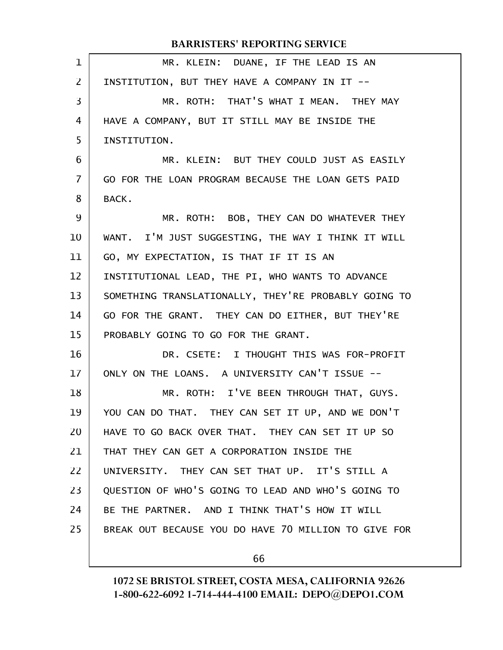| $\mathbf{1}$ | MR. KLEIN: DUANE, IF THE LEAD IS AN                  |
|--------------|------------------------------------------------------|
| 2            | INSTITUTION, BUT THEY HAVE A COMPANY IN IT --        |
| 3            | MR. ROTH: THAT'S WHAT I MEAN. THEY MAY               |
| 4            | HAVE A COMPANY, BUT IT STILL MAY BE INSIDE THE       |
| 5            | INSTITUTION.                                         |
| 6            | MR. KLEIN: BUT THEY COULD JUST AS EASILY             |
| 7            | GO FOR THE LOAN PROGRAM BECAUSE THE LOAN GETS PAID   |
| 8            | BACK.                                                |
| 9            | MR. ROTH: BOB, THEY CAN DO WHATEVER THEY             |
| 10           | WANT. I'M JUST SUGGESTING, THE WAY I THINK IT WILL   |
| 11           | GO, MY EXPECTATION, IS THAT IF IT IS AN              |
| 12           | INSTITUTIONAL LEAD, THE PI, WHO WANTS TO ADVANCE     |
| 13           | SOMETHING TRANSLATIONALLY, THEY'RE PROBABLY GOING TO |
| 14           | GO FOR THE GRANT. THEY CAN DO EITHER, BUT THEY'RE    |
| 15           | PROBABLY GOING TO GO FOR THE GRANT.                  |
| 16           | DR. CSETE: I THOUGHT THIS WAS FOR-PROFIT             |
| 17           | ONLY ON THE LOANS. A UNIVERSITY CAN'T ISSUE --       |
| 18           | MR. ROTH: I'VE BEEN THROUGH THAT, GUYS.              |
| 19           | YOU CAN DO THAT. THEY CAN SET IT UP, AND WE DON'T    |
| 20           | HAVE TO GO BACK OVER THAT. THEY CAN SET IT UP SO     |
| 21           | THAT THEY CAN GET A CORPORATION INSIDE THE           |
| 22           | UNIVERSITY. THEY CAN SET THAT UP. IT'S STILL A       |
| 23           | QUESTION OF WHO'S GOING TO LEAD AND WHO'S GOING TO   |
| 24           | BE THE PARTNER. AND I THINK THAT'S HOW IT WILL       |
| 25           | BREAK OUT BECAUSE YOU DO HAVE 70 MILLION TO GIVE FOR |
|              |                                                      |

66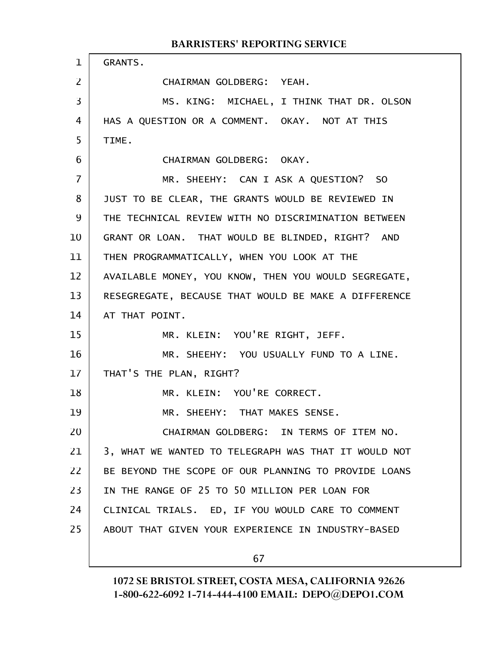### GRANTS. CHAIRMAN GOLDBERG: YEAH. MS. KING: MICHAEL, I THINK THAT DR. OLSON HAS A QUESTION OR A COMMENT. OKAY. NOT AT THIS TIME. CHAIRMAN GOLDBERG: OKAY. MR. SHEEHY: CAN I ASK A QUESTION? SO JUST TO BE CLEAR, THE GRANTS WOULD BE REVIEWED IN THE TECHNICAL REVIEW WITH NO DISCRIMINATION BETWEEN GRANT OR LOAN. THAT WOULD BE BLINDED, RIGHT? AND THEN PROGRAMMATICALLY, WHEN YOU LOOK AT THE AVAILABLE MONEY, YOU KNOW, THEN YOU WOULD SEGREGATE, RESEGREGATE, BECAUSE THAT WOULD BE MAKE A DIFFERENCE AT THAT POINT. MR. KLEIN: YOU'RE RIGHT, JEFF. MR. SHEEHY: YOU USUALLY FUND TO A LINE. THAT'S THE PLAN, RIGHT? MR. KLEIN: YOU'RE CORRECT. MR. SHEEHY: THAT MAKES SENSE. CHAIRMAN GOLDBERG: IN TERMS OF ITEM NO. 3, WHAT WE WANTED TO TELEGRAPH WAS THAT IT WOULD NOT BE BEYOND THE SCOPE OF OUR PLANNING TO PROVIDE LOANS IN THE RANGE OF 25 TO 50 MILLION PER LOAN FOR CLINICAL TRIALS. ED, IF YOU WOULD CARE TO COMMENT ABOUT THAT GIVEN YOUR EXPERIENCE IN INDUSTRY-BASED 1 2 3 4 5 6 7 8 9 10 11 12 13 14 15 16 17 18 19 20 21 22 23 24 25

### BARRISTERS' REPORTING SERVICE

67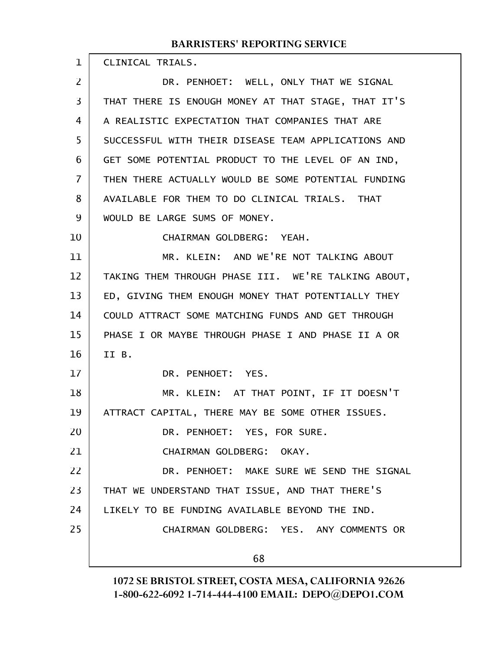| $\mathbf{1}$      | CLINICAL TRIALS.                                    |
|-------------------|-----------------------------------------------------|
| $\overline{2}$    | DR. PENHOET: WELL, ONLY THAT WE SIGNAL              |
| $\overline{3}$    | THAT THERE IS ENOUGH MONEY AT THAT STAGE, THAT IT'S |
| $\overline{4}$    | A REALISTIC EXPECTATION THAT COMPANIES THAT ARE     |
| 5                 | SUCCESSFUL WITH THEIR DISEASE TEAM APPLICATIONS AND |
| 6                 | GET SOME POTENTIAL PRODUCT TO THE LEVEL OF AN IND,  |
| $\overline{7}$    | THEN THERE ACTUALLY WOULD BE SOME POTENTIAL FUNDING |
| 8                 | AVAILABLE FOR THEM TO DO CLINICAL TRIALS. THAT      |
| 9                 | WOULD BE LARGE SUMS OF MONEY.                       |
| 10                | CHAIRMAN GOLDBERG: YEAH.                            |
| 11                | MR. KLEIN: AND WE'RE NOT TALKING ABOUT              |
| $12 \overline{ }$ | TAKING THEM THROUGH PHASE III. WE'RE TALKING ABOUT, |
| 13                | ED, GIVING THEM ENOUGH MONEY THAT POTENTIALLY THEY  |
| 14                | COULD ATTRACT SOME MATCHING FUNDS AND GET THROUGH   |
| 15                | PHASE I OR MAYBE THROUGH PHASE I AND PHASE II A OR  |
| 16                | II B.                                               |
| 17                | DR. PENHOET: YES.                                   |
| 18                | MR. KLEIN: AT THAT POINT, IF IT DOESN'T             |
| 19                | ATTRACT CAPITAL, THERE MAY BE SOME OTHER ISSUES.    |
| 20                | DR. PENHOET: YES, FOR SURE.                         |
| 21                | CHAIRMAN GOLDBERG: OKAY.                            |
| 22                | DR. PENHOET: MAKE SURE WE SEND THE SIGNAL           |
| 23                | THAT WE UNDERSTAND THAT ISSUE, AND THAT THERE'S     |
| 24                | LIKELY TO BE FUNDING AVAILABLE BEYOND THE IND.      |
| 25                | CHAIRMAN GOLDBERG: YES. ANY COMMENTS OR             |
|                   | 68                                                  |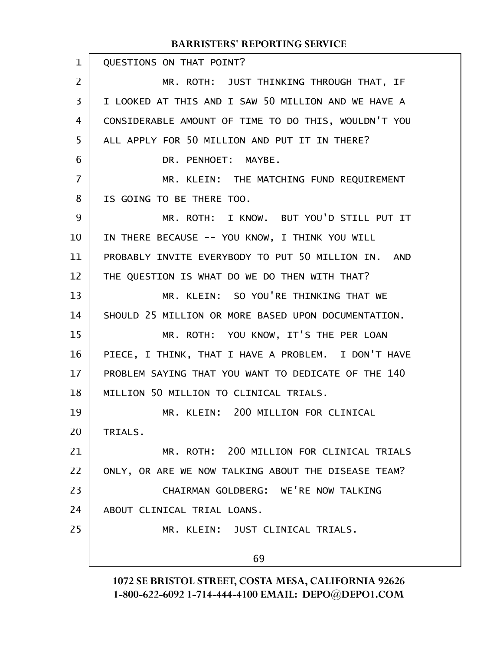| $\mathbf 1$    | QUESTIONS ON THAT POINT?                             |
|----------------|------------------------------------------------------|
| 2              | MR. ROTH: JUST THINKING THROUGH THAT, IF             |
| $\overline{3}$ | I LOOKED AT THIS AND I SAW 50 MILLION AND WE HAVE A  |
| 4              | CONSIDERABLE AMOUNT OF TIME TO DO THIS, WOULDN'T YOU |
| 5              | ALL APPLY FOR 50 MILLION AND PUT IT IN THERE?        |
| 6              | DR. PENHOET: MAYBE.                                  |
| 7              | MR. KLEIN: THE MATCHING FUND REQUIREMENT             |
| 8              | IS GOING TO BE THERE TOO.                            |
| 9              | MR. ROTH: I KNOW. BUT YOU'D STILL PUT IT             |
| 10             | IN THERE BECAUSE -- YOU KNOW, I THINK YOU WILL       |
| 11             | PROBABLY INVITE EVERYBODY TO PUT 50 MILLION IN. AND  |
| 12             | THE QUESTION IS WHAT DO WE DO THEN WITH THAT?        |
| 13             | MR. KLEIN: SO YOU'RE THINKING THAT WE                |
| 14             | SHOULD 25 MILLION OR MORE BASED UPON DOCUMENTATION.  |
| 15             | MR. ROTH: YOU KNOW, IT'S THE PER LOAN                |
| 16             | PIECE, I THINK, THAT I HAVE A PROBLEM. I DON'T HAVE  |
| 17             | PROBLEM SAYING THAT YOU WANT TO DEDICATE OF THE 140  |
| 18             | MILLION 50 MILLION TO CLINICAL TRIALS.               |
| 19             | MR. KLEIN: 200 MILLION FOR CLINICAL                  |
| 20             | TRIALS.                                              |
| 21             | MR. ROTH: 200 MILLION FOR CLINICAL TRIALS            |
| 22             | ONLY, OR ARE WE NOW TALKING ABOUT THE DISEASE TEAM?  |
| 23             | CHAIRMAN GOLDBERG: WE'RE NOW TALKING                 |
| 24             | ABOUT CLINICAL TRIAL LOANS.                          |
| 25             | MR. KLEIN: JUST CLINICAL TRIALS.                     |
|                | 69                                                   |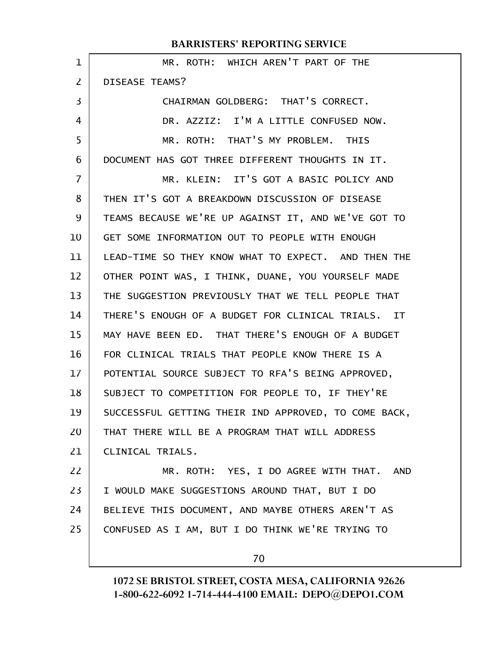| $\mathbf 1$    | MR. ROTH: WHICH AREN'T PART OF THE                   |
|----------------|------------------------------------------------------|
| $\overline{2}$ | DISEASE TEAMS?                                       |
| 3              | CHAIRMAN GOLDBERG: THAT'S CORRECT.                   |
| 4              | DR. AZZIZ: I'M A LITTLE CONFUSED NOW.                |
| 5              | MR. ROTH: THAT'S MY PROBLEM. THIS                    |
| 6              | DOCUMENT HAS GOT THREE DIFFERENT THOUGHTS IN IT.     |
| 7              | MR. KLEIN: IT'S GOT A BASIC POLICY AND               |
| 8              | THEN IT'S GOT A BREAKDOWN DISCUSSION OF DISEASE      |
| 9              | TEAMS BECAUSE WE'RE UP AGAINST IT, AND WE'VE GOT TO  |
| 10             | GET SOME INFORMATION OUT TO PEOPLE WITH ENOUGH       |
| 11             | LEAD-TIME SO THEY KNOW WHAT TO EXPECT. AND THEN THE  |
| 12             | OTHER POINT WAS, I THINK, DUANE, YOU YOURSELF MADE   |
| 13             | THE SUGGESTION PREVIOUSLY THAT WE TELL PEOPLE THAT   |
| 14             | THERE'S ENOUGH OF A BUDGET FOR CLINICAL TRIALS. IT   |
| 15             | MAY HAVE BEEN ED. THAT THERE'S ENOUGH OF A BUDGET    |
| 16             | FOR CLINICAL TRIALS THAT PEOPLE KNOW THERE IS A      |
| 17             | POTENTIAL SOURCE SUBJECT TO RFA'S BEING APPROVED,    |
| 18             | SUBJECT TO COMPETITION FOR PEOPLE TO, IF THEY'RE     |
| 19             | SUCCESSFUL GETTING THEIR IND APPROVED, TO COME BACK, |
| 20             | THAT THERE WILL BE A PROGRAM THAT WILL ADDRESS       |
| 21             | CLINICAL TRIALS.                                     |
| 22             | MR. ROTH: YES, I DO AGREE WITH THAT. AND             |
| 23             | I WOULD MAKE SUGGESTIONS AROUND THAT, BUT I DO       |
| 24             | BELIEVE THIS DOCUMENT, AND MAYBE OTHERS AREN'T AS    |
| 25             | CONFUSED AS I AM, BUT I DO THINK WE'RE TRYING TO     |
|                | 70                                                   |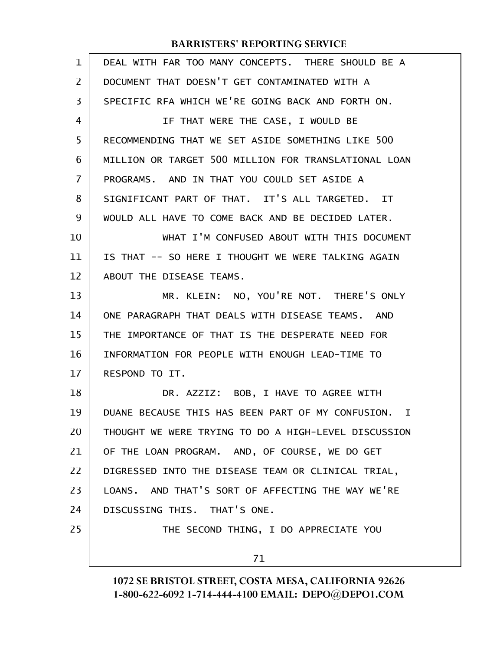| $\mathbf 1$ | DEAL WITH FAR TOO MANY CONCEPTS. THERE SHOULD BE A      |
|-------------|---------------------------------------------------------|
| 2           | DOCUMENT THAT DOESN'T GET CONTAMINATED WITH A           |
| 3           | SPECIFIC RFA WHICH WE'RE GOING BACK AND FORTH ON.       |
| 4           | IF THAT WERE THE CASE, I WOULD BE                       |
| 5           | RECOMMENDING THAT WE SET ASIDE SOMETHING LIKE 500       |
| 6           | MILLION OR TARGET 500 MILLION FOR TRANSLATIONAL LOAN    |
| 7           | PROGRAMS. AND IN THAT YOU COULD SET ASIDE A             |
| 8           | SIGNIFICANT PART OF THAT. IT'S ALL TARGETED. IT         |
| 9           | WOULD ALL HAVE TO COME BACK AND BE DECIDED LATER.       |
| 10          | WHAT I'M CONFUSED ABOUT WITH THIS DOCUMENT              |
| 11          | IS THAT -- SO HERE I THOUGHT WE WERE TALKING AGAIN      |
| 12          | ABOUT THE DISEASE TEAMS.                                |
| 13          | MR. KLEIN: NO, YOU'RE NOT. THERE'S ONLY                 |
| 14          | ONE PARAGRAPH THAT DEALS WITH DISEASE TEAMS. AND        |
| 15          | THE IMPORTANCE OF THAT IS THE DESPERATE NEED FOR        |
| 16          | INFORMATION FOR PEOPLE WITH ENOUGH LEAD-TIME TO         |
| 17          | RESPOND TO IT.                                          |
| 18          | DR. AZZIZ: BOB, I HAVE TO AGREE WITH                    |
| 19          | DUANE BECAUSE THIS HAS BEEN PART OF MY CONFUSION.<br>Ι. |
| 20          | THOUGHT WE WERE TRYING TO DO A HIGH-LEVEL DISCUSSION    |
| 21          | OF THE LOAN PROGRAM. AND, OF COURSE, WE DO GET          |
| 22          | DIGRESSED INTO THE DISEASE TEAM OR CLINICAL TRIAL,      |
| 23          | LOANS. AND THAT'S SORT OF AFFECTING THE WAY WE'RE       |
| 24          | DISCUSSING THIS. THAT'S ONE.                            |
| 25          | THE SECOND THING, I DO APPRECIATE YOU                   |
|             | 71                                                      |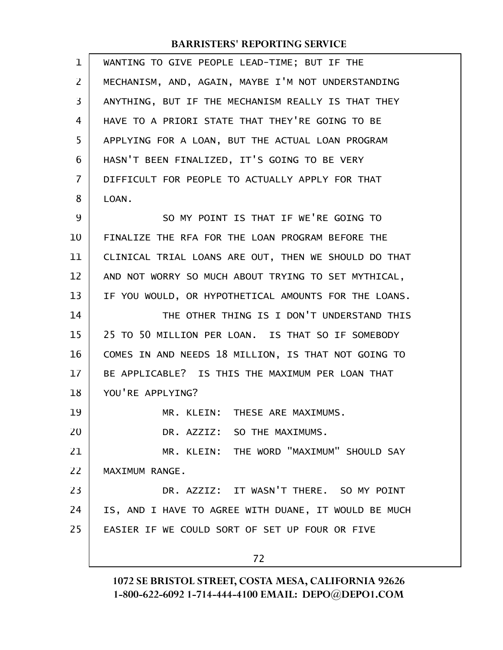| 1              | WANTING TO GIVE PEOPLE LEAD-TIME; BUT IF THE         |
|----------------|------------------------------------------------------|
| $\overline{2}$ | MECHANISM, AND, AGAIN, MAYBE I'M NOT UNDERSTANDING   |
| 3              | ANYTHING, BUT IF THE MECHANISM REALLY IS THAT THEY   |
| 4              | HAVE TO A PRIORI STATE THAT THEY'RE GOING TO BE      |
| 5              | APPLYING FOR A LOAN, BUT THE ACTUAL LOAN PROGRAM     |
| 6              | HASN'T BEEN FINALIZED, IT'S GOING TO BE VERY         |
| $\overline{7}$ | DIFFICULT FOR PEOPLE TO ACTUALLY APPLY FOR THAT      |
| 8              | LOAN.                                                |
| 9              | SO MY POINT IS THAT IF WE'RE GOING TO                |
| 10             | FINALIZE THE RFA FOR THE LOAN PROGRAM BEFORE THE     |
| 11             | CLINICAL TRIAL LOANS ARE OUT, THEN WE SHOULD DO THAT |
| 12             | AND NOT WORRY SO MUCH ABOUT TRYING TO SET MYTHICAL,  |
| 13             | IF YOU WOULD, OR HYPOTHETICAL AMOUNTS FOR THE LOANS. |
| 14             | THE OTHER THING IS I DON'T UNDERSTAND THIS           |
| 15             | 25 TO 50 MILLION PER LOAN. IS THAT SO IF SOMEBODY    |
| 16             | COMES IN AND NEEDS 18 MILLION, IS THAT NOT GOING TO  |
| 17             | BE APPLICABLE? IS THIS THE MAXIMUM PER LOAN THAT     |
| 18             | YOU'RE APPLYING?                                     |
| 19             | MR. KLEIN: THESE ARE MAXIMUMS.                       |
| 20             | DR. AZZIZ: SO THE MAXIMUMS.                          |
| 21             | MR. KLEIN: THE WORD "MAXIMUM" SHOULD SAY             |
| 22             | MAXIMUM RANGE.                                       |
| 23             | DR. AZZIZ: IT WASN'T THERE. SO MY POINT              |
| 24             | IS, AND I HAVE TO AGREE WITH DUANE, IT WOULD BE MUCH |
| 25             | EASIER IF WE COULD SORT OF SET UP FOUR OR FIVE       |
|                | 72                                                   |
|                |                                                      |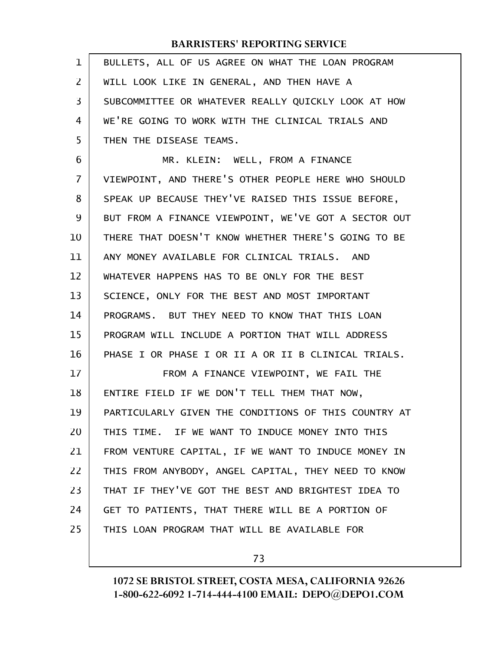| 1              | BULLETS, ALL OF US AGREE ON WHAT THE LOAN PROGRAM    |
|----------------|------------------------------------------------------|
| $\overline{2}$ | WILL LOOK LIKE IN GENERAL, AND THEN HAVE A           |
| 3              | SUBCOMMITTEE OR WHATEVER REALLY QUICKLY LOOK AT HOW  |
| 4              | WE'RE GOING TO WORK WITH THE CLINICAL TRIALS AND     |
| 5              | THEN THE DISEASE TEAMS.                              |
| 6              | MR. KLEIN: WELL, FROM A FINANCE                      |
| $\overline{7}$ | VIEWPOINT, AND THERE'S OTHER PEOPLE HERE WHO SHOULD  |
| 8              | SPEAK UP BECAUSE THEY'VE RAISED THIS ISSUE BEFORE,   |
| 9              | BUT FROM A FINANCE VIEWPOINT, WE'VE GOT A SECTOR OUT |
| 10             | THERE THAT DOESN'T KNOW WHETHER THERE'S GOING TO BE  |
| 11             | ANY MONEY AVAILABLE FOR CLINICAL TRIALS. AND         |
| 12             | WHATEVER HAPPENS HAS TO BE ONLY FOR THE BEST         |
| 13             | SCIENCE, ONLY FOR THE BEST AND MOST IMPORTANT        |
| 14             | PROGRAMS. BUT THEY NEED TO KNOW THAT THIS LOAN       |
| 15             | PROGRAM WILL INCLUDE A PORTION THAT WILL ADDRESS     |
| 16             | PHASE I OR PHASE I OR II A OR II B CLINICAL TRIALS.  |
| 17             | FROM A FINANCE VIEWPOINT, WE FAIL THE                |
| 18             | ENTIRE FIELD IF WE DON'T TELL THEM THAT NOW,         |
| 19             | PARTICULARLY GIVEN THE CONDITIONS OF THIS COUNTRY AT |
| 20             | THIS TIME. IF WE WANT TO INDUCE MONEY INTO THIS      |
| 21             | FROM VENTURE CAPITAL, IF WE WANT TO INDUCE MONEY IN  |
| 22             | THIS FROM ANYBODY, ANGEL CAPITAL, THEY NEED TO KNOW  |
| 23             | THAT IF THEY'VE GOT THE BEST AND BRIGHTEST IDEA TO   |
| 24             | GET TO PATIENTS, THAT THERE WILL BE A PORTION OF     |
| 25             | THIS LOAN PROGRAM THAT WILL BE AVAILABLE FOR         |
|                |                                                      |

73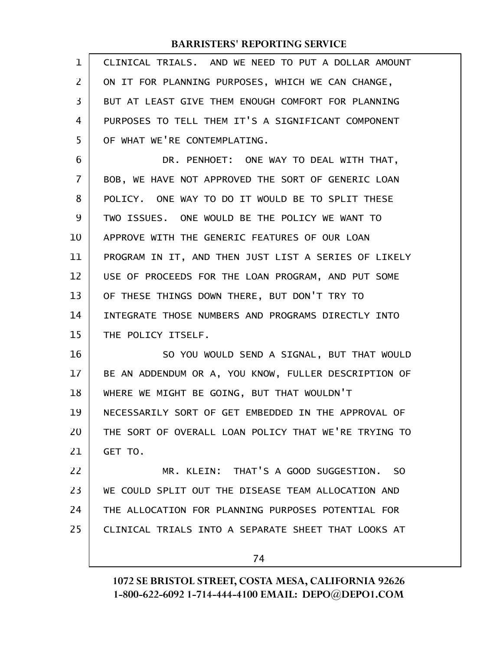| 1  | CLINICAL TRIALS. AND WE NEED TO PUT A DOLLAR AMOUNT  |
|----|------------------------------------------------------|
| 2  | ON IT FOR PLANNING PURPOSES, WHICH WE CAN CHANGE,    |
| 3  | BUT AT LEAST GIVE THEM ENOUGH COMFORT FOR PLANNING   |
| 4  | PURPOSES TO TELL THEM IT'S A SIGNIFICANT COMPONENT   |
| 5  | OF WHAT WE'RE CONTEMPLATING.                         |
| 6  | DR. PENHOET: ONE WAY TO DEAL WITH THAT,              |
| 7  | BOB, WE HAVE NOT APPROVED THE SORT OF GENERIC LOAN   |
| 8  | POLICY. ONE WAY TO DO IT WOULD BE TO SPLIT THESE     |
| 9  | TWO ISSUES. ONE WOULD BE THE POLICY WE WANT TO       |
| 10 | APPROVE WITH THE GENERIC FEATURES OF OUR LOAN        |
| 11 | PROGRAM IN IT, AND THEN JUST LIST A SERIES OF LIKELY |
| 12 | USE OF PROCEEDS FOR THE LOAN PROGRAM, AND PUT SOME   |
| 13 | OF THESE THINGS DOWN THERE, BUT DON'T TRY TO         |
| 14 | INTEGRATE THOSE NUMBERS AND PROGRAMS DIRECTLY INTO   |
| 15 | THE POLICY ITSELF.                                   |
| 16 | SO YOU WOULD SEND A SIGNAL, BUT THAT WOULD           |
| 17 | BE AN ADDENDUM OR A, YOU KNOW, FULLER DESCRIPTION OF |
| 18 | WHERE WE MIGHT BE GOING, BUT THAT WOULDN'T           |
| 19 | NECESSARILY SORT OF GET EMBEDDED IN THE APPROVAL OF  |
| 20 | THE SORT OF OVERALL LOAN POLICY THAT WE'RE TRYING TO |
| 21 | GET TO.                                              |
| 22 | MR. KLEIN: THAT'S A GOOD SUGGESTION. SO              |
| 23 | WE COULD SPLIT OUT THE DISEASE TEAM ALLOCATION AND   |
| 24 | THE ALLOCATION FOR PLANNING PURPOSES POTENTIAL FOR   |
| 25 | CLINICAL TRIALS INTO A SEPARATE SHEET THAT LOOKS AT  |
|    | 74                                                   |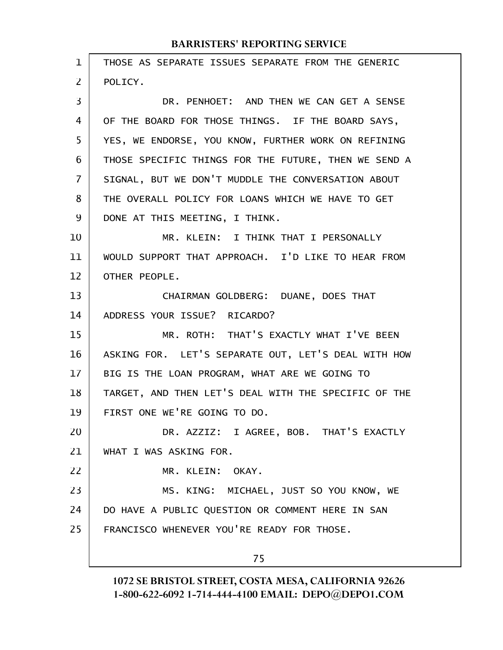| 1  | THOSE AS SEPARATE ISSUES SEPARATE FROM THE GENERIC   |
|----|------------------------------------------------------|
| 2  | POLICY.                                              |
| 3  | DR. PENHOET: AND THEN WE CAN GET A SENSE             |
| 4  | OF THE BOARD FOR THOSE THINGS. IF THE BOARD SAYS,    |
| 5  | YES, WE ENDORSE, YOU KNOW, FURTHER WORK ON REFINING  |
| 6  | THOSE SPECIFIC THINGS FOR THE FUTURE, THEN WE SEND A |
| 7  | SIGNAL, BUT WE DON'T MUDDLE THE CONVERSATION ABOUT   |
| 8  | THE OVERALL POLICY FOR LOANS WHICH WE HAVE TO GET    |
| 9  | DONE AT THIS MEETING, I THINK.                       |
| 10 | MR. KLEIN: I THINK THAT I PERSONALLY                 |
| 11 | WOULD SUPPORT THAT APPROACH. I'D LIKE TO HEAR FROM   |
| 12 | OTHER PEOPLE.                                        |
| 13 | CHAIRMAN GOLDBERG: DUANE, DOES THAT                  |
| 14 | ADDRESS YOUR ISSUE? RICARDO?                         |
| 15 | MR. ROTH: THAT'S EXACTLY WHAT I'VE BEEN              |
| 16 | ASKING FOR. LET'S SEPARATE OUT, LET'S DEAL WITH HOW  |
| 17 | BIG IS THE LOAN PROGRAM, WHAT ARE WE GOING TO        |
| 18 | TARGET, AND THEN LET'S DEAL WITH THE SPECIFIC OF THE |
| 19 | FIRST ONE WE'RE GOING TO DO.                         |
| 20 | DR. AZZIZ: I AGREE, BOB. THAT'S EXACTLY              |
| 21 | WHAT I WAS ASKING FOR.                               |
| 22 | MR. KLEIN: OKAY.                                     |
| 23 | MS. KING: MICHAEL, JUST SO YOU KNOW, WE              |
| 24 | DO HAVE A PUBLIC QUESTION OR COMMENT HERE IN SAN     |
| 25 | FRANCISCO WHENEVER YOU'RE READY FOR THOSE.           |
|    | 75                                                   |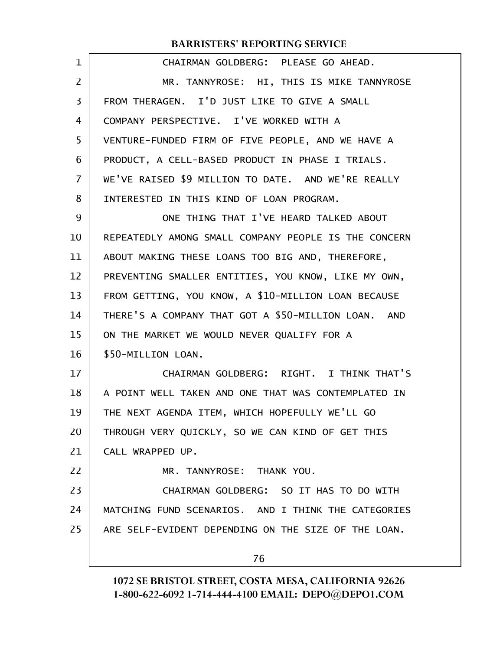| 1              | CHAIRMAN GOLDBERG: PLEASE GO AHEAD.                  |
|----------------|------------------------------------------------------|
| $\overline{2}$ | MR. TANNYROSE: HI, THIS IS MIKE TANNYROSE            |
| 3              | FROM THERAGEN. I'D JUST LIKE TO GIVE A SMALL         |
| 4              | COMPANY PERSPECTIVE. I'VE WORKED WITH A              |
| 5              | VENTURE-FUNDED FIRM OF FIVE PEOPLE, AND WE HAVE A    |
| 6              | PRODUCT, A CELL-BASED PRODUCT IN PHASE I TRIALS.     |
| 7              | WE'VE RAISED \$9 MILLION TO DATE. AND WE'RE REALLY   |
| 8              | INTERESTED IN THIS KIND OF LOAN PROGRAM.             |
| 9              | ONE THING THAT I'VE HEARD TALKED ABOUT               |
| 10             | REPEATEDLY AMONG SMALL COMPANY PEOPLE IS THE CONCERN |
| 11             | ABOUT MAKING THESE LOANS TOO BIG AND, THEREFORE,     |
| 12             | PREVENTING SMALLER ENTITIES, YOU KNOW, LIKE MY OWN,  |
| 13             | FROM GETTING, YOU KNOW, A \$10-MILLION LOAN BECAUSE  |
| 14             | THERE'S A COMPANY THAT GOT A \$50-MILLION LOAN. AND  |
| 15             | ON THE MARKET WE WOULD NEVER QUALIFY FOR A           |
| 16             | \$50-MILLION LOAN.                                   |
| 17             | CHAIRMAN GOLDBERG: RIGHT. I THINK THAT'S             |
| 18             | A POINT WELL TAKEN AND ONE THAT WAS CONTEMPLATED IN  |
| 19             | THE NEXT AGENDA ITEM, WHICH HOPEFULLY WE'LL GO       |
| 20             | THROUGH VERY QUICKLY, SO WE CAN KIND OF GET THIS     |
| 21             | CALL WRAPPED UP.                                     |
| 22             | MR. TANNYROSE: THANK YOU.                            |
| 23             | CHAIRMAN GOLDBERG: SO IT HAS TO DO WITH              |
| 24             | MATCHING FUND SCENARIOS. AND I THINK THE CATEGORIES  |
| 25             | ARE SELF-EVIDENT DEPENDING ON THE SIZE OF THE LOAN.  |
|                | 76                                                   |
|                |                                                      |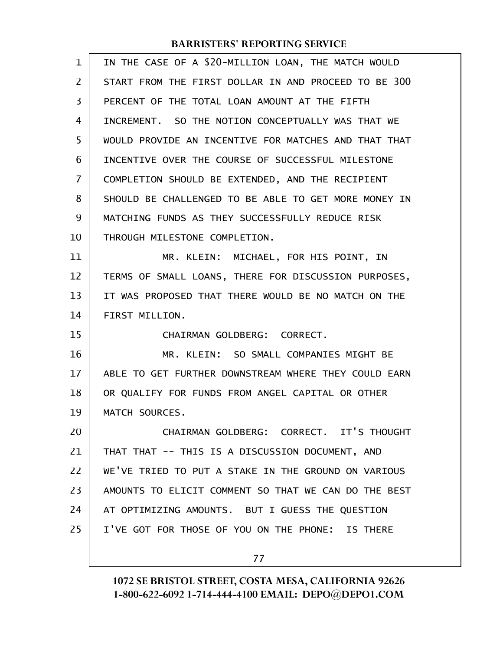| 1  | IN THE CASE OF A \$20-MILLION LOAN, THE MATCH WOULD  |
|----|------------------------------------------------------|
| 2  | START FROM THE FIRST DOLLAR IN AND PROCEED TO BE 300 |
| 3  | PERCENT OF THE TOTAL LOAN AMOUNT AT THE FIFTH        |
| 4  | INCREMENT. SO THE NOTION CONCEPTUALLY WAS THAT WE    |
| 5  | WOULD PROVIDE AN INCENTIVE FOR MATCHES AND THAT THAT |
| 6  | INCENTIVE OVER THE COURSE OF SUCCESSFUL MILESTONE    |
| 7  | COMPLETION SHOULD BE EXTENDED, AND THE RECIPIENT     |
| 8  | SHOULD BE CHALLENGED TO BE ABLE TO GET MORE MONEY IN |
| 9  | MATCHING FUNDS AS THEY SUCCESSFULLY REDUCE RISK      |
| 10 | THROUGH MILESTONE COMPLETION.                        |
| 11 | MR. KLEIN: MICHAEL, FOR HIS POINT, IN                |
| 12 | TERMS OF SMALL LOANS, THERE FOR DISCUSSION PURPOSES, |
| 13 | IT WAS PROPOSED THAT THERE WOULD BE NO MATCH ON THE  |
| 14 | FIRST MILLION.                                       |
| 15 | CHAIRMAN GOLDBERG: CORRECT.                          |
| 16 | MR. KLEIN: SO SMALL COMPANIES MIGHT BE               |
| 17 | ABLE TO GET FURTHER DOWNSTREAM WHERE THEY COULD EARN |
| 18 | OR QUALIFY FOR FUNDS FROM ANGEL CAPITAL OR OTHER     |
| 19 | MATCH SOURCES.                                       |
| 20 | CHAIRMAN GOLDBERG: CORRECT. IT'S THOUGHT             |
| 21 | THAT THAT -- THIS IS A DISCUSSION DOCUMENT, AND      |
| 22 | WE'VE TRIED TO PUT A STAKE IN THE GROUND ON VARIOUS  |
| 23 | AMOUNTS TO ELICIT COMMENT SO THAT WE CAN DO THE BEST |
| 24 | AT OPTIMIZING AMOUNTS. BUT I GUESS THE QUESTION      |
| 25 | I'VE GOT FOR THOSE OF YOU ON THE PHONE: IS THERE     |
|    | 77                                                   |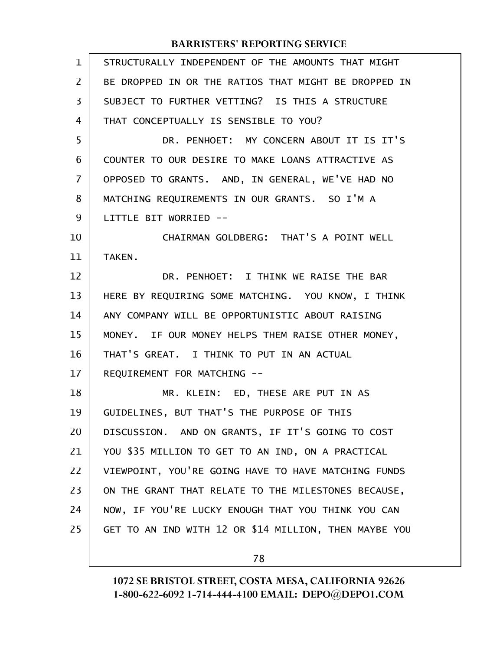| $\mathbf 1$ | STRUCTURALLY INDEPENDENT OF THE AMOUNTS THAT MIGHT    |
|-------------|-------------------------------------------------------|
| 2           | BE DROPPED IN OR THE RATIOS THAT MIGHT BE DROPPED IN  |
| 3           | SUBJECT TO FURTHER VETTING? IS THIS A STRUCTURE       |
| 4           | THAT CONCEPTUALLY IS SENSIBLE TO YOU?                 |
| 5           | DR. PENHOET: MY CONCERN ABOUT IT IS IT'S              |
| 6           | COUNTER TO OUR DESIRE TO MAKE LOANS ATTRACTIVE AS     |
| 7           | OPPOSED TO GRANTS. AND, IN GENERAL, WE'VE HAD NO      |
| 8           | MATCHING REQUIREMENTS IN OUR GRANTS. SO I'M A         |
| 9           | LITTLE BIT WORRIED --                                 |
| 10          | CHAIRMAN GOLDBERG: THAT'S A POINT WELL                |
| 11          | TAKEN.                                                |
| 12          | DR. PENHOET: I THINK WE RAISE THE BAR                 |
| 13          | HERE BY REQUIRING SOME MATCHING. YOU KNOW, I THINK    |
| 14          | ANY COMPANY WILL BE OPPORTUNISTIC ABOUT RAISING       |
| 15          | MONEY. IF OUR MONEY HELPS THEM RAISE OTHER MONEY,     |
| 16          | THAT'S GREAT. I THINK TO PUT IN AN ACTUAL             |
| 17          | REQUIREMENT FOR MATCHING --                           |
| 18          | MR. KLEIN: ED, THESE ARE PUT IN AS                    |
| 19          | GUIDELINES, BUT THAT'S THE PURPOSE OF THIS            |
| 20          | DISCUSSION. AND ON GRANTS, IF IT'S GOING TO COST      |
| 21          | YOU \$35 MILLION TO GET TO AN IND, ON A PRACTICAL     |
| 22          | VIEWPOINT, YOU'RE GOING HAVE TO HAVE MATCHING FUNDS   |
| 23          | ON THE GRANT THAT RELATE TO THE MILESTONES BECAUSE,   |
| 24          | NOW, IF YOU'RE LUCKY ENOUGH THAT YOU THINK YOU CAN    |
| 25          | GET TO AN IND WITH 12 OR \$14 MILLION, THEN MAYBE YOU |
|             |                                                       |

78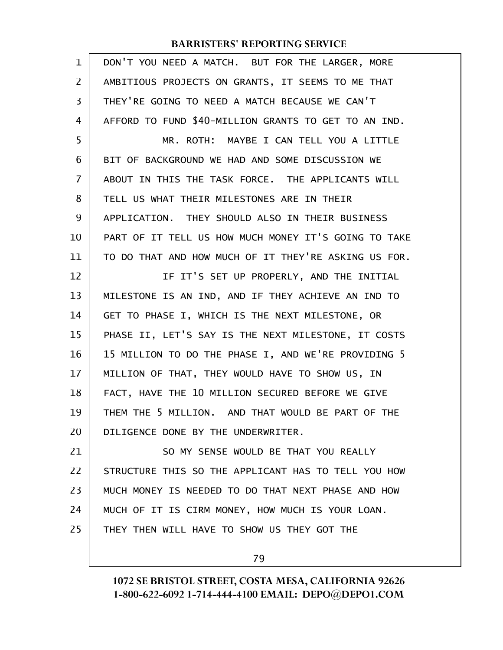| 1              | DON'T YOU NEED A MATCH. BUT FOR THE LARGER, MORE     |
|----------------|------------------------------------------------------|
| 2              | AMBITIOUS PROJECTS ON GRANTS, IT SEEMS TO ME THAT    |
| 3              | THEY'RE GOING TO NEED A MATCH BECAUSE WE CAN'T       |
| 4              | AFFORD TO FUND \$40-MILLION GRANTS TO GET TO AN IND. |
| 5              | MR. ROTH: MAYBE I CAN TELL YOU A LITTLE              |
| 6              | BIT OF BACKGROUND WE HAD AND SOME DISCUSSION WE      |
| $\overline{7}$ | ABOUT IN THIS THE TASK FORCE. THE APPLICANTS WILL    |
| 8              | TELL US WHAT THEIR MILESTONES ARE IN THEIR           |
| 9              | APPLICATION. THEY SHOULD ALSO IN THEIR BUSINESS      |
| 10             | PART OF IT TELL US HOW MUCH MONEY IT'S GOING TO TAKE |
| 11             | TO DO THAT AND HOW MUCH OF IT THEY'RE ASKING US FOR. |
| 12             | IF IT'S SET UP PROPERLY, AND THE INITIAL             |
| 13             | MILESTONE IS AN IND, AND IF THEY ACHIEVE AN IND TO   |
| 14             | GET TO PHASE I, WHICH IS THE NEXT MILESTONE, OR      |
| 15             | PHASE II, LET'S SAY IS THE NEXT MILESTONE, IT COSTS  |
| 16             | 15 MILLION TO DO THE PHASE I, AND WE'RE PROVIDING 5  |
| 17             | MILLION OF THAT, THEY WOULD HAVE TO SHOW US, IN      |
| 18             | FACT, HAVE THE 10 MILLION SECURED BEFORE WE GIVE     |
| 19             | THEM THE 5 MILLION. AND THAT WOULD BE PART OF THE    |
| 20             | DILIGENCE DONE BY THE UNDERWRITER.                   |
| 21             | SO MY SENSE WOULD BE THAT YOU REALLY                 |
| 22             | STRUCTURE THIS SO THE APPLICANT HAS TO TELL YOU HOW  |
| 23             | MUCH MONEY IS NEEDED TO DO THAT NEXT PHASE AND HOW   |
| 24             | MUCH OF IT IS CIRM MONEY, HOW MUCH IS YOUR LOAN.     |
| 25             | THEY THEN WILL HAVE TO SHOW US THEY GOT THE          |
|                |                                                      |

79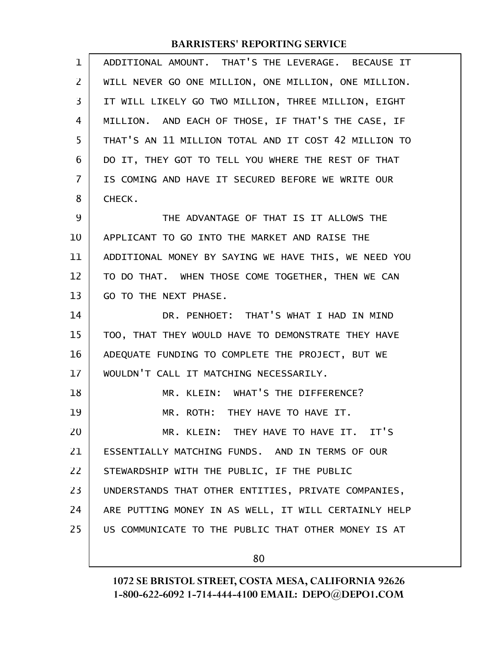| $\mathbf{1}$ | ADDITIONAL AMOUNT. THAT'S THE LEVERAGE. BECAUSE IT   |
|--------------|------------------------------------------------------|
| 2            | WILL NEVER GO ONE MILLION, ONE MILLION, ONE MILLION. |
| 3            | IT WILL LIKELY GO TWO MILLION, THREE MILLION, EIGHT  |
| 4            | MILLION. AND EACH OF THOSE, IF THAT'S THE CASE, IF   |
| 5            | THAT'S AN 11 MILLION TOTAL AND IT COST 42 MILLION TO |
| 6            | DO IT, THEY GOT TO TELL YOU WHERE THE REST OF THAT   |
| 7            | IS COMING AND HAVE IT SECURED BEFORE WE WRITE OUR    |
| 8            | CHECK.                                               |
| 9            | THE ADVANTAGE OF THAT IS IT ALLOWS THE               |
| 10           | APPLICANT TO GO INTO THE MARKET AND RAISE THE        |
| 11           | ADDITIONAL MONEY BY SAYING WE HAVE THIS, WE NEED YOU |
| 12           | TO DO THAT. WHEN THOSE COME TOGETHER, THEN WE CAN    |
| 13           | GO TO THE NEXT PHASE.                                |
| 14           | DR. PENHOET: THAT'S WHAT I HAD IN MIND               |
| 15           | TOO, THAT THEY WOULD HAVE TO DEMONSTRATE THEY HAVE   |
| 16           | ADEQUATE FUNDING TO COMPLETE THE PROJECT, BUT WE     |
| 17           | WOULDN'T CALL IT MATCHING NECESSARILY.               |
| 18           | MR. KLEIN: WHAT'S THE DIFFERENCE?                    |
| 19           | MR. ROTH: THEY HAVE TO HAVE IT.                      |
| 20           | MR. KLEIN: THEY HAVE TO HAVE IT. IT'S                |
| 21           | ESSENTIALLY MATCHING FUNDS. AND IN TERMS OF OUR      |
| 22           | STEWARDSHIP WITH THE PUBLIC, IF THE PUBLIC           |
| 23           | UNDERSTANDS THAT OTHER ENTITIES, PRIVATE COMPANIES,  |
| 24           | ARE PUTTING MONEY IN AS WELL, IT WILL CERTAINLY HELP |
| 25           | US COMMUNICATE TO THE PUBLIC THAT OTHER MONEY IS AT  |
|              | 80                                                   |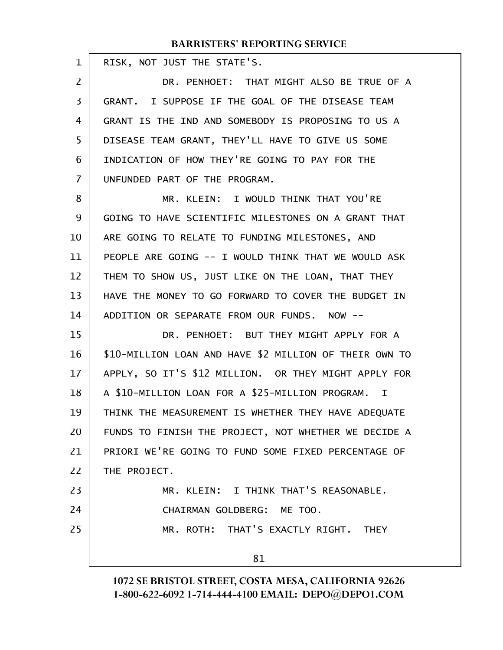| 1              | RISK, NOT JUST THE STATE'S.                                    |
|----------------|----------------------------------------------------------------|
| $\overline{2}$ | DR. PENHOET: THAT MIGHT ALSO BE TRUE OF A                      |
| $\overline{3}$ | GRANT. I SUPPOSE IF THE GOAL OF THE DISEASE TEAM               |
| 4              | GRANT IS THE IND AND SOMEBODY IS PROPOSING TO US A             |
| 5              | DISEASE TEAM GRANT, THEY'LL HAVE TO GIVE US SOME               |
| 6              | INDICATION OF HOW THEY'RE GOING TO PAY FOR THE                 |
| $\overline{7}$ | UNFUNDED PART OF THE PROGRAM.                                  |
| 8              | MR. KLEIN: I WOULD THINK THAT YOU'RE                           |
| 9              | GOING TO HAVE SCIENTIFIC MILESTONES ON A GRANT THAT            |
| 10             | ARE GOING TO RELATE TO FUNDING MILESTONES, AND                 |
| 11             | PEOPLE ARE GOING -- I WOULD THINK THAT WE WOULD ASK            |
| 12             | THEM TO SHOW US, JUST LIKE ON THE LOAN, THAT THEY              |
| 13             | HAVE THE MONEY TO GO FORWARD TO COVER THE BUDGET IN            |
| 14             | ADDITION OR SEPARATE FROM OUR FUNDS. NOW --                    |
| 15             | DR. PENHOET: BUT THEY MIGHT APPLY FOR A                        |
| 16             | \$10-MILLION LOAN AND HAVE \$2 MILLION OF THEIR OWN TO         |
| 17             | APPLY, SO IT'S \$12 MILLION. OR THEY MIGHT APPLY FOR           |
| 18             | A \$10-MILLION LOAN FOR A \$25-MILLION PROGRAM.<br>$\mathbf I$ |
| 19             | THINK THE MEASUREMENT IS WHETHER THEY HAVE ADEQUATE            |
| 20             | FUNDS TO FINISH THE PROJECT, NOT WHETHER WE DECIDE A           |
| 21             | PRIORI WE'RE GOING TO FUND SOME FIXED PERCENTAGE OF            |
| 22             | THE PROJECT.                                                   |
| 23             | MR. KLEIN: I THINK THAT'S REASONABLE.                          |
| 24             | CHAIRMAN GOLDBERG: ME TOO.                                     |
| 25             | MR. ROTH: THAT'S EXACTLY RIGHT. THEY                           |
|                | 81                                                             |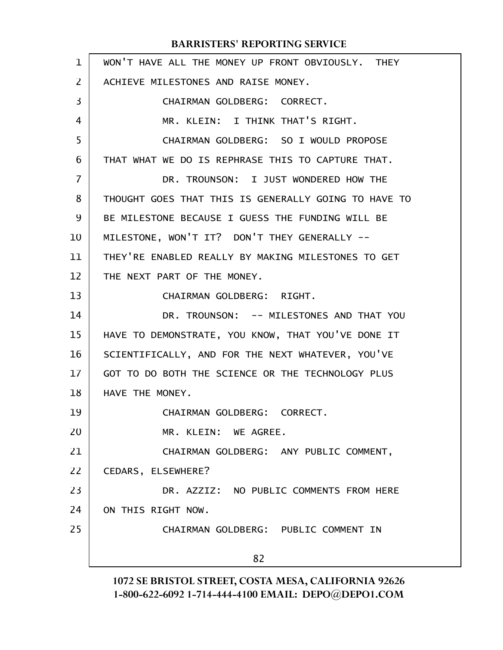| $\mathbf 1$ | WON'T HAVE ALL THE MONEY UP FRONT OBVIOUSLY. THEY    |
|-------------|------------------------------------------------------|
| 2           | ACHIEVE MILESTONES AND RAISE MONEY.                  |
| 3           | CHAIRMAN GOLDBERG: CORRECT.                          |
| 4           | MR. KLEIN: I THINK THAT'S RIGHT.                     |
| 5           | CHAIRMAN GOLDBERG: SO I WOULD PROPOSE                |
| 6           | THAT WHAT WE DO IS REPHRASE THIS TO CAPTURE THAT.    |
| 7           | DR. TROUNSON: I JUST WONDERED HOW THE                |
| 8           | THOUGHT GOES THAT THIS IS GENERALLY GOING TO HAVE TO |
| 9           | BE MILESTONE BECAUSE I GUESS THE FUNDING WILL BE     |
| 10          | MILESTONE, WON'T IT? DON'T THEY GENERALLY --         |
| 11          | THEY'RE ENABLED REALLY BY MAKING MILESTONES TO GET   |
| 12          | THE NEXT PART OF THE MONEY.                          |
| 13          | CHAIRMAN GOLDBERG: RIGHT.                            |
| 14          | DR. TROUNSON: -- MILESTONES AND THAT YOU             |
| 15          | HAVE TO DEMONSTRATE, YOU KNOW, THAT YOU'VE DONE IT   |
| 16          | SCIENTIFICALLY, AND FOR THE NEXT WHATEVER, YOU'VE    |
| 17          | GOT TO DO BOTH THE SCIENCE OR THE TECHNOLOGY PLUS    |
| 18          | HAVE THE MONEY.                                      |
| 19          | CHAIRMAN GOLDBERG: CORRECT.                          |
| 20          | MR. KLEIN: WE AGREE.                                 |
| 21          | CHAIRMAN GOLDBERG: ANY PUBLIC COMMENT,               |
| 22          | CEDARS, ELSEWHERE?                                   |
| 23          | DR. AZZIZ: NO PUBLIC COMMENTS FROM HERE              |
| 24          | ON THIS RIGHT NOW.                                   |
| 25          | CHAIRMAN GOLDBERG: PUBLIC COMMENT IN                 |
|             | 82                                                   |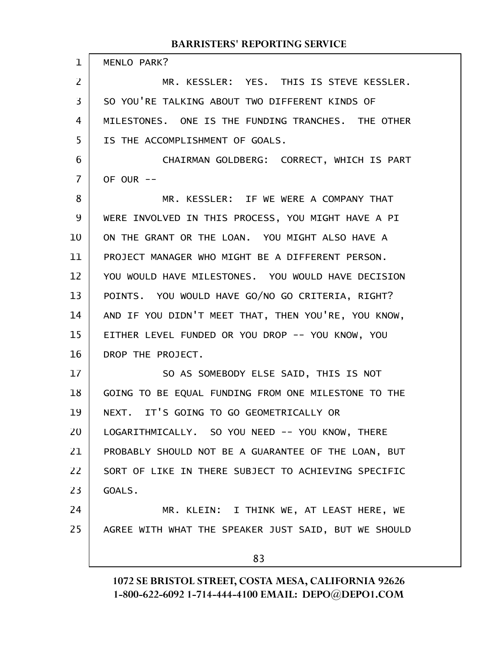#### MENLO PARK? MR. KESSLER: YES. THIS IS STEVE KESSLER. SO YOU'RE TALKING ABOUT TWO DIFFERENT KINDS OF MILESTONES. ONE IS THE FUNDING TRANCHES. THE OTHER IS THE ACCOMPLISHMENT OF GOALS. CHAIRMAN GOLDBERG: CORRECT, WHICH IS PART OF OUR -- MR. KESSLER: IF WE WERE A COMPANY THAT WERE INVOLVED IN THIS PROCESS, YOU MIGHT HAVE A PI ON THE GRANT OR THE LOAN. YOU MIGHT ALSO HAVE A PROJECT MANAGER WHO MIGHT BE A DIFFERENT PERSON. YOU WOULD HAVE MILESTONES. YOU WOULD HAVE DECISION POINTS. YOU WOULD HAVE GO/NO GO CRITERIA, RIGHT? AND IF YOU DIDN'T MEET THAT, THEN YOU'RE, YOU KNOW, EITHER LEVEL FUNDED OR YOU DROP -- YOU KNOW, YOU DROP THE PROJECT. SO AS SOMEBODY ELSE SAID, THIS IS NOT GOING TO BE EQUAL FUNDING FROM ONE MILESTONE TO THE NEXT. IT'S GOING TO GO GEOMETRICALLY OR LOGARITHMICALLY. SO YOU NEED -- YOU KNOW, THERE PROBABLY SHOULD NOT BE A GUARANTEE OF THE LOAN, BUT SORT OF LIKE IN THERE SUBJECT TO ACHIEVING SPECIFIC GOALS. MR. KLEIN: I THINK WE, AT LEAST HERE, WE AGREE WITH WHAT THE SPEAKER JUST SAID, BUT WE SHOULD 1 2 3 4 5 6 7 8 9 10 11 12 13 14 15 16 17 18 19 20 21 22 23 24 25

83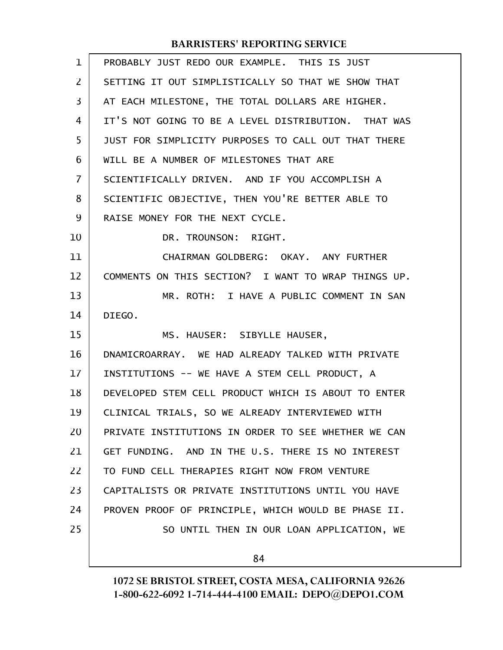| $\mathbf{1}$   | PROBABLY JUST REDO OUR EXAMPLE. THIS IS JUST        |
|----------------|-----------------------------------------------------|
| $\overline{2}$ | SETTING IT OUT SIMPLISTICALLY SO THAT WE SHOW THAT  |
| 3              | AT EACH MILESTONE, THE TOTAL DOLLARS ARE HIGHER.    |
| 4              | IT'S NOT GOING TO BE A LEVEL DISTRIBUTION. THAT WAS |
| 5              | JUST FOR SIMPLICITY PURPOSES TO CALL OUT THAT THERE |
| 6              | WILL BE A NUMBER OF MILESTONES THAT ARE             |
| 7              | SCIENTIFICALLY DRIVEN. AND IF YOU ACCOMPLISH A      |
| 8              | SCIENTIFIC OBJECTIVE, THEN YOU'RE BETTER ABLE TO    |
| 9              | RAISE MONEY FOR THE NEXT CYCLE.                     |
| 10             | DR. TROUNSON: RIGHT.                                |
| 11             | CHAIRMAN GOLDBERG: OKAY. ANY FURTHER                |
| 12             | COMMENTS ON THIS SECTION? I WANT TO WRAP THINGS UP. |
| 13             | MR. ROTH: I HAVE A PUBLIC COMMENT IN SAN            |
| 14             | DIEGO.                                              |
| 15             | MS. HAUSER: SIBYLLE HAUSER,                         |
| 16             | DNAMICROARRAY. WE HAD ALREADY TALKED WITH PRIVATE   |
| 17             | INSTITUTIONS -- WE HAVE A STEM CELL PRODUCT, A      |
| 18             | DEVELOPED STEM CELL PRODUCT WHICH IS ABOUT TO ENTER |
| 19             | CLINICAL TRIALS, SO WE ALREADY INTERVIEWED WITH     |
| 20             | PRIVATE INSTITUTIONS IN ORDER TO SEE WHETHER WE CAN |
| 21             | GET FUNDING. AND IN THE U.S. THERE IS NO INTEREST   |
| 22             | TO FUND CELL THERAPIES RIGHT NOW FROM VENTURE       |
| 23             | CAPITALISTS OR PRIVATE INSTITUTIONS UNTIL YOU HAVE  |
| 24             | PROVEN PROOF OF PRINCIPLE, WHICH WOULD BE PHASE II. |
| 25             | SO UNTIL THEN IN OUR LOAN APPLICATION, WE           |
|                | 84                                                  |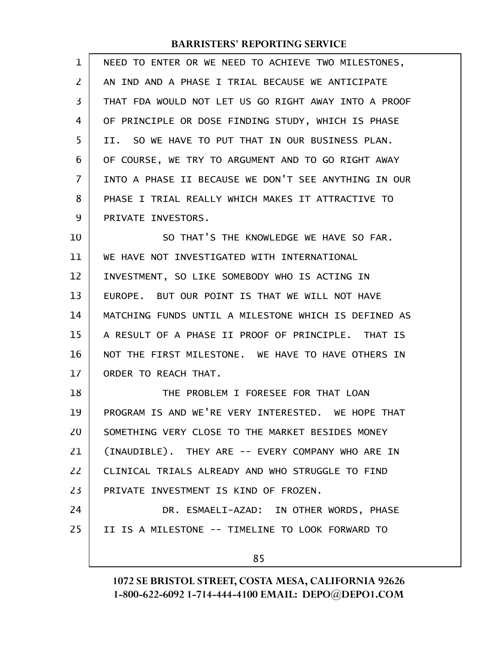| 1  | NEED TO ENTER OR WE NEED TO ACHIEVE TWO MILESTONES,  |
|----|------------------------------------------------------|
| 2  | AN IND AND A PHASE I TRIAL BECAUSE WE ANTICIPATE     |
| 3  | THAT FDA WOULD NOT LET US GO RIGHT AWAY INTO A PROOF |
| 4  | OF PRINCIPLE OR DOSE FINDING STUDY, WHICH IS PHASE   |
| 5  | II. SO WE HAVE TO PUT THAT IN OUR BUSINESS PLAN.     |
| 6  | OF COURSE, WE TRY TO ARGUMENT AND TO GO RIGHT AWAY   |
| 7  | INTO A PHASE II BECAUSE WE DON'T SEE ANYTHING IN OUR |
| 8  | PHASE I TRIAL REALLY WHICH MAKES IT ATTRACTIVE TO    |
| 9  | PRIVATE INVESTORS.                                   |
| 10 | SO THAT'S THE KNOWLEDGE WE HAVE SO FAR.              |
| 11 | WE HAVE NOT INVESTIGATED WITH INTERNATIONAL          |
| 12 | INVESTMENT, SO LIKE SOMEBODY WHO IS ACTING IN        |
| 13 | EUROPE. BUT OUR POINT IS THAT WE WILL NOT HAVE       |
| 14 | MATCHING FUNDS UNTIL A MILESTONE WHICH IS DEFINED AS |
| 15 | A RESULT OF A PHASE II PROOF OF PRINCIPLE. THAT IS   |
| 16 | NOT THE FIRST MILESTONE. WE HAVE TO HAVE OTHERS IN   |
| 17 | ORDER TO REACH THAT.                                 |
| 18 | THE PROBLEM I FORESEE FOR THAT LOAN                  |
| 19 | PROGRAM IS AND WE'RE VERY INTERESTED. WE HOPE THAT   |
| 20 | SOMETHING VERY CLOSE TO THE MARKET BESIDES MONEY     |
| 21 | (INAUDIBLE). THEY ARE -- EVERY COMPANY WHO ARE IN    |
| 22 | CLINICAL TRIALS ALREADY AND WHO STRUGGLE TO FIND     |
| 23 | PRIVATE INVESTMENT IS KIND OF FROZEN.                |
| 24 | DR. ESMAELI-AZAD: IN OTHER WORDS, PHASE              |
| 25 | II IS A MILESTONE -- TIMELINE TO LOOK FORWARD TO     |
|    | 85                                                   |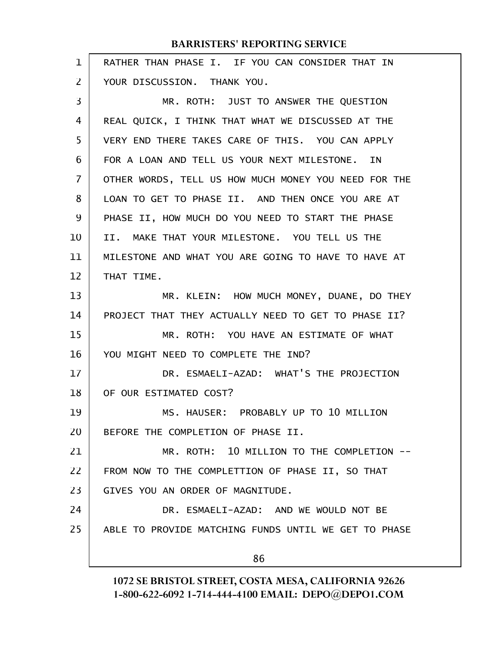| $\mathbf 1$    | RATHER THAN PHASE I. IF YOU CAN CONSIDER THAT IN     |
|----------------|------------------------------------------------------|
| $\overline{2}$ | YOUR DISCUSSION. THANK YOU.                          |
| 3              | MR. ROTH: JUST TO ANSWER THE QUESTION                |
| 4              | REAL QUICK, I THINK THAT WHAT WE DISCUSSED AT THE    |
| 5              | VERY END THERE TAKES CARE OF THIS. YOU CAN APPLY     |
| 6              | FOR A LOAN AND TELL US YOUR NEXT MILESTONE. IN       |
| 7              | OTHER WORDS, TELL US HOW MUCH MONEY YOU NEED FOR THE |
| 8              | LOAN TO GET TO PHASE II. AND THEN ONCE YOU ARE AT    |
| 9              | PHASE II, HOW MUCH DO YOU NEED TO START THE PHASE    |
| 10             | II. MAKE THAT YOUR MILESTONE. YOU TELL US THE        |
| 11             | MILESTONE AND WHAT YOU ARE GOING TO HAVE TO HAVE AT  |
| 12             | THAT TIME.                                           |
| 13             | MR. KLEIN: HOW MUCH MONEY, DUANE, DO THEY            |
| 14             | PROJECT THAT THEY ACTUALLY NEED TO GET TO PHASE II?  |
| 15             | MR. ROTH: YOU HAVE AN ESTIMATE OF WHAT               |
| 16             | YOU MIGHT NEED TO COMPLETE THE IND?                  |
| 17             | DR. ESMAELI-AZAD: WHAT'S THE PROJECTION              |
| 18             | OF OUR ESTIMATED COST?                               |
| 19             | MS. HAUSER: PROBABLY UP TO 10 MILLION                |
| 20             | BEFORE THE COMPLETION OF PHASE II.                   |
| 21             | MR. ROTH: 10 MILLION TO THE COMPLETION --            |
| 22             | FROM NOW TO THE COMPLETTION OF PHASE II, SO THAT     |
| 23             | GIVES YOU AN ORDER OF MAGNITUDE.                     |
| 24             | DR. ESMAELI-AZAD: AND WE WOULD NOT BE                |
| 25             | ABLE TO PROVIDE MATCHING FUNDS UNTIL WE GET TO PHASE |
|                | 86                                                   |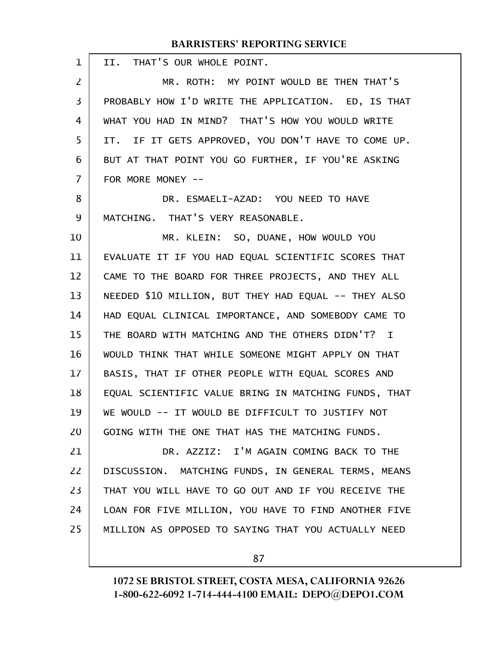| 1              | II. THAT'S OUR WHOLE POINT.                            |
|----------------|--------------------------------------------------------|
| $\overline{2}$ | MR. ROTH: MY POINT WOULD BE THEN THAT'S                |
| 3              | PROBABLY HOW I'D WRITE THE APPLICATION. ED, IS THAT    |
| 4              | WHAT YOU HAD IN MIND? THAT'S HOW YOU WOULD WRITE       |
| 5              | IF IT GETS APPROVED, YOU DON'T HAVE TO COME UP.<br>IT. |
| 6              | BUT AT THAT POINT YOU GO FURTHER, IF YOU'RE ASKING     |
| 7              | FOR MORE MONEY --                                      |
| 8              | DR. ESMAELI-AZAD: YOU NEED TO HAVE                     |
| 9              | MATCHING. THAT'S VERY REASONABLE.                      |
| 10             | MR. KLEIN: SO, DUANE, HOW WOULD YOU                    |
| 11             | EVALUATE IT IF YOU HAD EQUAL SCIENTIFIC SCORES THAT    |
| 12             | CAME TO THE BOARD FOR THREE PROJECTS, AND THEY ALL     |
| 13             | NEEDED \$10 MILLION, BUT THEY HAD EQUAL -- THEY ALSO   |
| 14             | HAD EQUAL CLINICAL IMPORTANCE, AND SOMEBODY CAME TO    |
| 15             | THE BOARD WITH MATCHING AND THE OTHERS DIDN'T? I       |
| 16             | WOULD THINK THAT WHILE SOMEONE MIGHT APPLY ON THAT     |
| 17             | BASIS, THAT IF OTHER PEOPLE WITH EQUAL SCORES AND      |
| 18             | EQUAL SCIENTIFIC VALUE BRING IN MATCHING FUNDS, THAT   |
| 19             | WE WOULD -- IT WOULD BE DIFFICULT TO JUSTIFY NOT       |
| 20             | GOING WITH THE ONE THAT HAS THE MATCHING FUNDS.        |
| 21             | DR. AZZIZ: I'M AGAIN COMING BACK TO THE                |
| 22             | DISCUSSION. MATCHING FUNDS, IN GENERAL TERMS, MEANS    |
| 23             | THAT YOU WILL HAVE TO GO OUT AND IF YOU RECEIVE THE    |
| 24             | LOAN FOR FIVE MILLION, YOU HAVE TO FIND ANOTHER FIVE   |
| 25             | MILLION AS OPPOSED TO SAYING THAT YOU ACTUALLY NEED    |
|                |                                                        |

87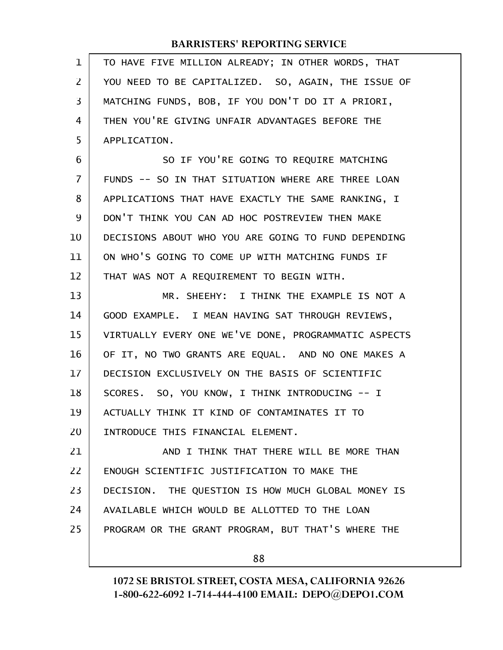| 1              | TO HAVE FIVE MILLION ALREADY; IN OTHER WORDS, THAT   |
|----------------|------------------------------------------------------|
| $\overline{2}$ | YOU NEED TO BE CAPITALIZED. SO, AGAIN, THE ISSUE OF  |
| 3              | MATCHING FUNDS, BOB, IF YOU DON'T DO IT A PRIORI,    |
| 4              | THEN YOU'RE GIVING UNFAIR ADVANTAGES BEFORE THE      |
| 5              | APPLICATION.                                         |
| 6              | SO IF YOU'RE GOING TO REQUIRE MATCHING               |
| $\overline{7}$ | FUNDS -- SO IN THAT SITUATION WHERE ARE THREE LOAN   |
| 8              | APPLICATIONS THAT HAVE EXACTLY THE SAME RANKING, I   |
| 9              | DON'T THINK YOU CAN AD HOC POSTREVIEW THEN MAKE      |
| 10             | DECISIONS ABOUT WHO YOU ARE GOING TO FUND DEPENDING  |
| 11             | ON WHO'S GOING TO COME UP WITH MATCHING FUNDS IF     |
| 12             | THAT WAS NOT A REQUIREMENT TO BEGIN WITH.            |
| 13             | MR. SHEEHY: I THINK THE EXAMPLE IS NOT A             |
| 14             | GOOD EXAMPLE. I MEAN HAVING SAT THROUGH REVIEWS,     |
| 15             | VIRTUALLY EVERY ONE WE'VE DONE, PROGRAMMATIC ASPECTS |
| 16             | OF IT, NO TWO GRANTS ARE EQUAL. AND NO ONE MAKES A   |
| 17             | DECISION EXCLUSIVELY ON THE BASIS OF SCIENTIFIC      |
| 18             | SCORES. SO, YOU KNOW, I THINK INTRODUCING -- I       |
| 19             | ACTUALLY THINK IT KIND OF CONTAMINATES IT TO         |
| 20             | INTRODUCE THIS FINANCIAL ELEMENT.                    |
| 21             | AND I THINK THAT THERE WILL BE MORE THAN             |
| 22             | ENOUGH SCIENTIFIC JUSTIFICATION TO MAKE THE          |
| 23             | DECISION. THE QUESTION IS HOW MUCH GLOBAL MONEY IS   |
| 24             | AVAILABLE WHICH WOULD BE ALLOTTED TO THE LOAN        |
| 25             | PROGRAM OR THE GRANT PROGRAM, BUT THAT'S WHERE THE   |
|                | 88                                                   |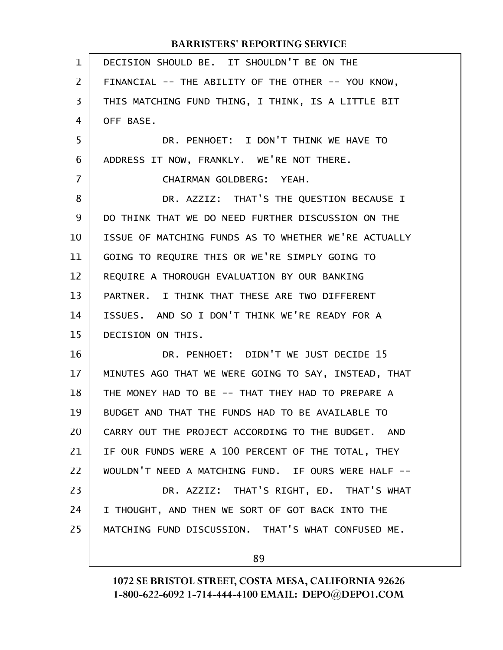| $\mathbf{1}$   | DECISION SHOULD BE. IT SHOULDN'T BE ON THE           |
|----------------|------------------------------------------------------|
| $\overline{2}$ | FINANCIAL -- THE ABILITY OF THE OTHER -- YOU KNOW,   |
| 3              | THIS MATCHING FUND THING, I THINK, IS A LITTLE BIT   |
| 4              | OFF BASE.                                            |
| 5              | DR. PENHOET: I DON'T THINK WE HAVE TO                |
| 6              | ADDRESS IT NOW, FRANKLY. WE'RE NOT THERE.            |
| 7              | CHAIRMAN GOLDBERG: YEAH.                             |
| 8              | DR. AZZIZ: THAT'S THE QUESTION BECAUSE I             |
| 9              | DO THINK THAT WE DO NEED FURTHER DISCUSSION ON THE   |
| 10             | ISSUE OF MATCHING FUNDS AS TO WHETHER WE'RE ACTUALLY |
| 11             | GOING TO REQUIRE THIS OR WE'RE SIMPLY GOING TO       |
| 12             | REQUIRE A THOROUGH EVALUATION BY OUR BANKING         |
| 13             | PARTNER. I THINK THAT THESE ARE TWO DIFFERENT        |
| 14             | ISSUES. AND SO I DON'T THINK WE'RE READY FOR A       |
| 15             | DECISION ON THIS.                                    |
| 16             | DR. PENHOET: DIDN'T WE JUST DECIDE 15                |
| 17             | MINUTES AGO THAT WE WERE GOING TO SAY, INSTEAD, THAT |
| 18             | THE MONEY HAD TO BE -- THAT THEY HAD TO PREPARE A    |
| 19             | BUDGET AND THAT THE FUNDS HAD TO BE AVAILABLE TO     |
| 20             | CARRY OUT THE PROJECT ACCORDING TO THE BUDGET. AND   |
| 21             | IF OUR FUNDS WERE A 100 PERCENT OF THE TOTAL, THEY   |
| 22             | WOULDN'T NEED A MATCHING FUND. IF OURS WERE HALF --  |
| 23             | DR. AZZIZ: THAT'S RIGHT, ED. THAT'S WHAT             |
| 24             | I THOUGHT, AND THEN WE SORT OF GOT BACK INTO THE     |
| 25             | MATCHING FUND DISCUSSION. THAT'S WHAT CONFUSED ME.   |
|                |                                                      |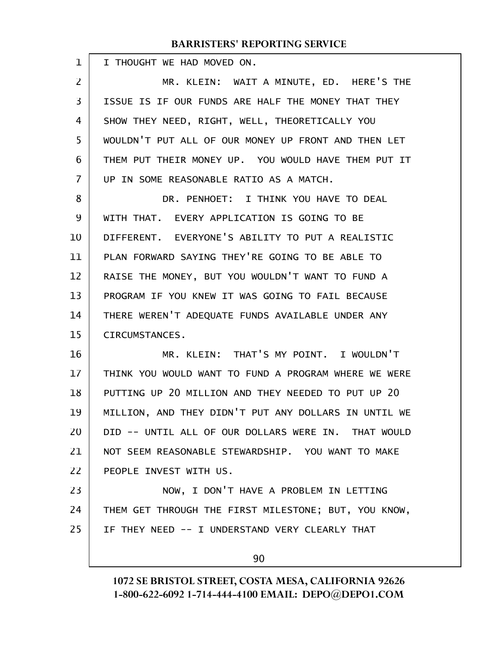I THOUGHT WE HAD MOVED ON. 1

MR. KLEIN: WAIT A MINUTE, ED. HERE'S THE ISSUE IS IF OUR FUNDS ARE HALF THE MONEY THAT THEY SHOW THEY NEED, RIGHT, WELL, THEORETICALLY YOU WOULDN'T PUT ALL OF OUR MONEY UP FRONT AND THEN LET THEM PUT THEIR MONEY UP. YOU WOULD HAVE THEM PUT IT UP IN SOME REASONABLE RATIO AS A MATCH. 2 3 4 5 6 7

DR. PENHOET: I THINK YOU HAVE TO DEAL WITH THAT. EVERY APPLICATION IS GOING TO BE DIFFERENT. EVERYONE'S ABILITY TO PUT A REALISTIC PLAN FORWARD SAYING THEY'RE GOING TO BE ABLE TO RAISE THE MONEY, BUT YOU WOULDN'T WANT TO FUND A PROGRAM IF YOU KNEW IT WAS GOING TO FAIL BECAUSE THERE WEREN'T ADEQUATE FUNDS AVAILABLE UNDER ANY CIRCUMSTANCES. 8 9 10 11 12 13 14 15

MR. KLEIN: THAT'S MY POINT. I WOULDN'T THINK YOU WOULD WANT TO FUND A PROGRAM WHERE WE WERE PUTTING UP 20 MILLION AND THEY NEEDED TO PUT UP 20 MILLION, AND THEY DIDN'T PUT ANY DOLLARS IN UNTIL WE DID -- UNTIL ALL OF OUR DOLLARS WERE IN. THAT WOULD NOT SEEM REASONABLE STEWARDSHIP. YOU WANT TO MAKE PEOPLE INVEST WITH US. 16 17 18 19 20 21 22

NOW, I DON'T HAVE A PROBLEM IN LETTING THEM GET THROUGH THE FIRST MILESTONE; BUT, YOU KNOW, IF THEY NEED -- I UNDERSTAND VERY CLEARLY THAT 23 24 25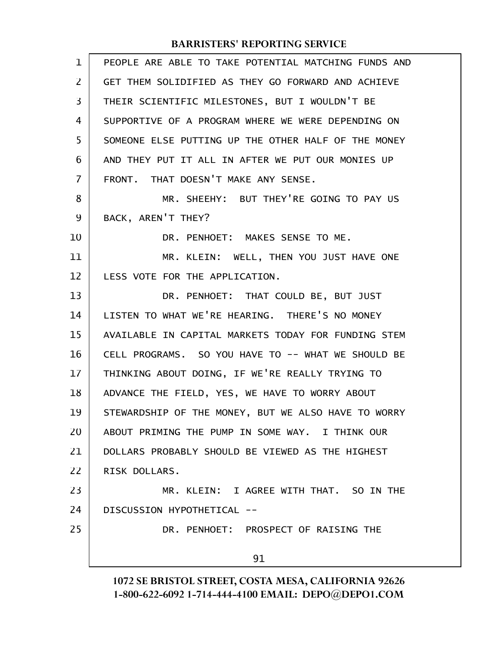| $\mathbf 1$    | PEOPLE ARE ABLE TO TAKE POTENTIAL MATCHING FUNDS AND |
|----------------|------------------------------------------------------|
| $\overline{2}$ | GET THEM SOLIDIFIED AS THEY GO FORWARD AND ACHIEVE   |
| 3              | THEIR SCIENTIFIC MILESTONES, BUT I WOULDN'T BE       |
| 4              | SUPPORTIVE OF A PROGRAM WHERE WE WERE DEPENDING ON   |
| 5              | SOMEONE ELSE PUTTING UP THE OTHER HALF OF THE MONEY  |
| 6              | AND THEY PUT IT ALL IN AFTER WE PUT OUR MONIES UP    |
| 7              | FRONT. THAT DOESN'T MAKE ANY SENSE.                  |
| 8              | MR. SHEEHY: BUT THEY'RE GOING TO PAY US              |
| 9              | BACK, AREN'T THEY?                                   |
| 10             | DR. PENHOET: MAKES SENSE TO ME.                      |
| 11             | MR. KLEIN: WELL, THEN YOU JUST HAVE ONE              |
| 12             | LESS VOTE FOR THE APPLICATION.                       |
| 13             | DR. PENHOET: THAT COULD BE, BUT JUST                 |
| 14             | LISTEN TO WHAT WE'RE HEARING. THERE'S NO MONEY       |
| 15             | AVAILABLE IN CAPITAL MARKETS TODAY FOR FUNDING STEM  |
| 16             | CELL PROGRAMS. SO YOU HAVE TO -- WHAT WE SHOULD BE   |
| 17             | THINKING ABOUT DOING, IF WE'RE REALLY TRYING TO      |
| 18             | ADVANCE THE FIELD, YES, WE HAVE TO WORRY ABOUT       |
| 19             | STEWARDSHIP OF THE MONEY, BUT WE ALSO HAVE TO WORRY  |
| 20             | ABOUT PRIMING THE PUMP IN SOME WAY. I THINK OUR      |
| 21             | DOLLARS PROBABLY SHOULD BE VIEWED AS THE HIGHEST     |
| 22             | RISK DOLLARS.                                        |
| 23             | MR. KLEIN: I AGREE WITH THAT. SO IN THE              |
| 24             | DISCUSSION HYPOTHETICAL --                           |
| 25             | DR. PENHOET: PROSPECT OF RAISING THE                 |
|                | 91                                                   |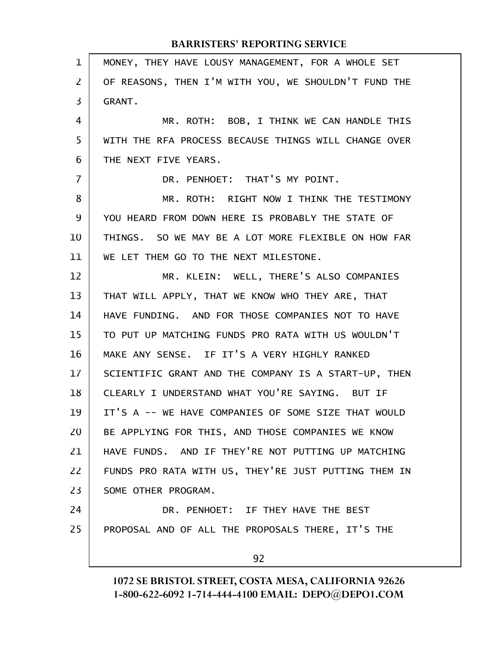| $\mathbf 1$    | MONEY, THEY HAVE LOUSY MANAGEMENT, FOR A WHOLE SET   |
|----------------|------------------------------------------------------|
| $\overline{2}$ | OF REASONS, THEN I'M WITH YOU, WE SHOULDN'T FUND THE |
| 3              | GRANT.                                               |
| 4              | MR. ROTH: BOB, I THINK WE CAN HANDLE THIS            |
| 5              | WITH THE RFA PROCESS BECAUSE THINGS WILL CHANGE OVER |
| 6              | THE NEXT FIVE YEARS.                                 |
| 7              | DR. PENHOET: THAT'S MY POINT.                        |
| 8              | MR. ROTH: RIGHT NOW I THINK THE TESTIMONY            |
| 9              | YOU HEARD FROM DOWN HERE IS PROBABLY THE STATE OF    |
| 10             | THINGS. SO WE MAY BE A LOT MORE FLEXIBLE ON HOW FAR  |
| 11             | WE LET THEM GO TO THE NEXT MILESTONE.                |
| 12             | MR. KLEIN: WELL, THERE'S ALSO COMPANIES              |
| 13             | THAT WILL APPLY, THAT WE KNOW WHO THEY ARE, THAT     |
| 14             | HAVE FUNDING. AND FOR THOSE COMPANIES NOT TO HAVE    |
| 15             | TO PUT UP MATCHING FUNDS PRO RATA WITH US WOULDN'T   |
| 16             | MAKE ANY SENSE. IF IT'S A VERY HIGHLY RANKED         |
| 17             | SCIENTIFIC GRANT AND THE COMPANY IS A START-UP, THEN |
| 18             | CLEARLY I UNDERSTAND WHAT YOU'RE SAYING. BUT IF      |
| 19             | IT'S A -- WE HAVE COMPANIES OF SOME SIZE THAT WOULD  |
| 20             | BE APPLYING FOR THIS, AND THOSE COMPANIES WE KNOW    |
| 21             | HAVE FUNDS. AND IF THEY'RE NOT PUTTING UP MATCHING   |
| 22             | FUNDS PRO RATA WITH US, THEY'RE JUST PUTTING THEM IN |
| 23             | SOME OTHER PROGRAM.                                  |
| 24             | DR. PENHOET: IF THEY HAVE THE BEST                   |
| 25             | PROPOSAL AND OF ALL THE PROPOSALS THERE, IT'S THE    |
|                | 92                                                   |
|                |                                                      |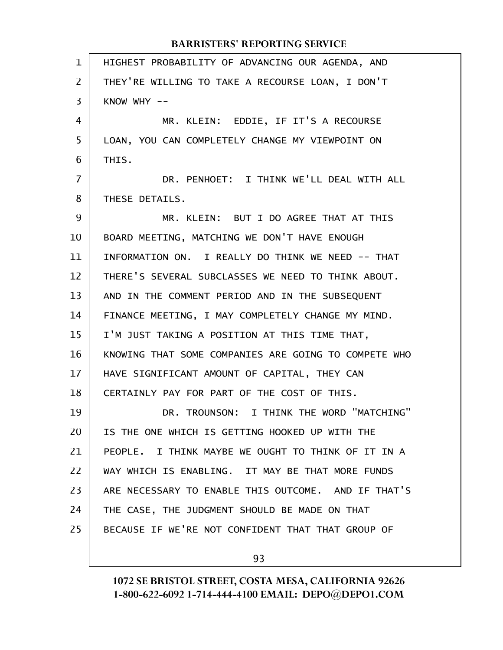| $\mathbf{1}$   | HIGHEST PROBABILITY OF ADVANCING OUR AGENDA, AND     |
|----------------|------------------------------------------------------|
| $\overline{2}$ | THEY'RE WILLING TO TAKE A RECOURSE LOAN, I DON'T     |
| 3              | KNOW WHY $--$                                        |
| 4              | MR. KLEIN: EDDIE, IF IT'S A RECOURSE                 |
| 5              | LOAN, YOU CAN COMPLETELY CHANGE MY VIEWPOINT ON      |
| 6              | THIS.                                                |
| 7              | DR. PENHOET: I THINK WE'LL DEAL WITH ALL             |
| 8              | THESE DETAILS.                                       |
| 9              | MR. KLEIN: BUT I DO AGREE THAT AT THIS               |
| 10             | BOARD MEETING, MATCHING WE DON'T HAVE ENOUGH         |
| 11             | INFORMATION ON. I REALLY DO THINK WE NEED -- THAT    |
| 12             | THERE'S SEVERAL SUBCLASSES WE NEED TO THINK ABOUT.   |
| 13             | AND IN THE COMMENT PERIOD AND IN THE SUBSEQUENT      |
| 14             | FINANCE MEETING, I MAY COMPLETELY CHANGE MY MIND.    |
| 15             | I'M JUST TAKING A POSITION AT THIS TIME THAT,        |
| 16             | KNOWING THAT SOME COMPANIES ARE GOING TO COMPETE WHO |
| 17             | HAVE SIGNIFICANT AMOUNT OF CAPITAL, THEY CAN         |
| 18             | CERTAINLY PAY FOR PART OF THE COST OF THIS.          |
| 19             | DR. TROUNSON: I THINK THE WORD "MATCHING"            |
| 20             | IS THE ONE WHICH IS GETTING HOOKED UP WITH THE       |
| 21             | PEOPLE. I THINK MAYBE WE OUGHT TO THINK OF IT IN A   |
| 22             | WAY WHICH IS ENABLING. IT MAY BE THAT MORE FUNDS     |
| 23             | ARE NECESSARY TO ENABLE THIS OUTCOME. AND IF THAT'S  |
| 24             | THE CASE, THE JUDGMENT SHOULD BE MADE ON THAT        |
| 25             | BECAUSE IF WE'RE NOT CONFIDENT THAT THAT GROUP OF    |
|                |                                                      |

93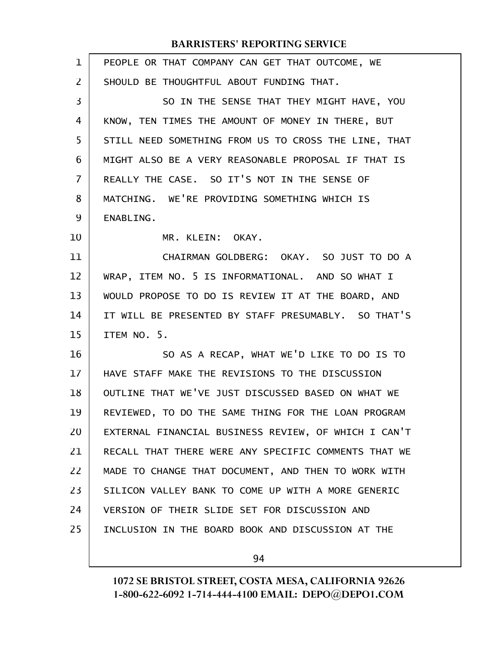| $\mathbf{1}$ | PEOPLE OR THAT COMPANY CAN GET THAT OUTCOME, WE      |
|--------------|------------------------------------------------------|
| 2            | SHOULD BE THOUGHTFUL ABOUT FUNDING THAT.             |
| 3            | SO IN THE SENSE THAT THEY MIGHT HAVE, YOU            |
| 4            | KNOW, TEN TIMES THE AMOUNT OF MONEY IN THERE, BUT    |
| 5            | STILL NEED SOMETHING FROM US TO CROSS THE LINE, THAT |
| 6            | MIGHT ALSO BE A VERY REASONABLE PROPOSAL IF THAT IS  |
| 7            | REALLY THE CASE. SO IT'S NOT IN THE SENSE OF         |
| 8            | MATCHING. WE'RE PROVIDING SOMETHING WHICH IS         |
| 9            | ENABLING.                                            |
| 10           | MR. KLEIN: OKAY.                                     |
| 11           | CHAIRMAN GOLDBERG: OKAY. SO JUST TO DO A             |
| 12           | WRAP, ITEM NO. 5 IS INFORMATIONAL. AND SO WHAT I     |
| 13           | WOULD PROPOSE TO DO IS REVIEW IT AT THE BOARD, AND   |
| 14           | IT WILL BE PRESENTED BY STAFF PRESUMABLY. SO THAT'S  |
| 15           | ITEM NO. 5.                                          |
| 16           | SO AS A RECAP, WHAT WE'D LIKE TO DO IS TO            |
| 17           | HAVE STAFF MAKE THE REVISIONS TO THE DISCUSSION      |
| 18           | OUTLINE THAT WE'VE JUST DISCUSSED BASED ON WHAT WE   |
| 19           | REVIEWED, TO DO THE SAME THING FOR THE LOAN PROGRAM  |
| 20           | EXTERNAL FINANCIAL BUSINESS REVIEW, OF WHICH I CAN'T |
| 21           | RECALL THAT THERE WERE ANY SPECIFIC COMMENTS THAT WE |
| 22           | MADE TO CHANGE THAT DOCUMENT, AND THEN TO WORK WITH  |
| 23           | SILICON VALLEY BANK TO COME UP WITH A MORE GENERIC   |
| 24           | VERSION OF THEIR SLIDE SET FOR DISCUSSION AND        |
| 25           | INCLUSION IN THE BOARD BOOK AND DISCUSSION AT THE    |
|              |                                                      |

94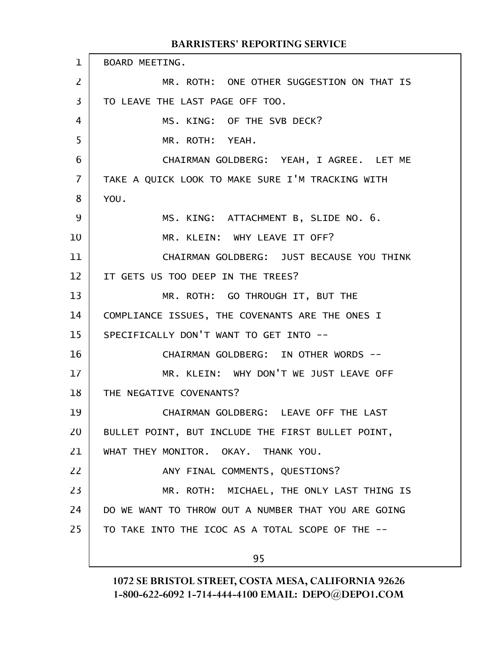BOARD MEETING. MR. ROTH: ONE OTHER SUGGESTION ON THAT IS TO LEAVE THE LAST PAGE OFF TOO. MS. KING: OF THE SVB DECK? MR. ROTH: YEAH. CHAIRMAN GOLDBERG: YEAH, I AGREE. LET ME TAKE A QUICK LOOK TO MAKE SURE I'M TRACKING WITH YOU. MS. KING: ATTACHMENT B, SLIDE NO. 6. MR. KLEIN: WHY LEAVE IT OFF? CHAIRMAN GOLDBERG: JUST BECAUSE YOU THINK IT GETS US TOO DEEP IN THE TREES? MR. ROTH: GO THROUGH IT, BUT THE COMPLIANCE ISSUES, THE COVENANTS ARE THE ONES I SPECIFICALLY DON'T WANT TO GET INTO -- CHAIRMAN GOLDBERG: IN OTHER WORDS -- MR. KLEIN: WHY DON'T WE JUST LEAVE OFF THE NEGATIVE COVENANTS? CHAIRMAN GOLDBERG: LEAVE OFF THE LAST BULLET POINT, BUT INCLUDE THE FIRST BULLET POINT, WHAT THEY MONITOR. OKAY. THANK YOU. ANY FINAL COMMENTS, QUESTIONS? MR. ROTH: MICHAEL, THE ONLY LAST THING IS DO WE WANT TO THROW OUT A NUMBER THAT YOU ARE GOING TO TAKE INTO THE ICOC AS A TOTAL SCOPE OF THE -- 95 1 2 3 4 5 6 7 8 9 10 11 12 13 14 15 16 17 18 19 20 21 22 23 24 25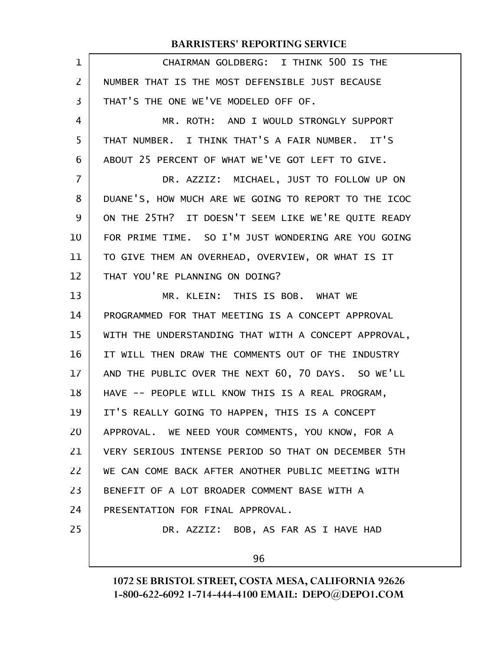| 1              | CHAIRMAN GOLDBERG: I THINK 500 IS THE                |
|----------------|------------------------------------------------------|
| 2              | NUMBER THAT IS THE MOST DEFENSIBLE JUST BECAUSE      |
| 3              | THAT'S THE ONE WE'VE MODELED OFF OF.                 |
| 4              | MR. ROTH: AND I WOULD STRONGLY SUPPORT               |
| 5              | THAT NUMBER. I THINK THAT'S A FAIR NUMBER. IT'S      |
| 6              | ABOUT 25 PERCENT OF WHAT WE'VE GOT LEFT TO GIVE.     |
| $\overline{7}$ | DR. AZZIZ: MICHAEL, JUST TO FOLLOW UP ON             |
| 8              | DUANE'S, HOW MUCH ARE WE GOING TO REPORT TO THE ICOC |
| 9              | ON THE 25TH? IT DOESN'T SEEM LIKE WE'RE QUITE READY  |
| 10             | FOR PRIME TIME. SO I'M JUST WONDERING ARE YOU GOING  |
| 11             | TO GIVE THEM AN OVERHEAD, OVERVIEW, OR WHAT IS IT    |
| 12             | THAT YOU'RE PLANNING ON DOING?                       |
| 13             | MR. KLEIN: THIS IS BOB. WHAT WE                      |
| 14             | PROGRAMMED FOR THAT MEETING IS A CONCEPT APPROVAL    |
| 15             | WITH THE UNDERSTANDING THAT WITH A CONCEPT APPROVAL, |
| 16             | IT WILL THEN DRAW THE COMMENTS OUT OF THE INDUSTRY   |
| 17             | AND THE PUBLIC OVER THE NEXT 60, 70 DAYS. SO WE'LL   |
| 18             | HAVE -- PEOPLE WILL KNOW THIS IS A REAL PROGRAM,     |
| 19             | IT'S REALLY GOING TO HAPPEN, THIS IS A CONCEPT       |
| 20             | APPROVAL. WE NEED YOUR COMMENTS, YOU KNOW, FOR A     |
| 21             | VERY SERIOUS INTENSE PERIOD SO THAT ON DECEMBER 5TH  |
| 22             | WE CAN COME BACK AFTER ANOTHER PUBLIC MEETING WITH   |
| 23             | BENEFIT OF A LOT BROADER COMMENT BASE WITH A         |
| 24             | PRESENTATION FOR FINAL APPROVAL.                     |
| 25             | DR. AZZIZ: BOB, AS FAR AS I HAVE HAD                 |
|                | 96                                                   |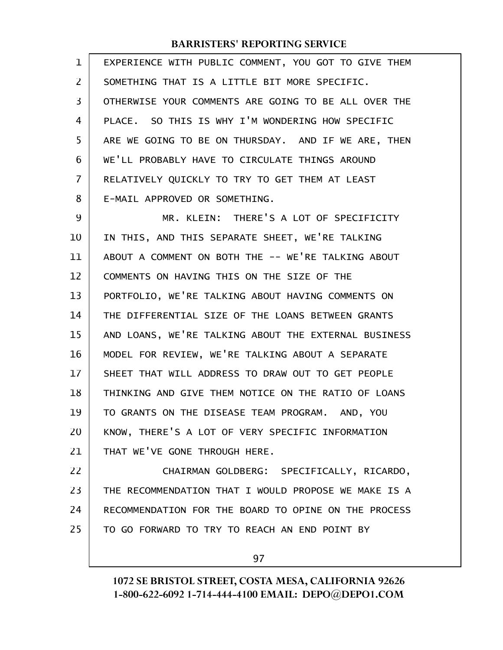| $\mathbf 1$ | EXPERIENCE WITH PUBLIC COMMENT, YOU GOT TO GIVE THEM |
|-------------|------------------------------------------------------|
| 2           | SOMETHING THAT IS A LITTLE BIT MORE SPECIFIC.        |
| 3           | OTHERWISE YOUR COMMENTS ARE GOING TO BE ALL OVER THE |
| 4           | PLACE. SO THIS IS WHY I'M WONDERING HOW SPECIFIC     |
| 5           | ARE WE GOING TO BE ON THURSDAY. AND IF WE ARE, THEN  |
| 6           | WE'LL PROBABLY HAVE TO CIRCULATE THINGS AROUND       |
| 7           | RELATIVELY QUICKLY TO TRY TO GET THEM AT LEAST       |
| 8           | E-MAIL APPROVED OR SOMETHING.                        |
| 9           | MR. KLEIN: THERE'S A LOT OF SPECIFICITY              |
| 10          | IN THIS, AND THIS SEPARATE SHEET, WE'RE TALKING      |
| 11          | ABOUT A COMMENT ON BOTH THE -- WE'RE TALKING ABOUT   |
| 12          | COMMENTS ON HAVING THIS ON THE SIZE OF THE           |
| 13          | PORTFOLIO, WE'RE TALKING ABOUT HAVING COMMENTS ON    |
| 14          | THE DIFFERENTIAL SIZE OF THE LOANS BETWEEN GRANTS    |
| 15          | AND LOANS, WE'RE TALKING ABOUT THE EXTERNAL BUSINESS |
| 16          | MODEL FOR REVIEW, WE'RE TALKING ABOUT A SEPARATE     |
| 17          | SHEET THAT WILL ADDRESS TO DRAW OUT TO GET PEOPLE    |
| 18          | THINKING AND GIVE THEM NOTICE ON THE RATIO OF LOANS  |
| 19          | TO GRANTS ON THE DISEASE TEAM PROGRAM. AND, YOU      |
| 20          | KNOW, THERE'S A LOT OF VERY SPECIFIC INFORMATION     |
| 21          | THAT WE'VE GONE THROUGH HERE.                        |
| 22          | CHAIRMAN GOLDBERG: SPECIFICALLY, RICARDO,            |
| 23          | THE RECOMMENDATION THAT I WOULD PROPOSE WE MAKE IS A |
| 24          | RECOMMENDATION FOR THE BOARD TO OPINE ON THE PROCESS |
| 25          | TO GO FORWARD TO TRY TO REACH AN END POINT BY        |
|             |                                                      |

97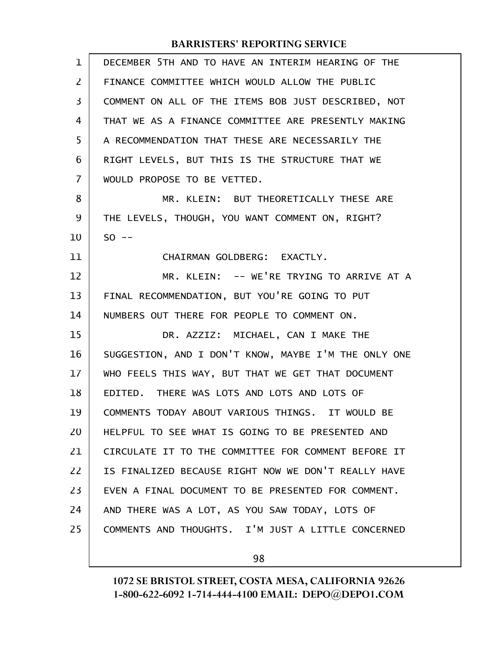| 1  | DECEMBER 5TH AND TO HAVE AN INTERIM HEARING OF THE   |
|----|------------------------------------------------------|
| 2  | FINANCE COMMITTEE WHICH WOULD ALLOW THE PUBLIC       |
| 3  | COMMENT ON ALL OF THE ITEMS BOB JUST DESCRIBED, NOT  |
| 4  | THAT WE AS A FINANCE COMMITTEE ARE PRESENTLY MAKING  |
| 5  | A RECOMMENDATION THAT THESE ARE NECESSARILY THE      |
| 6  | RIGHT LEVELS, BUT THIS IS THE STRUCTURE THAT WE      |
| 7  | WOULD PROPOSE TO BE VETTED.                          |
| 8  | MR. KLEIN: BUT THEORETICALLY THESE ARE               |
| 9  | THE LEVELS, THOUGH, YOU WANT COMMENT ON, RIGHT?      |
| 10 | $50 - -$                                             |
| 11 | CHAIRMAN GOLDBERG: EXACTLY.                          |
| 12 | MR. KLEIN: -- WE'RE TRYING TO ARRIVE AT A            |
| 13 | FINAL RECOMMENDATION, BUT YOU'RE GOING TO PUT        |
| 14 | NUMBERS OUT THERE FOR PEOPLE TO COMMENT ON.          |
| 15 | DR. AZZIZ: MICHAEL, CAN I MAKE THE                   |
| 16 | SUGGESTION, AND I DON'T KNOW, MAYBE I'M THE ONLY ONE |
| 17 | WHO FEELS THIS WAY, BUT THAT WE GET THAT DOCUMENT    |
| 18 | EDITED. THERE WAS LOTS AND LOTS AND LOTS OF          |
| 19 | COMMENTS TODAY ABOUT VARIOUS THINGS. IT WOULD BE     |
| 20 | HELPFUL TO SEE WHAT IS GOING TO BE PRESENTED AND     |
| 21 | CIRCULATE IT TO THE COMMITTEE FOR COMMENT BEFORE IT  |
| 22 | IS FINALIZED BECAUSE RIGHT NOW WE DON'T REALLY HAVE  |
| 23 | EVEN A FINAL DOCUMENT TO BE PRESENTED FOR COMMENT.   |
| 24 | AND THERE WAS A LOT, AS YOU SAW TODAY, LOTS OF       |
| 25 | COMMENTS AND THOUGHTS. I'M JUST A LITTLE CONCERNED   |
|    |                                                      |

98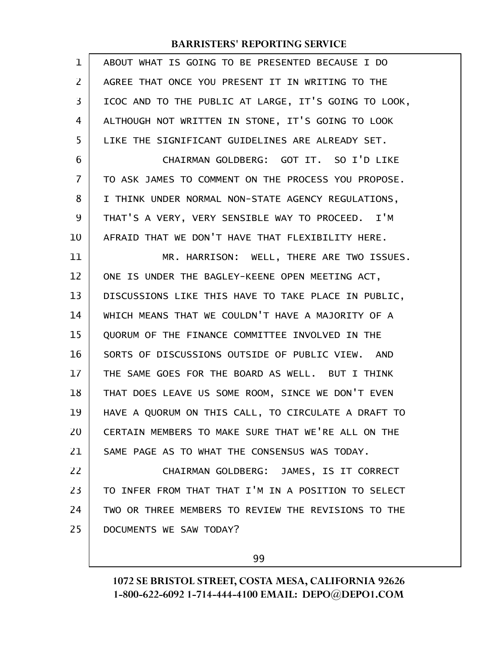| $\mathbf 1$    | ABOUT WHAT IS GOING TO BE PRESENTED BECAUSE I DO           |
|----------------|------------------------------------------------------------|
| $\overline{2}$ | AGREE THAT ONCE YOU PRESENT IT IN WRITING TO THE           |
| 3              | ICOC AND TO THE PUBLIC AT LARGE, IT'S GOING TO LOOK,       |
| 4              | ALTHOUGH NOT WRITTEN IN STONE, IT'S GOING TO LOOK          |
| 5              | LIKE THE SIGNIFICANT GUIDELINES ARE ALREADY SET.           |
| 6              | CHAIRMAN GOLDBERG: GOT IT. SO I'D LIKE                     |
| $\overline{7}$ | TO ASK JAMES TO COMMENT ON THE PROCESS YOU PROPOSE.        |
| 8              | I THINK UNDER NORMAL NON-STATE AGENCY REGULATIONS,         |
| 9              | THAT'S A VERY, VERY SENSIBLE WAY TO PROCEED. I'M           |
| 10             | AFRAID THAT WE DON'T HAVE THAT FLEXIBILITY HERE.           |
| 11             | MR. HARRISON: WELL, THERE ARE TWO ISSUES.                  |
| 12             | ONE IS UNDER THE BAGLEY-KEENE OPEN MEETING ACT,            |
| 13             | DISCUSSIONS LIKE THIS HAVE TO TAKE PLACE IN PUBLIC,        |
| 14             | WHICH MEANS THAT WE COULDN'T HAVE A MAJORITY OF A          |
| 15             | QUORUM OF THE FINANCE COMMITTEE INVOLVED IN THE            |
| 16             | SORTS OF DISCUSSIONS OUTSIDE OF PUBLIC VIEW.<br><b>AND</b> |
| 17             | THE SAME GOES FOR THE BOARD AS WELL. BUT I THINK           |
| 18             | THAT DOES LEAVE US SOME ROOM, SINCE WE DON'T EVEN          |
| 19             | HAVE A QUORUM ON THIS CALL, TO CIRCULATE A DRAFT TO        |
| 20             | CERTAIN MEMBERS TO MAKE SURE THAT WE'RE ALL ON THE         |
| 21             | SAME PAGE AS TO WHAT THE CONSENSUS WAS TODAY.              |
| 22             | CHAIRMAN GOLDBERG: JAMES, IS IT CORRECT                    |
| 23             | TO INFER FROM THAT THAT I'M IN A POSITION TO SELECT        |
| 24             | TWO OR THREE MEMBERS TO REVIEW THE REVISIONS TO THE        |
| 25             | DOCUMENTS WE SAW TODAY?                                    |
|                |                                                            |

99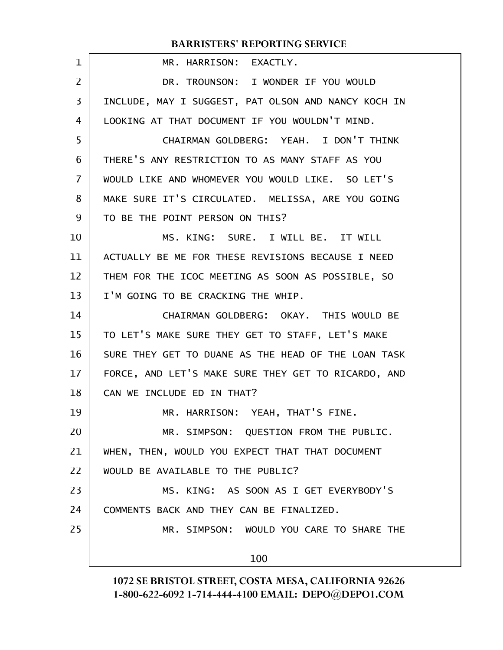| 1                 | MR. HARRISON: EXACTLY.                              |
|-------------------|-----------------------------------------------------|
| $\overline{2}$    | DR. TROUNSON: I WONDER IF YOU WOULD                 |
| 3                 | INCLUDE, MAY I SUGGEST, PAT OLSON AND NANCY KOCH IN |
| 4                 | LOOKING AT THAT DOCUMENT IF YOU WOULDN'T MIND.      |
| 5                 | CHAIRMAN GOLDBERG: YEAH. I DON'T THINK              |
| 6                 | THERE'S ANY RESTRICTION TO AS MANY STAFF AS YOU     |
| 7                 | WOULD LIKE AND WHOMEVER YOU WOULD LIKE. SO LET'S    |
| 8                 | MAKE SURE IT'S CIRCULATED. MELISSA, ARE YOU GOING   |
| 9                 | TO BE THE POINT PERSON ON THIS?                     |
| 10                | MS. KING: SURE. I WILL BE. IT WILL                  |
| 11                | ACTUALLY BE ME FOR THESE REVISIONS BECAUSE I NEED   |
| $12 \overline{ }$ | THEM FOR THE ICOC MEETING AS SOON AS POSSIBLE, SO   |
| 13                | I'M GOING TO BE CRACKING THE WHIP.                  |
| 14                | CHAIRMAN GOLDBERG: OKAY. THIS WOULD BE              |
| 15                | TO LET'S MAKE SURE THEY GET TO STAFF, LET'S MAKE    |
| 16                | SURE THEY GET TO DUANE AS THE HEAD OF THE LOAN TASK |
| 17                | FORCE, AND LET'S MAKE SURE THEY GET TO RICARDO, AND |
| 18                | CAN WE INCLUDE ED IN THAT?                          |
| 19                | MR. HARRISON: YEAH, THAT'S FINE.                    |
| 20                | MR. SIMPSON: QUESTION FROM THE PUBLIC.              |
| 21                | WHEN, THEN, WOULD YOU EXPECT THAT THAT DOCUMENT     |
| 22                | WOULD BE AVAILABLE TO THE PUBLIC?                   |
| 23                | MS. KING: AS SOON AS I GET EVERYBODY'S              |
| 24                | COMMENTS BACK AND THEY CAN BE FINALIZED.            |
| 25                | MR. SIMPSON: WOULD YOU CARE TO SHARE THE            |
|                   |                                                     |
|                   | 100                                                 |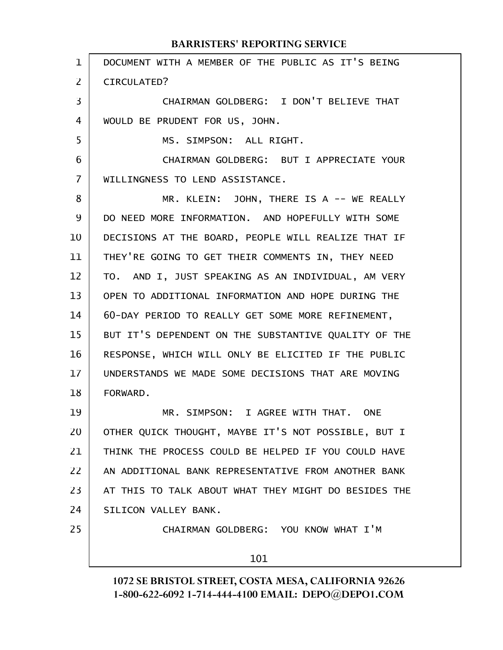| $\mathbf 1$    | DOCUMENT WITH A MEMBER OF THE PUBLIC AS IT'S BEING   |
|----------------|------------------------------------------------------|
| $\overline{2}$ | CIRCULATED?                                          |
| 3              | CHAIRMAN GOLDBERG: I DON'T BELIEVE THAT              |
| 4              | WOULD BE PRUDENT FOR US, JOHN.                       |
| 5              | MS. SIMPSON: ALL RIGHT.                              |
| 6              | CHAIRMAN GOLDBERG: BUT I APPRECIATE YOUR             |
| $\overline{7}$ | WILLINGNESS TO LEND ASSISTANCE.                      |
| 8              | MR. KLEIN: JOHN, THERE IS A -- WE REALLY             |
| 9              | DO NEED MORE INFORMATION. AND HOPEFULLY WITH SOME    |
| 10             | DECISIONS AT THE BOARD, PEOPLE WILL REALIZE THAT IF  |
| 11             | THEY'RE GOING TO GET THEIR COMMENTS IN, THEY NEED    |
| 12             | TO. AND I, JUST SPEAKING AS AN INDIVIDUAL, AM VERY   |
| 13             | OPEN TO ADDITIONAL INFORMATION AND HOPE DURING THE   |
| 14             | 60-DAY PERIOD TO REALLY GET SOME MORE REFINEMENT,    |
| 15             | BUT IT'S DEPENDENT ON THE SUBSTANTIVE QUALITY OF THE |
| 16             | RESPONSE, WHICH WILL ONLY BE ELICITED IF THE PUBLIC  |
| 17             | UNDERSTANDS WE MADE SOME DECISIONS THAT ARE MOVING   |
| 18             | FORWARD.                                             |
| 19             | MR. SIMPSON: I AGREE WITH THAT. ONE                  |
| 20             | OTHER QUICK THOUGHT, MAYBE IT'S NOT POSSIBLE, BUT I  |
| 21             | THINK THE PROCESS COULD BE HELPED IF YOU COULD HAVE  |
| 22             | AN ADDITIONAL BANK REPRESENTATIVE FROM ANOTHER BANK  |
| 23             | AT THIS TO TALK ABOUT WHAT THEY MIGHT DO BESIDES THE |
| 24             | SILICON VALLEY BANK.                                 |
| 25             | CHAIRMAN GOLDBERG: YOU KNOW WHAT I'M                 |
|                | 101                                                  |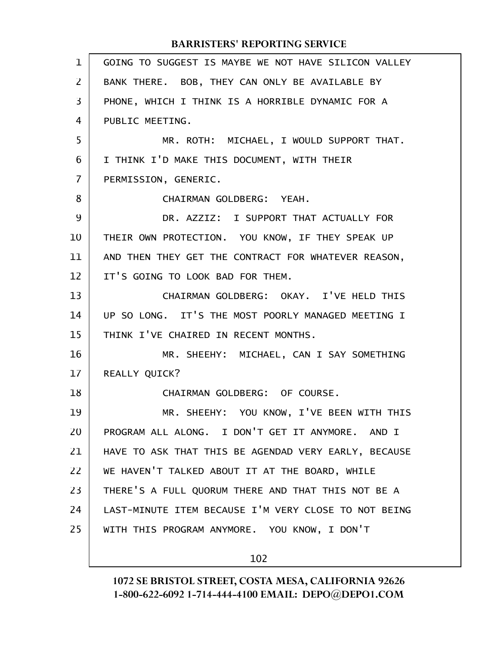| 1  | GOING TO SUGGEST IS MAYBE WE NOT HAVE SILICON VALLEY |
|----|------------------------------------------------------|
| 2  | BANK THERE. BOB, THEY CAN ONLY BE AVAILABLE BY       |
| 3  | PHONE, WHICH I THINK IS A HORRIBLE DYNAMIC FOR A     |
| 4  | PUBLIC MEETING.                                      |
| 5  | MR. ROTH: MICHAEL, I WOULD SUPPORT THAT.             |
| 6  | I THINK I'D MAKE THIS DOCUMENT, WITH THEIR           |
| 7  | PERMISSION, GENERIC.                                 |
| 8  | CHAIRMAN GOLDBERG: YEAH.                             |
| 9  | DR. AZZIZ: I SUPPORT THAT ACTUALLY FOR               |
| 10 | THEIR OWN PROTECTION. YOU KNOW, IF THEY SPEAK UP     |
| 11 | AND THEN THEY GET THE CONTRACT FOR WHATEVER REASON,  |
| 12 | IT'S GOING TO LOOK BAD FOR THEM.                     |
| 13 | CHAIRMAN GOLDBERG: OKAY. I'VE HELD THIS              |
| 14 | UP SO LONG. IT'S THE MOST POORLY MANAGED MEETING I   |
| 15 | THINK I'VE CHAIRED IN RECENT MONTHS.                 |
| 16 | MR. SHEEHY: MICHAEL, CAN I SAY SOMETHING             |
| 17 | REALLY QUICK?                                        |
| 18 | CHAIRMAN GOLDBERG: OF COURSE.                        |
| 19 | MR. SHEEHY: YOU KNOW, I'VE BEEN WITH THIS            |
| 20 | PROGRAM ALL ALONG. I DON'T GET IT ANYMORE. AND I     |
| 21 | HAVE TO ASK THAT THIS BE AGENDAD VERY EARLY, BECAUSE |
| 22 | WE HAVEN'T TALKED ABOUT IT AT THE BOARD, WHILE       |
| 23 | THERE'S A FULL QUORUM THERE AND THAT THIS NOT BE A   |
| 24 | LAST-MINUTE ITEM BECAUSE I'M VERY CLOSE TO NOT BEING |
| 25 | WITH THIS PROGRAM ANYMORE. YOU KNOW, I DON'T         |
|    |                                                      |

102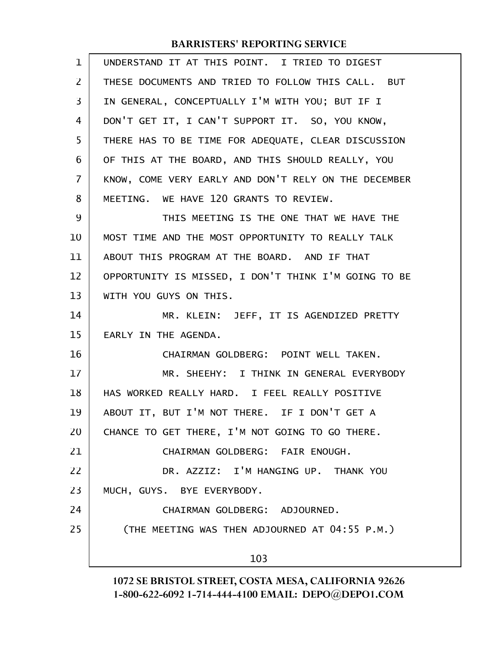| $\mathbf 1$    | UNDERSTAND IT AT THIS POINT. I TRIED TO DIGEST       |
|----------------|------------------------------------------------------|
| 2              | THESE DOCUMENTS AND TRIED TO FOLLOW THIS CALL. BUT   |
| 3              | IN GENERAL, CONCEPTUALLY I'M WITH YOU; BUT IF I      |
| 4              | DON'T GET IT, I CAN'T SUPPORT IT. SO, YOU KNOW,      |
| 5              | THERE HAS TO BE TIME FOR ADEQUATE, CLEAR DISCUSSION  |
| 6              | OF THIS AT THE BOARD, AND THIS SHOULD REALLY, YOU    |
| $\overline{7}$ | KNOW, COME VERY EARLY AND DON'T RELY ON THE DECEMBER |
| 8              | MEETING. WE HAVE 120 GRANTS TO REVIEW.               |
| 9              | THIS MEETING IS THE ONE THAT WE HAVE THE             |
| 10             | MOST TIME AND THE MOST OPPORTUNITY TO REALLY TALK    |
| 11             | ABOUT THIS PROGRAM AT THE BOARD. AND IF THAT         |
| 12             | OPPORTUNITY IS MISSED, I DON'T THINK I'M GOING TO BE |
| 13             | WITH YOU GUYS ON THIS.                               |
| 14             | MR. KLEIN: JEFF, IT IS AGENDIZED PRETTY              |
| 15             | EARLY IN THE AGENDA.                                 |
| 16             | CHAIRMAN GOLDBERG: POINT WELL TAKEN.                 |
| 17             | MR. SHEEHY: I THINK IN GENERAL EVERYBODY             |
| 18             | HAS WORKED REALLY HARD. I FEEL REALLY POSITIVE       |
| 19             | ABOUT IT, BUT I'M NOT THERE. IF I DON'T GET A        |
| 20             | CHANCE TO GET THERE, I'M NOT GOING TO GO THERE.      |
| 21             | CHAIRMAN GOLDBERG: FAIR ENOUGH.                      |
| 22             | DR. AZZIZ: I'M HANGING UP. THANK YOU                 |
| 23             | MUCH, GUYS. BYE EVERYBODY.                           |
| 24             | CHAIRMAN GOLDBERG: ADJOURNED.                        |
| 25             | (THE MEETING WAS THEN ADJOURNED AT 04:55 P.M.)       |
|                | 103                                                  |